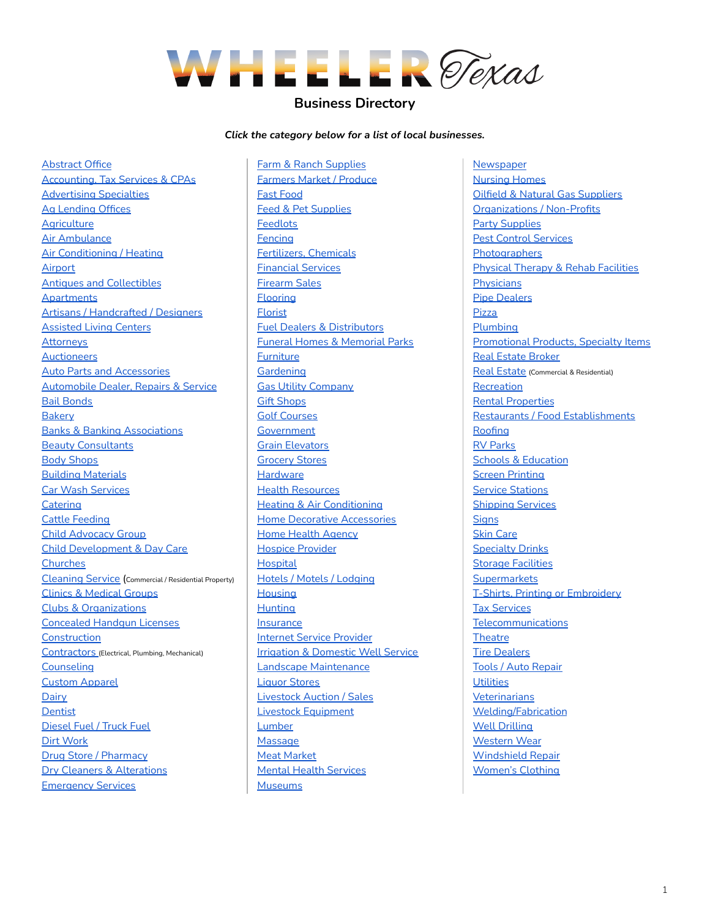

# **Business Directory**

*Click the category below for a list of local businesses.*

[Abstract](#page-1-0) Office [Accounting,](#page-1-1) Tax Services & CPAs [Advertising](#page-1-2) Specialties Ag [Lending](#page-1-3) Offices **[Agriculture](#page-1-4)** Air [Ambulance](#page-1-5) **Air [Conditioning](#page-1-6) / Heating** [Airport](#page-2-0) **Antiques and [Collectibles](#page-2-1) [Apartments](#page-2-2)** Artisans / [Handcrafted](#page-2-3) / Designers [Assisted](#page-2-4) Living Centers **[Attorneys](#page-2-5) [Auctioneers](#page-2-6)** Auto Parts and [Accessories](#page-2-7) [Automobile](#page-3-0) Dealer, Repairs & Service Bail [Bonds](#page-3-1) **[Bakery](#page-3-2)** Banks & Banking [Associations](#page-3-3) Beauty [Consultants](#page-3-4) Body [Shops](#page-4-0) Building [Materials](#page-4-1) Car Wash [Services](#page-4-2) **[Catering](#page-5-0)** Cattle [Feeding](#page-5-1) Child [Advocacy](#page-5-2) Group Child [Development](#page-5-3) & Day Care **[Churches](#page-5-4)** [Cleaning](#page-6-0) Service (Commercial / Residential Property) Clinics & [Medical](#page-6-1) Groups Clubs & [Organizations](#page-6-2) [Concealed](#page-7-0) Handgun Licenses **[Construction](#page-7-1)** [Contractors](#page-7-2) (Electrical, Plumbing, Mechanical) **[Counseling](#page-7-3)** Custom [Apparel](#page-7-4) **[Dairy](#page-7-5) [Dentist](#page-7-6)** [Diesel](#page-7-7) Fuel / Truck Fuel Dirt [Work](#page-7-8) Drug Store / [Pharmacy](#page-8-0) Dry Cleaners & [Alterations](#page-8-1) **[Emergency](#page-8-2) Services** 

Farm & Ranch [Supplies](#page-8-3) [Farmers](#page-8-4) Market / Produce Fast [Food](#page-8-5) Feed & Pet [Supplies](#page-9-0) **[Feedlots](#page-9-1) [Fencing](#page-9-2)** [Fertilizers,](#page-9-3) Chemicals [Financial](#page-9-4) Services [Firearm](#page-10-0) Sales [Flooring](#page-10-1) [Florist](#page-10-2) Fuel Dealers & [Distributors](#page-10-3) Funeral Homes & [Memorial](#page-10-4) Parks [Furniture](#page-10-5) **[Gardening](#page-10-6)** Gas Utility [Company](#page-11-0) Gift [Shops](#page-11-1) Golf [Courses](#page-11-2) **[Government](#page-11-3)** Grain [Elevators](#page-11-4) [Grocery](#page-12-0) Stores **[Hardware](#page-12-1)** Health [Resources](#page-12-2) **Heating & Air [Conditioning](#page-12-3)** Home Decorative [Accessories](#page-12-4) Home Health [Agency](#page-12-5) Hospice [Provider](#page-12-6) **[Hospital](#page-13-0)** Hotels / Motels / [Lodging](#page-13-1) **[Housing](#page-13-2) [Hunting](#page-13-3)** [Insurance](#page-13-4) Internet Service [Provider](#page-13-5) Irrigation & [Domestic](#page-13-6) Well Service Landscape [Maintenance](#page-14-0) Liquor [Stores](#page-14-1) [Livestock](#page-14-2) Auction / Sales Livestock [Equipment](#page-14-2) **[Lumber](#page-14-3) [Massage](#page-14-4)** Meat [Market](#page-14-5) Mental Health [Services](#page-14-6) **[Museums](#page-14-7)** 

**[Newspaper](#page-14-8)** [Nursing](#page-15-0) Homes Oilfield & Natural Gas [Suppliers](#page-15-1) [Organizations](#page-15-2) / Non-Profits Party [Supplies](#page-16-0) Pest Control [Services](#page-16-1) **[Photographers](#page-16-2)** Physical Therapy & Rehab [Facilities](#page-16-3) **[Physicians](#page-16-4)** Pipe [Dealers](#page-16-5) [Pizza](#page-16-6) [Plumbing](#page-16-7) [Promotional](#page-16-8) Products, Specialty Items Real Estate [Broker](#page-16-9) Real [Estate](#page-16-10) (Commercial & Residential) **[Recreation](#page-17-0)** Rental [Properties](#page-17-1) Restaurants / Food [Establishments](#page-17-2) [Roofing](#page-18-0) RV [Parks](#page-18-1) **Schools & [Education](#page-18-2)** Screen [Printing](#page-18-3) Service [Stations](#page-18-4) [Shipping](#page-18-5) Services **[Signs](#page-18-6)** Skin [Care](#page-18-7) [Specialty](#page-19-0) Drinks **Storage [Facilities](#page-19-1) [Supermarkets](#page-19-2)** T-Shirts, Printing or [Embroidery](#page-19-3) Tax [Services](#page-19-4) [Telecommunications](#page-19-5) **[Theatre](#page-19-6)** Tire [Dealers](#page-19-7) Tools / Auto [Repair](#page-20-0) **[Utilities](#page-20-1) [Veterinarians](#page-20-2)** [Welding/Fabrication](#page-20-3) Well [Drilling](#page-20-4) [Western](#page-20-5) Wear [Windshield](#page-21-0) Repair [Women's](#page-21-1) Clothing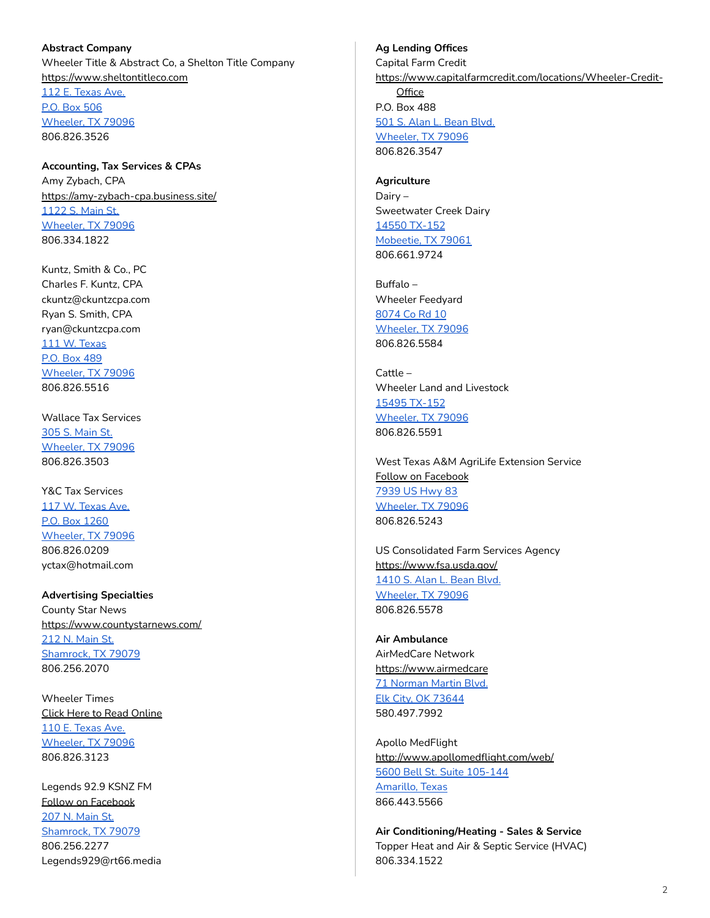<span id="page-1-0"></span>**Abstract Company** Wheeler Title & Abstract Co, a Shelton Title Company <https://www.sheltontitleco.com> 112 E. [Texas](https://www.google.com/maps/place/112+E+Texas+Ave,+Wheeler,+TX+79096/@35.4437463,-100.2750233,17z/data=!3m1!4b1!4m5!3m4!1s0x87aa1f9a9ef95dff:0x2d058d081ead55f8!8m2!3d35.4437463!4d-100.2728346) Ave. P.O. Box [506](https://www.google.com/maps/place/112+E+Texas+Ave,+Wheeler,+TX+79096/@35.4437463,-100.2750233,17z/data=!3m1!4b1!4m5!3m4!1s0x87aa1f9a9ef95dff:0x2d058d081ead55f8!8m2!3d35.4437463!4d-100.2728346) [Wheeler,](https://www.google.com/maps/place/112+E+Texas+Ave,+Wheeler,+TX+79096/@35.4437463,-100.2750233,17z/data=!3m1!4b1!4m5!3m4!1s0x87aa1f9a9ef95dff:0x2d058d081ead55f8!8m2!3d35.4437463!4d-100.2728346) TX 79096 806.826.3526

<span id="page-1-1"></span>**Accounting, Tax Services & CPAs** Amy Zybach, CPA <https://amy-zybach-cpa.business.site/> [1122](https://www.google.com/maps/place/1122+S+Main+St,+Wheeler,+TX+79096/@35.4354365,-100.275817,17z/data=!3m1!4b1!4m5!3m4!1s0x87aa1f9d03f1b505:0x15b5be84de765c59!8m2!3d35.4354321!4d-100.2736283) S. Main St. [Wheeler,](https://www.google.com/maps/place/1122+S+Main+St,+Wheeler,+TX+79096/@35.4354365,-100.275817,17z/data=!3m1!4b1!4m5!3m4!1s0x87aa1f9d03f1b505:0x15b5be84de765c59!8m2!3d35.4354321!4d-100.2736283) TX 79096 806.334.1822

Kuntz, Smith & Co., PC Charles F. Kuntz, CPA ckuntz@ckuntzcpa.com Ryan S. Smith, CPA ryan@ckuntzcpa.com 111 W. [Texas](https://www.google.com/maps/place/111+W+Texas+Ave,+Wheeler,+TX+79096/@35.4440741,-100.2760742,17z/data=!3m1!4b1!4m5!3m4!1s0x87aa1f907e5bc90f:0x58398e3475913280!8m2!3d35.4440697!4d-100.2738855) P.O. Box [489](https://www.google.com/maps/place/111+W+Texas+Ave,+Wheeler,+TX+79096/@35.4440741,-100.2760742,17z/data=!3m1!4b1!4m5!3m4!1s0x87aa1f907e5bc90f:0x58398e3475913280!8m2!3d35.4440697!4d-100.2738855) [Wheeler,](https://www.google.com/maps/place/111+W+Texas+Ave,+Wheeler,+TX+79096/@35.4440741,-100.2760742,17z/data=!3m1!4b1!4m5!3m4!1s0x87aa1f907e5bc90f:0x58398e3475913280!8m2!3d35.4440697!4d-100.2738855) TX 79096 806.826.5516

Wallace Tax Services 305 S. [Main](https://www.google.com/maps/place/305+S+Main+St,+Wheeler,+TX+79096/@35.4457953,-100.2753719,17z/data=!3m1!4b1!4m5!3m4!1s0x87aa1f905b080ab5:0x2bdbb5d9dc882794!8m2!3d35.4457909!4d-100.2731832) St. [Wheeler,](https://www.google.com/maps/place/305+S+Main+St,+Wheeler,+TX+79096/@35.4457953,-100.2753719,17z/data=!3m1!4b1!4m5!3m4!1s0x87aa1f905b080ab5:0x2bdbb5d9dc882794!8m2!3d35.4457909!4d-100.2731832) TX 79096 806.826.3503

Y&C Tax Services 117 W. [Texas](https://www.google.com/maps/place/Y%26C+Tax/@35.4438246,-100.2766598,17z/data=!3m1!4b1!4m5!3m4!1s0x87aa1f589a1a98fb:0x8fde7628ba638f6c!8m2!3d35.4438202!4d-100.2744711) Ave. P.O. Box [1260](https://www.google.com/maps/place/Y%26C+Tax/@35.4438246,-100.2766598,17z/data=!3m1!4b1!4m5!3m4!1s0x87aa1f589a1a98fb:0x8fde7628ba638f6c!8m2!3d35.4438202!4d-100.2744711) [Wheeler,](https://www.google.com/maps/place/Y%26C+Tax/@35.4438246,-100.2766598,17z/data=!3m1!4b1!4m5!3m4!1s0x87aa1f589a1a98fb:0x8fde7628ba638f6c!8m2!3d35.4438202!4d-100.2744711) TX 79096 806.826.0209 yctax@hotmail.com

<span id="page-1-2"></span>**Advertising Specialties** County Star News <https://www.countystarnews.com/> 212 N. [Main](https://www.google.com/maps/place/212+N+Main+St,+Shamrock,+TX+79079/@35.2160375,-100.2509908,17z/data=!3m1!4b1!4m5!3m4!1s0x87aa3e07d877c801:0xb46940f7c883a764!8m2!3d35.2160331!4d-100.2488021) St. [Shamrock,](https://www.google.com/maps/place/212+N+Main+St,+Shamrock,+TX+79079/@35.2160375,-100.2509908,17z/data=!3m1!4b1!4m5!3m4!1s0x87aa3e07d877c801:0xb46940f7c883a764!8m2!3d35.2160331!4d-100.2488021) TX 79079 806.256.2070

Wheeler Times Click Here to Read [Online](https://www.etypeservices.com/Wheeler%20TimesID786/) 110 E. [Texas](https://www.google.com/maps/place/110+E+Texas+Ave,+Wheeler,+TX+79096/@35.4437508,-100.2751072,17z/data=!3m1!4b1!4m5!3m4!1s0x87aa1f9a9e897ba1:0x4c627b03a48a73d3!8m2!3d35.4437464!4d-100.2729185) Ave. [Wheeler,](https://www.google.com/maps/place/110+E+Texas+Ave,+Wheeler,+TX+79096/@35.4437508,-100.2751072,17z/data=!3m1!4b1!4m5!3m4!1s0x87aa1f9a9e897ba1:0x4c627b03a48a73d3!8m2!3d35.4437464!4d-100.2729185) TX 79096 806.826.3123

Legends 92.9 KSNZ FM Follow on [Facebook](https://www.facebook.com/CountryLegends929) 207 N. [Main](https://www.google.com/maps/place/207+N+Main+St,+Shamrock,+TX+79079/@35.2157919,-100.2514672,17z/data=!3m1!4b1!4m5!3m4!1s0x87aa3e07d0ed5579:0x8e727c1af92c9261!8m2!3d35.2157875!4d-100.2492785) St. [Shamrock,](https://www.google.com/maps/place/207+N+Main+St,+Shamrock,+TX+79079/@35.2157919,-100.2514672,17z/data=!3m1!4b1!4m5!3m4!1s0x87aa3e07d0ed5579:0x8e727c1af92c9261!8m2!3d35.2157875!4d-100.2492785) TX 79079 806.256.2277 Legends929@rt66.media

# <span id="page-1-3"></span>**Ag Lending Offices**

Capital Farm Credit [https://www.capitalfarmcredit.com/locations/Wheeler-Credit-](https://www.capitalfarmcredit.com/locations/Wheeler-Credit-Office)**[Office](https://www.capitalfarmcredit.com/locations/Wheeler-Credit-Office)** P.O. Box 488 501 S. Alan L. [Bean](https://www.google.com/maps/place/501+S+Alan+L+Bean+Blvd,+Wheeler,+TX+79096/@35.4438286,-100.2740976,17z/data=!3m1!4b1!4m5!3m4!1s0x87aa1f9aa880447b:0xc38151dcd740738e!8m2!3d35.4438242!4d-100.2719089) Blvd. [Wheeler,](https://www.google.com/maps/place/501+S+Alan+L+Bean+Blvd,+Wheeler,+TX+79096/@35.4438286,-100.2740976,17z/data=!3m1!4b1!4m5!3m4!1s0x87aa1f9aa880447b:0xc38151dcd740738e!8m2!3d35.4438242!4d-100.2719089) TX 79096

<span id="page-1-4"></span>**Agriculture** Dairy – Sweetwater Creek Dairy 14550 [TX-152](https://www.google.com/maps/place/14550+TX-152,+Mobeetie,+TX+79061/@35.5173077,-100.4952206,17z/data=!3m1!4b1!4m5!3m4!1s0x87a9f90c2b567d27:0xfadcb7de879e2588!8m2!3d35.5173034!4d-100.4930319) [Mobeetie,](https://www.google.com/maps/place/14550+TX-152,+Mobeetie,+TX+79061/@35.5173077,-100.4952206,17z/data=!3m1!4b1!4m5!3m4!1s0x87a9f90c2b567d27:0xfadcb7de879e2588!8m2!3d35.5173034!4d-100.4930319) TX 79061 806.661.9724

806.826.3547

Buffalo – Wheeler Feedyard [8074](https://www.google.com/maps/place/8074+Co+Rd+10,+Wheeler,+TX+79096/@35.4695101,-100.3603425,17z/data=!3m1!4b1!4m5!3m4!1s0x87a9f6027def7175:0x730d9c2967b2b3dd!8m2!3d35.4695058!4d-100.3581538) Co Rd 10 [Wheeler,](https://www.google.com/maps/place/8074+Co+Rd+10,+Wheeler,+TX+79096/@35.4695101,-100.3603425,17z/data=!3m1!4b1!4m5!3m4!1s0x87a9f6027def7175:0x730d9c2967b2b3dd!8m2!3d35.4695058!4d-100.3581538) TX 79096 806.826.5584

Cattle – Wheeler Land and Livestock 15495 [TX-152](https://www.google.com/maps/place/15495+TX-152,+Mobeetie,+TX+79061/@35.5175378,-100.5490218,17z/data=!3m1!4b1!4m5!3m4!1s0x87a9fec75432949f:0x912d51eca07e5fc!8m2!3d35.5175335!4d-100.5468331) [Wheeler,](https://www.google.com/maps/place/15495+TX-152,+Mobeetie,+TX+79061/@35.5175378,-100.5490218,17z/data=!3m1!4b1!4m5!3m4!1s0x87a9fec75432949f:0x912d51eca07e5fc!8m2!3d35.5175335!4d-100.5468331) TX 79096 806.826.5591

West Texas A&M AgriLife Extension Service Follow on [Facebook](https://www.facebook.com/wheelercoext/) [7939](https://www.google.com/maps/place/7939+US-83,+Wheeler,+TX+79096/@35.4516093,-100.273506,17z/data=!3m1!4b1!4m5!3m4!1s0x87aa1f92781e9631:0xaa312fe871176d2e!8m2!3d35.4516049!4d-100.2713173) US Hwy 83 [Wheeler,](https://www.google.com/maps/place/7939+US-83,+Wheeler,+TX+79096/@35.4516093,-100.273506,17z/data=!3m1!4b1!4m5!3m4!1s0x87aa1f92781e9631:0xaa312fe871176d2e!8m2!3d35.4516049!4d-100.2713173) TX 79096 806.826.5243

US Consolidated Farm Services Agency <https://www.fsa.usda.gov/> [1410](https://www.google.com/maps/place/1410+S+Alan+L+Bean+Blvd,+Wheeler,+TX+79096/@35.4313433,-100.2749979,17z/data=!3m1!4b1!4m5!3m4!1s0x87aa1f77bc334edf:0x14a360dcc4d6417e!8m2!3d35.4313389!4d-100.2728092) S. Alan L. Bean Blvd. [Wheeler,](https://www.google.com/maps/place/1410+S+Alan+L+Bean+Blvd,+Wheeler,+TX+79096/@35.4313433,-100.2749979,17z/data=!3m1!4b1!4m5!3m4!1s0x87aa1f77bc334edf:0x14a360dcc4d6417e!8m2!3d35.4313389!4d-100.2728092) TX 79096 806.826.5578

<span id="page-1-5"></span>**Air Ambulance** AirMedCare Network <https://www.airmedcare> 71 [Norman](https://www.google.com/maps/place/Air+Evac+Lifeteam/@35.4232834,-99.399077,17z/data=!3m1!4b1!4m5!3m4!1s0x87abe4fca1dee83d:0x219c2fa26e29bd24!8m2!3d35.423279!4d-99.3968883) Martin Blvd. Elk City, OK [73644](https://www.google.com/maps/place/Air+Evac+Lifeteam/@35.4232834,-99.399077,17z/data=!3m1!4b1!4m5!3m4!1s0x87abe4fca1dee83d:0x219c2fa26e29bd24!8m2!3d35.423279!4d-99.3968883) 580.497.7992

Apollo MedFlight <http://www.apollomedflight.com/web/> 5600 Bell St. Suite [105-144](https://www.google.com/maps/place/5600+Bell+St+Suite+105-144,+Amarillo,+TX+79109/@35.1486991,-101.9050008,17z/data=!3m1!4b1!4m5!3m4!1s0x87015aa65b37a51b:0x1133c28e792ab734!8m2!3d35.1486947!4d-101.9028121) [Amarillo,](https://www.google.com/maps/place/5600+Bell+St+Suite+105-144,+Amarillo,+TX+79109/@35.1486991,-101.9050008,17z/data=!3m1!4b1!4m5!3m4!1s0x87015aa65b37a51b:0x1133c28e792ab734!8m2!3d35.1486947!4d-101.9028121) Texas 866.443.5566

<span id="page-1-6"></span>**Air Conditioning/Heating - Sales & Service** Topper Heat and Air & Septic Service (HVAC) 806.334.1522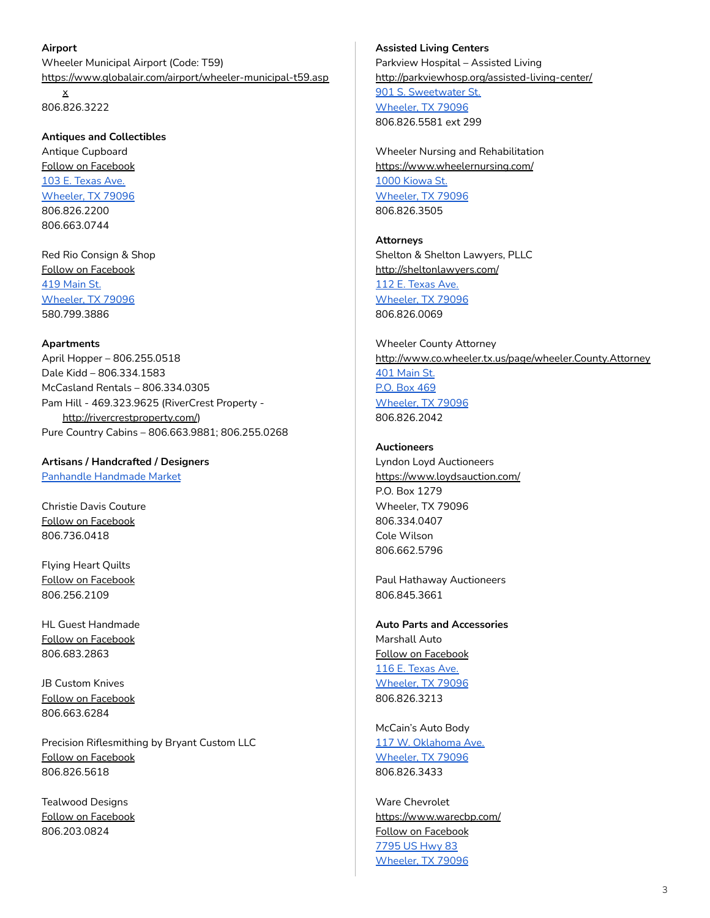### <span id="page-2-0"></span>**Airport**

Wheeler Municipal Airport (Code: T59) [https://www.globalair.com/airport/wheeler-municipal-t59.asp](https://www.globalair.com/airport/wheeler-municipal-t59.aspx) [x](https://www.globalair.com/airport/wheeler-municipal-t59.aspx)

806.826.3222

<span id="page-2-1"></span>**Antiques and Collectibles**

Antique Cupboard Follow on [Facebook](https://www.facebook.com/pages/Antique-Cupboard/574483099283382) 103 E. [Texas](https://www.google.com/maps/place/103+E+Texas+Ave,+Wheeler,+TX+79096/@35.4440737,-100.275004,17z/data=!3m1!4b1!4m5!3m4!1s0x87aa1f900aec3229:0x25d60cbf39475d39!8m2!3d35.4440693!4d-100.2728153) Ave. [Wheeler,](https://www.google.com/maps/place/103+E+Texas+Ave,+Wheeler,+TX+79096/@35.4440737,-100.275004,17z/data=!3m1!4b1!4m5!3m4!1s0x87aa1f900aec3229:0x25d60cbf39475d39!8m2!3d35.4440693!4d-100.2728153) TX 79096 806.826.2200 806.663.0744

Red Rio Consign & Shop Follow on [Facebook](https://www.facebook.com/redrioConsign/) 419 [Main](https://www.google.com/maps/place/419+S+Main+St,+Wheeler,+TX+79096/@35.4442569,-100.2746023,17z/data=!3m1!4b1!4m5!3m4!1s0x87aa1f9065210d41:0x4e89c3e42da938cd!8m2!3d35.4442525!4d-100.2724136) St. [Wheeler,](https://www.google.com/maps/place/419+S+Main+St,+Wheeler,+TX+79096/@35.4442569,-100.2746023,17z/data=!3m1!4b1!4m5!3m4!1s0x87aa1f9065210d41:0x4e89c3e42da938cd!8m2!3d35.4442525!4d-100.2724136) TX 79096 580.799.3886

### <span id="page-2-2"></span>**Apartments**

April Hopper – 806.255.0518 Dale Kidd – 806.334.1583 McCasland Rentals – 806.334.0305 Pam Hill - 469.323.9625 (RiverCrest Property <http://rivercrestproperty.com/>) Pure Country Cabins – 806.663.9881; 806.255.0268

<span id="page-2-3"></span>**Artisans / Handcrafted / Designers** Panhandle [Handmade](https://www.facebook.com/PanhandleHandmadeMarket/?__tn__=%2Cd%2CP-R&eid=ARCFluG8umwByAUQRu3E539inf--h7YlDjq_2iVSqUBSvjDrDzuF6ObuxFpPvLkuthyI2ILdc-arcm37) Market

Christie Davis Couture Follow on [Facebook](https://www.facebook.com/Christie-Davis-Couture-697652063747051/) 806.736.0418

Flying Heart Quilts Follow on [Facebook](https://www.facebook.com/Flying-Heart-Quilts-406304203151284/) 806.256.2109

HL Guest Handmade Follow on [Facebook](https://www.facebook.com/hlguesthandmade/) 806.683.2863

JB Custom Knives Follow on [Facebook](https://www.facebook.com/JBKnives/) 806.663.6284

Precision Riflesmithing by Bryant Custom LLC Follow on [Facebook](https://www.facebook.com/BryantCustomLLC/) 806.826.5618

Tealwood Designs Follow on [Facebook](https://www.facebook.com/tealwooddesign/) 806.203.0824

# <span id="page-2-4"></span>**Assisted Living Centers** Parkview Hospital – Assisted Living <http://parkviewhosp.org/assisted-living-center/> 901 S. [Sweetwater](https://www.google.com/maps/place/901+S+Sweetwater+St,+Wheeler,+TX+79096/@35.4392773,-100.2725858,17z/data=!3m1!4b1!4m5!3m4!1s0x87aa1f84a4e57781:0x6a1ba2db4ff8d738!8m2!3d35.4392729!4d-100.2703971) St. [Wheeler,](https://www.google.com/maps/place/901+S+Sweetwater+St,+Wheeler,+TX+79096/@35.4392773,-100.2725858,17z/data=!3m1!4b1!4m5!3m4!1s0x87aa1f84a4e57781:0x6a1ba2db4ff8d738!8m2!3d35.4392729!4d-100.2703971) TX 79096

806.826.5581 ext 299

Wheeler Nursing and Rehabilitation <https://www.wheelernursing.com/> 1000 [Kiowa](https://www.google.com/maps/place/1000+Kiowa+St,+Wheeler,+TX+79096/@35.4384218,-100.2800382,17z/data=!3m1!4b1!4m5!3m4!1s0x87aa1f994c02c7e1:0xa6bbe75b7a7c2f70!8m2!3d35.4384174!4d-100.2778495) St. [Wheeler,](https://www.google.com/maps/place/1000+Kiowa+St,+Wheeler,+TX+79096/@35.4384218,-100.2800382,17z/data=!3m1!4b1!4m5!3m4!1s0x87aa1f994c02c7e1:0xa6bbe75b7a7c2f70!8m2!3d35.4384174!4d-100.2778495) TX 79096 806.826.3505

<span id="page-2-5"></span>**Attorneys** Shelton & Shelton Lawyers, PLLC <http://sheltonlawyers.com/> 112 E. [Texas](https://www.google.com/maps/place/112+E+Texas+Ave,+Wheeler,+TX+79096/@35.4437507,-100.2750233,17z/data=!3m1!4b1!4m5!3m4!1s0x87aa1f9a9ef95dff:0x2d058d081ead55f8!8m2!3d35.4437463!4d-100.2728346) Ave.

[Wheeler,](https://www.google.com/maps/place/112+E+Texas+Ave,+Wheeler,+TX+79096/@35.4437507,-100.2750233,17z/data=!3m1!4b1!4m5!3m4!1s0x87aa1f9a9ef95dff:0x2d058d081ead55f8!8m2!3d35.4437463!4d-100.2728346) TX 79096 806.826.0069

Wheeler County Attorney <http://www.co.wheeler.tx.us/page/wheeler.County.Attorney> 401 [Main](https://www.google.com/maps/place/Wheeler+County+Attorney/@35.4446388,-100.2750569,17z/data=!3m1!4b1!4m5!3m4!1s0x87aa1f91a581e5ad:0x5dc2acdabca2b24f!8m2!3d35.4446344!4d-100.2728682) St. P.O. Box [469](https://www.google.com/maps/place/Wheeler+County+Attorney/@35.4446388,-100.2750569,17z/data=!3m1!4b1!4m5!3m4!1s0x87aa1f91a581e5ad:0x5dc2acdabca2b24f!8m2!3d35.4446344!4d-100.2728682) [Wheeler,](https://www.google.com/maps/place/Wheeler+County+Attorney/@35.4446388,-100.2750569,17z/data=!3m1!4b1!4m5!3m4!1s0x87aa1f91a581e5ad:0x5dc2acdabca2b24f!8m2!3d35.4446344!4d-100.2728682) TX 79096 806.826.2042

### <span id="page-2-6"></span>**Auctioneers**

Lyndon Loyd Auctioneers <https://www.loydsauction.com/> P.O. Box 1279 Wheeler, TX 79096 806.334.0407 Cole Wilson 806.662.5796

Paul Hathaway Auctioneers 806.845.3661

<span id="page-2-7"></span>**Auto Parts and Accessories** Marshall Auto Follow on [Facebook](https://www.facebook.com/pages/Marshall-Discount-Auto/869781833074881) 116 E. [Texas](https://www.google.com/maps/place/116+E+Texas+Ave,+Wheeler,+TX+79096/@35.4438147,-100.2747549,17z/data=!3m1!4b1!4m5!3m4!1s0x87aa1f9aa1c94fad:0x8048e7709176c07e!8m2!3d35.4438103!4d-100.2725662) Ave. [Wheeler,](https://www.google.com/maps/place/116+E+Texas+Ave,+Wheeler,+TX+79096/@35.4438147,-100.2747549,17z/data=!3m1!4b1!4m5!3m4!1s0x87aa1f9aa1c94fad:0x8048e7709176c07e!8m2!3d35.4438103!4d-100.2725662) TX 79096 806.826.3213

McCain's Auto Body 117 W. [Oklahoma](https://www.google.com/maps/place/117+W+Oklahoma+Ave,+Wheeler,+TX+79096/@35.4449514,-100.2768145,17z/data=!3m1!4b1!4m5!3m4!1s0x87aa1f908da311bd:0xcee11945148c7242!8m2!3d35.444947!4d-100.2746258) Ave. [Wheeler,](https://www.google.com/maps/place/117+W+Oklahoma+Ave,+Wheeler,+TX+79096/@35.4449514,-100.2768145,17z/data=!3m1!4b1!4m5!3m4!1s0x87aa1f908da311bd:0xcee11945148c7242!8m2!3d35.444947!4d-100.2746258) TX 79096 806.826.3433

Ware Chevrolet <https://www.warecbp.com/> Follow on [Facebook](https://www.facebook.com/warechevy/?ref=br_rs&fb_dtsg_ag=AQxF1TChHoiH_8T40Xv8IBMETD3LK3HmQJMWFaRgeUwRNA%3AAQxCDhiQ0CCh-dXb2uYKJQRsUy1wNQNml2v_ClvVJu4qHw&jazoest=27735) [7795](https://www.google.com/maps/place/7795+US-83,+Wheeler,+TX+79096/@35.4297398,-100.2751274,17z/data=!3m1!4b1!4m5!3m4!1s0x87aa1f770d88abe5:0x38b85a21f6b0ab06!8m2!3d35.4297354!4d-100.2729387) US Hwy 83 [Wheeler,](https://www.google.com/maps/place/7795+US-83,+Wheeler,+TX+79096/@35.4297398,-100.2751274,17z/data=!3m1!4b1!4m5!3m4!1s0x87aa1f770d88abe5:0x38b85a21f6b0ab06!8m2!3d35.4297354!4d-100.2729387) TX 79096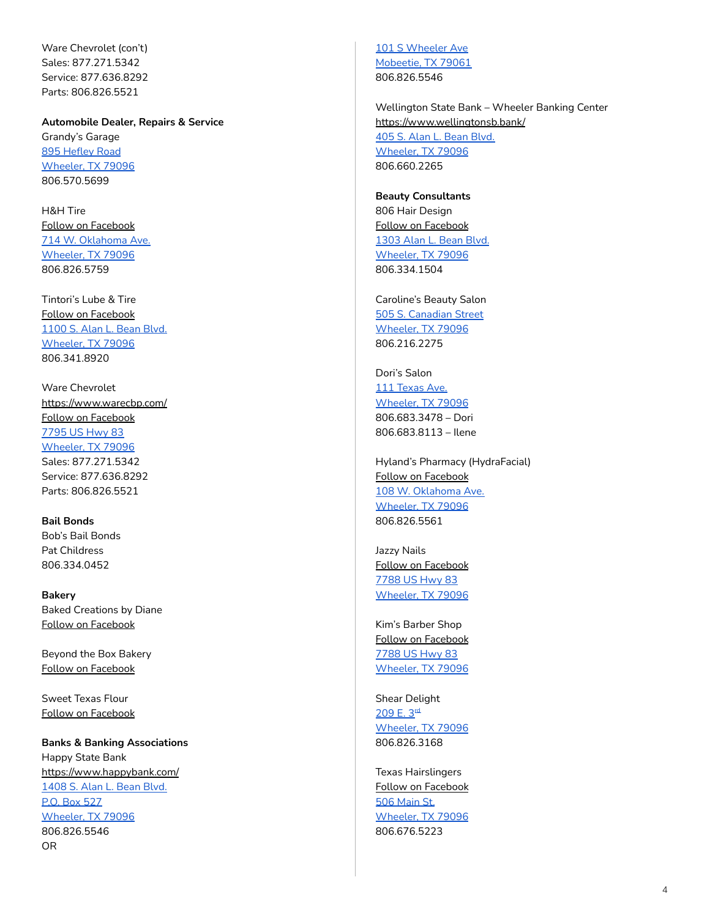Ware Chevrolet (con't) Sales: 877.271.5342 Service: 877.636.8292 Parts: 806.826.5521

<span id="page-3-0"></span>**Automobile Dealer, Repairs & Service** Grandy's Garage 895 [Hefley](https://www.google.com/maps/place/895+Hefley+Rd,+Wheeler,+TX+79096/@35.4383787,-100.2968629,17z/data=!3m1!4b1!4m5!3m4!1s0x87aa1faf6eb0198f:0xefd03d855abde7ef!8m2!3d35.4383743!4d-100.2946742) Road

[Wheeler,](https://www.google.com/maps/place/895+Hefley+Rd,+Wheeler,+TX+79096/@35.4383787,-100.2968629,17z/data=!3m1!4b1!4m5!3m4!1s0x87aa1faf6eb0198f:0xefd03d855abde7ef!8m2!3d35.4383743!4d-100.2946742) TX 79096 806.570.5699

H&H Tire Follow on [Facebook](https://www.facebook.com/HandHtireshop1/) 714 W. [Oklahoma](https://www.google.com/maps/place/714+W+Oklahoma+Ave,+Wheeler,+TX+79096/@35.4449141,-100.286149,17z/data=!3m1!4b1!4m5!3m4!1s0x87aa1fbd12e9f5af:0x35f7a3e1ec09b53!8m2!3d35.4449097!4d-100.2839603) Ave. [Wheeler,](https://www.google.com/maps/place/714+W+Oklahoma+Ave,+Wheeler,+TX+79096/@35.4449141,-100.286149,17z/data=!3m1!4b1!4m5!3m4!1s0x87aa1fbd12e9f5af:0x35f7a3e1ec09b53!8m2!3d35.4449097!4d-100.2839603) TX 79096 806.826.5759

Tintori's Lube & Tire Follow on [Facebook](https://www.facebook.com/tintoris/) [1100](https://www.google.com/maps/place/1100+S+Alan+L+Bean+Blvd,+Wheeler,+TX+79096/@35.43753,-100.2721492,3a,75y,274.75h,90t/data=!3m6!1e1!3m4!1s0l1NOF--9kqxn2upBStqNQ!2e0!7i13312!8i6656!4m5!3m4!1s0x87aa1f9cbc2aec43:0x80e7d96a67dd6bbe!8m2!3d35.4375485!4d-100.2724786) S. Alan L. Bean Blvd. [Wheeler,](https://www.google.com/maps/place/1100+S+Alan+L+Bean+Blvd,+Wheeler,+TX+79096/@35.43753,-100.2721492,3a,75y,274.75h,90t/data=!3m6!1e1!3m4!1s0l1NOF--9kqxn2upBStqNQ!2e0!7i13312!8i6656!4m5!3m4!1s0x87aa1f9cbc2aec43:0x80e7d96a67dd6bbe!8m2!3d35.4375485!4d-100.2724786) TX 79096 806.341.8920

Ware Chevrolet <https://www.warecbp.com/> Follow on [Facebook](https://www.facebook.com/warechevy/?ref=br_rs&fb_dtsg_ag=AQxF1TChHoiH_8T40Xv8IBMETD3LK3HmQJMWFaRgeUwRNA%3AAQxCDhiQ0CCh-dXb2uYKJQRsUy1wNQNml2v_ClvVJu4qHw&jazoest=27735) [7795](https://www.google.com/maps/place/7795+US-83,+Wheeler,+TX+79096/@35.4297398,-100.2751274,17z/data=!3m1!4b1!4m5!3m4!1s0x87aa1f770d88abe5:0x38b85a21f6b0ab06!8m2!3d35.4297354!4d-100.2729387) US Hwy 83 [Wheeler,](https://www.google.com/maps/place/7795+US-83,+Wheeler,+TX+79096/@35.4297398,-100.2751274,17z/data=!3m1!4b1!4m5!3m4!1s0x87aa1f770d88abe5:0x38b85a21f6b0ab06!8m2!3d35.4297354!4d-100.2729387) TX 79096 Sales: 877.271.5342 Service: 877.636.8292 Parts: 806.826.5521

<span id="page-3-1"></span>**Bail Bonds** Bob's Bail Bonds Pat Childress 806.334.0452

<span id="page-3-2"></span>**Bakery** Baked Creations by Diane Follow on [Facebook](https://www.facebook.com/Baked-Creations-by-Diane-467343943719629/)

Beyond the Box Bakery Follow on [Facebook](https://www.facebook.com/Beyond-The-Box-Bakery-457687761655096/)

Sweet Texas Flour Follow on [Facebook](https://www.facebook.com/SweetTexasFlour/?__tn__=kCH-R&eid=ARB8rQfFHrBIPnvlUoqaK6HOgVLbEY1no5cmIv0uTN4HbfgIHaNX37zAUjTO39tFWrD-JBp8sTuyM3lB&hc_ref=ARQfodBmiiaeHjGVw5kgS9MVmwu8xh8wiFL64ywQiL_uvAJ2N3JSMsJZBUR9p5sYIpk&fref=nf&__xts__[0]=68.ARB0Cqul_lAaD_1hOwj_wEF--uNmkFAwYZACxzOhBijsxX2haX5aO9qhkoZP-sJfFLFJ6TgXNGbzzJ6AkTWRGdeSwqaioiY228UnLy45C-LBZcYDkNYkRd-TxYcTbnj5BbxCow-PLAJiUinwYB2elcIal3j9GU99ZjvloXXWbvLdcb-mTYugWTg8xjj7CFJC0aom0C19EMVRoxF4CXfub6P5WcztJAPpYZ9jDD1LPcihG2MrRV7lBs8pvu9leviMb_B6vnEu2NFF-wKtoUhWLrer42c1DZIYGl2yn9q1Gb6uBBY1hLYs6BKauygkBewK3RX-BYHpvsjdNCr2P5eE1SUB)

<span id="page-3-3"></span>**Banks & Banking Associations** Happy State Bank <https://www.happybank.com/> [1408](https://www.google.com/maps/place/1408+S+Alan+L+Bean+Blvd,+Wheeler,+TX+79096/@35.4322967,-100.2749521,17z/data=!3m1!4b1!4m5!3m4!1s0x87aa1f77c2edac13:0xbbb72fed401910d4!8m2!3d35.4322923!4d-100.2727634) S. Alan L. Bean Blvd. P.O. Box [527](https://www.google.com/maps/place/1408+S+Alan+L+Bean+Blvd,+Wheeler,+TX+79096/@35.4322967,-100.2749521,17z/data=!3m1!4b1!4m5!3m4!1s0x87aa1f77c2edac13:0xbbb72fed401910d4!8m2!3d35.4322923!4d-100.2727634) [Wheeler,](https://www.google.com/maps/place/1408+S+Alan+L+Bean+Blvd,+Wheeler,+TX+79096/@35.4322967,-100.2749521,17z/data=!3m1!4b1!4m5!3m4!1s0x87aa1f77c2edac13:0xbbb72fed401910d4!8m2!3d35.4322923!4d-100.2727634) TX 79096 806.826.5546 OR

101 S [Wheeler](https://www.google.com/maps/place/Happy+State+Bank/@35.5357692,-100.4399738,17z/data=!3m1!4b1!4m5!3m4!1s0x87a9f73478bb9273:0x92da631211cca1d3!8m2!3d35.5357649!4d-100.4377798) Ave [Mobeetie,](https://www.google.com/maps/place/Happy+State+Bank/@35.5357692,-100.4399738,17z/data=!3m1!4b1!4m5!3m4!1s0x87a9f73478bb9273:0x92da631211cca1d3!8m2!3d35.5357649!4d-100.4377798) TX 79061 806.826.5546

Wellington State Bank – Wheeler Banking Center <https://www.wellingtonsb.bank/> 405 S. Alan L. [Bean](https://www.google.com/maps/place/405+S+Alan+L+Bean+Blvd,+Wheeler,+TX+79096/@35.4444784,-100.2736813,17z/data=!3m1!4b1!4m5!3m4!1s0x87aa1f9003f2de7f:0x965893add10075f2!8m2!3d35.444474!4d-100.2714926) Blvd. [Wheeler,](https://www.google.com/maps/place/405+S+Alan+L+Bean+Blvd,+Wheeler,+TX+79096/@35.4444784,-100.2736813,17z/data=!3m1!4b1!4m5!3m4!1s0x87aa1f9003f2de7f:0x965893add10075f2!8m2!3d35.444474!4d-100.2714926) TX 79096 806.660.2265

<span id="page-3-4"></span>**Beauty Consultants** 806 Hair Design Follow on [Facebook](https://www.facebook.com/806hairdesign/) [1303](https://www.google.com/maps/place/1303+S+Alan+L+Bean+Blvd,+Wheeler,+TX+79096/@35.4335038,-100.2739661,17z/data=!3m1!4b1!4m5!3m4!1s0x87aa1f9d5732dd3f:0xbd69c1c94e5d29a!8m2!3d35.4334994!4d-100.2717774) Alan L. Bean Blvd. [Wheeler,](https://www.google.com/maps/place/1303+S+Alan+L+Bean+Blvd,+Wheeler,+TX+79096/@35.4335038,-100.2739661,17z/data=!3m1!4b1!4m5!3m4!1s0x87aa1f9d5732dd3f:0xbd69c1c94e5d29a!8m2!3d35.4334994!4d-100.2717774) TX 79096 806.334.1504

Caroline's Beauty Salon 505 S. [Canadian](https://www.google.com/maps/place/505+S+Canadian+St,+Wheeler,+TX+79096/@35.443484,-100.2766773,17z/data=!3m1!4b1!4m5!3m4!1s0x87aa1f9a7966c775:0xabb581e2f62ee8e1!8m2!3d35.4434796!4d-100.2744886) Street [Wheeler,](https://www.google.com/maps/place/505+S+Canadian+St,+Wheeler,+TX+79096/@35.443484,-100.2766773,17z/data=!3m1!4b1!4m5!3m4!1s0x87aa1f9a7966c775:0xabb581e2f62ee8e1!8m2!3d35.4434796!4d-100.2744886) TX 79096 806.216.2275

Dori's Salon 111 [Texas](https://www.google.com/maps/place/111+W+Texas+Ave,+Wheeler,+TX+79096/@35.4440741,-100.2760742,17z/data=!3m1!4b1!4m5!3m4!1s0x87aa1f907e5bc90f:0x58398e3475913280!8m2!3d35.4440697!4d-100.2738855) Ave. [Wheeler,](https://www.google.com/maps/place/111+W+Texas+Ave,+Wheeler,+TX+79096/@35.4440741,-100.2760742,17z/data=!3m1!4b1!4m5!3m4!1s0x87aa1f907e5bc90f:0x58398e3475913280!8m2!3d35.4440697!4d-100.2738855) TX 79096 806.683.3478 – Dori 806.683.8113 – Ilene

Hyland's Pharmacy (HydraFacial) Follow on [Facebook](https://www.facebook.com/hylandspharmacy/) 108 W. [Oklahoma](https://www.google.com/maps/place/108+W+Oklahoma+Ave,+Wheeler,+TX+79096/@35.4458238,-100.2760257,17z/data=!3m1!4b1!4m5!3m4!1s0x87aa1f9059c891cf:0x93a4400f9b87d8d8!8m2!3d35.4458194!4d-100.273837) Ave. [Wheeler,](https://www.google.com/maps/place/108+W+Oklahoma+Ave,+Wheeler,+TX+79096/@35.4458238,-100.2760257,17z/data=!3m1!4b1!4m5!3m4!1s0x87aa1f9059c891cf:0x93a4400f9b87d8d8!8m2!3d35.4458194!4d-100.273837) TX 79096 806.826.5561

Jazzy Nails Follow on [Facebook](https://www.facebook.com/JazzyNails806/) [7788](https://www.google.com/maps/place/108+W+Oklahoma+Ave,+Wheeler,+TX+79096/@35.4458238,-100.2760257,17z/data=!3m1!4b1!4m5!3m4!1s0x87aa1f9059c891cf:0x93a4400f9b87d8d8!8m2!3d35.4458194!4d-100.273837) US Hwy 83 [Wheeler,](https://www.google.com/maps/place/108+W+Oklahoma+Ave,+Wheeler,+TX+79096/@35.4458238,-100.2760257,17z/data=!3m1!4b1!4m5!3m4!1s0x87aa1f9059c891cf:0x93a4400f9b87d8d8!8m2!3d35.4458194!4d-100.273837) TX 79096

Kim's Barber Shop Follow on [Facebook](https://www.facebook.com/barberkimangeley/) [7788](https://www.google.com/maps/search/7788+US+Hwy+83+Wheeler,+TX+79096/@35.4400394,-100.2897115,14z/data=!3m1!4b1) US Hwy 83 [Wheeler,](https://www.google.com/maps/search/7788+US+Hwy+83+Wheeler,+TX+79096/@35.4400394,-100.2897115,14z/data=!3m1!4b1) TX 79096

Shear Delight [209](https://www.google.com/maps/place/209+E+3rd+St,+Wheeler,+TX+79096/@35.4464231,-100.2719943,17z/data=!3m1!4b1!4m5!3m4!1s0x87aa1f8fb627d587:0xa07938fa24447b1f!8m2!3d35.4464187!4d-100.2698056) E. 3<sup>rd</sup> [Wheeler,](https://www.google.com/maps/place/209+E+3rd+St,+Wheeler,+TX+79096/@35.4464231,-100.2719943,17z/data=!3m1!4b1!4m5!3m4!1s0x87aa1f8fb627d587:0xa07938fa24447b1f!8m2!3d35.4464187!4d-100.2698056) TX 79096 806.826.3168

Texas Hairslingers Follow on [Facebook](https://www.facebook.com/txhairslingers/) 506 [Main](https://www.google.com/maps/place/506+S+Main+St,+Wheeler,+TX+79096/@35.4434031,-100.2760031,17z/data=!3m1!4b1!4m5!3m4!1s0x87aa1f9a837e4a95:0x57e6dd610f16dc1!8m2!3d35.4433987!4d-100.2738144) St. [Wheeler,](https://www.google.com/maps/place/506+S+Main+St,+Wheeler,+TX+79096/@35.4434031,-100.2760031,17z/data=!3m1!4b1!4m5!3m4!1s0x87aa1f9a837e4a95:0x57e6dd610f16dc1!8m2!3d35.4433987!4d-100.2738144) TX 79096 806.676.5223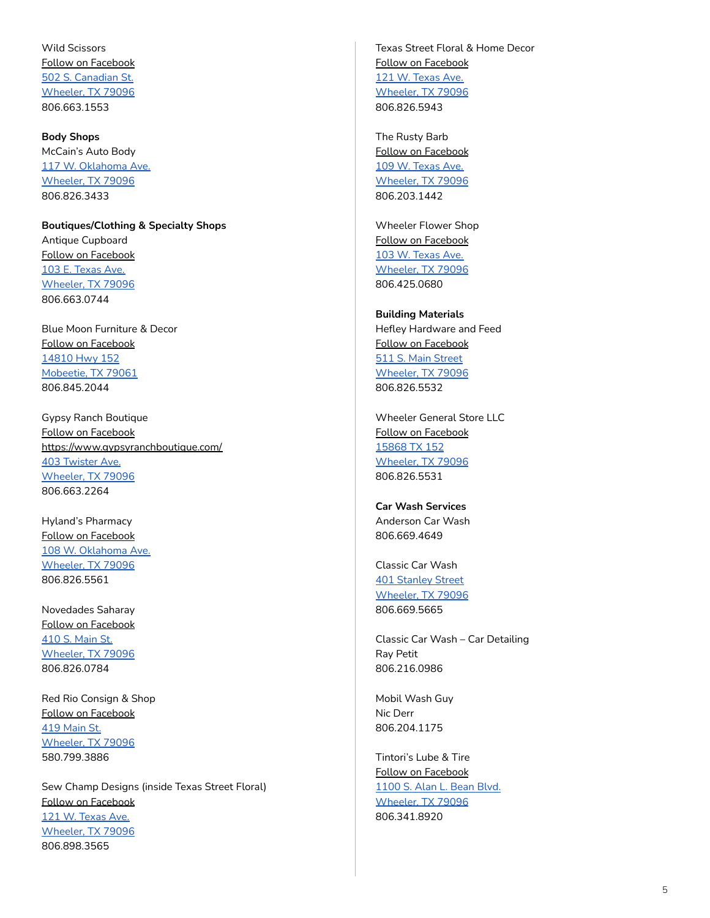Wild Scissors Follow on [Facebook](https://www.facebook.com/Wild-Scissors-248774098544422/) 502 S. [Canadian](https://www.google.com/maps/place/502+S+Canadian+St,+Wheeler,+TX+79096/@35.4437625,-100.2772199,17z/data=!3m1!4b1!4m5!3m4!1s0x87aa1f909df71eb5:0xffaa55c958fff710!8m2!3d35.4437581!4d-100.2750312) St. [Wheeler,](https://www.google.com/maps/place/502+S+Canadian+St,+Wheeler,+TX+79096/@35.4437625,-100.2772199,17z/data=!3m1!4b1!4m5!3m4!1s0x87aa1f909df71eb5:0xffaa55c958fff710!8m2!3d35.4437581!4d-100.2750312) TX 79096 806.663.1553

<span id="page-4-0"></span>**Body Shops** McCain's Auto Body 117 W. [Oklahoma](https://www.google.com/maps/place/117+W+Oklahoma+Ave,+Wheeler,+TX+79096/@35.4449514,-100.2768145,17z/data=!3m1!4b1!4m5!3m4!1s0x87aa1f908da311bd:0xcee11945148c7242!8m2!3d35.444947!4d-100.2746258) Ave. [Wheeler,](https://www.google.com/maps/place/117+W+Oklahoma+Ave,+Wheeler,+TX+79096/@35.4449514,-100.2768145,17z/data=!3m1!4b1!4m5!3m4!1s0x87aa1f908da311bd:0xcee11945148c7242!8m2!3d35.444947!4d-100.2746258) TX 79096 806.826.3433

**Boutiques/Clothing & Specialty Shops** Antique Cupboard Follow on [Facebook](https://www.facebook.com/groups/410483989008331/) 103 E. [Texas](https://www.google.com/maps/place/103+E+Texas+Ave,+Wheeler,+TX+79096/@35.4440737,-100.275004,17z/data=!3m1!4b1!4m5!3m4!1s0x87aa1f900aec3229:0x25d60cbf39475d39!8m2!3d35.4440693!4d-100.2728153) Ave. [Wheeler,](https://www.google.com/maps/place/103+E+Texas+Ave,+Wheeler,+TX+79096/@35.4440737,-100.275004,17z/data=!3m1!4b1!4m5!3m4!1s0x87aa1f900aec3229:0x25d60cbf39475d39!8m2!3d35.4440693!4d-100.2728153) TX 79096 806.663.0744

Blue Moon Furniture & Decor Follow on [Facebook](https://www.facebook.com/BlueMoon0729/) [14810](https://www.google.com/maps/place/14810+TX-152,+Mobeetie,+TX+79061/@35.5175378,-100.5490218,17z/data=!3m1!4b1!4m5!3m4!1s0x87a9fec75432949f:0x13ffdc76ce0c04bd!8m2!3d35.5175335!4d-100.5468331) Hwy 152 [Mobeetie,](https://www.google.com/maps/place/14810+TX-152,+Mobeetie,+TX+79061/@35.5175378,-100.5490218,17z/data=!3m1!4b1!4m5!3m4!1s0x87a9fec75432949f:0x13ffdc76ce0c04bd!8m2!3d35.5175335!4d-100.5468331) TX 79061 806.845.2044

Gypsy Ranch Boutique Follow on [Facebook](https://www.facebook.com/GypZRanch/) <https://www.gypsyranchboutique.com/> 403 [Twister](https://www.google.com/maps/search/403+Twister+Ave.+Wheeler,+TX+79096+++/@35.4448665,-100.2863744,15z/data=!3m1!4b1) Ave. [Wheeler,](https://www.google.com/maps/search/403+Twister+Ave.+Wheeler,+TX+79096+++/@35.4448665,-100.2863744,15z/data=!3m1!4b1) TX 79096 806.663.2264

Hyland's Pharmacy Follow on [Facebook](https://www.facebook.com/hylandspharmacy/) 108 W. [Oklahoma](https://www.google.com/maps/place/108+W+Oklahoma+Ave,+Wheeler,+TX+79096/@35.4458238,-100.2760257,17z/data=!3m1!4b1!4m5!3m4!1s0x87aa1f9059c891cf:0x93a4400f9b87d8d8!8m2!3d35.4458194!4d-100.273837) Ave. [Wheeler,](https://www.google.com/maps/place/108+W+Oklahoma+Ave,+Wheeler,+TX+79096/@35.4458238,-100.2760257,17z/data=!3m1!4b1!4m5!3m4!1s0x87aa1f9059c891cf:0x93a4400f9b87d8d8!8m2!3d35.4458194!4d-100.273837) TX 79096 806.826.5561

Novedades Saharay Follow on [Facebook](https://www.facebook.com/Novedades-Saharay-309206589220811/) 410 S. [Main](https://www.google.com/maps/place/410+S+Main+St,+Wheeler,+TX+79096/@35.4446514,-100.276122,17z/data=!3m1!4b1!4m5!3m4!1s0x87aa1f9062f279b5:0xe0fb24d669eef9cc!8m2!3d35.444647!4d-100.2739333) St. [Wheeler,](https://www.google.com/maps/place/410+S+Main+St,+Wheeler,+TX+79096/@35.4446514,-100.276122,17z/data=!3m1!4b1!4m5!3m4!1s0x87aa1f9062f279b5:0xe0fb24d669eef9cc!8m2!3d35.444647!4d-100.2739333) TX 79096 806.826.0784

Red Rio Consign & Shop Follow on [Facebook](https://www.facebook.com/redrioConsign/) 419 [Main](https://www.google.com/maps/place/419+S+Main+St,+Wheeler,+TX+79096/@35.4442569,-100.2746023,17z/data=!3m1!4b1!4m5!3m4!1s0x87aa1f9065210d41:0x4e89c3e42da938cd!8m2!3d35.4442525!4d-100.2724136) St. [Wheeler,](https://www.google.com/maps/place/419+S+Main+St,+Wheeler,+TX+79096/@35.4442569,-100.2746023,17z/data=!3m1!4b1!4m5!3m4!1s0x87aa1f9065210d41:0x4e89c3e42da938cd!8m2!3d35.4442525!4d-100.2724136) TX 79096 580.799.3886

Sew Champ Designs (inside Texas Street Floral) Follow on [Facebook](https://www.facebook.com/Sew-Champ-Designs-858134947655458/) 121 W. [Texas](https://www.google.com/maps/place/121+W+Texas+Ave,+Wheeler,+TX+79096/@35.4438308,-100.2767926,17z/data=!3m1!4b1!4m5!3m4!1s0x87aa1f9081d4f51d:0x6ab0f1da093a0dd0!8m2!3d35.4438264!4d-100.2746039) Ave. [Wheeler,](https://www.google.com/maps/place/121+W+Texas+Ave,+Wheeler,+TX+79096/@35.4438308,-100.2767926,17z/data=!3m1!4b1!4m5!3m4!1s0x87aa1f9081d4f51d:0x6ab0f1da093a0dd0!8m2!3d35.4438264!4d-100.2746039) TX 79096 806.898.3565

Texas Street Floral & Home Decor Follow on [Facebook](https://www.facebook.com/TexasStreetFloral/) 121 W. [Texas](https://www.google.com/maps/place/121+W+Texas+Ave,+Wheeler,+TX+79096/@35.4438308,-100.2767926,17z/data=!3m1!4b1!4m5!3m4!1s0x87aa1f9081d4f51d:0x6ab0f1da093a0dd0!8m2!3d35.4438264!4d-100.2746039) Ave. [Wheeler,](https://www.google.com/maps/place/121+W+Texas+Ave,+Wheeler,+TX+79096/@35.4438308,-100.2767926,17z/data=!3m1!4b1!4m5!3m4!1s0x87aa1f9081d4f51d:0x6ab0f1da093a0dd0!8m2!3d35.4438264!4d-100.2746039) TX 79096 806.826.5943

The Rusty Barb Follow on [Facebook](https://www.facebook.com/therustybarb27/) 109 W. [Texas](https://goo.gl/maps/CTUqcmGSMUcGt4jU9) Ave. [Wheeler,](https://goo.gl/maps/CTUqcmGSMUcGt4jU9) TX 79096 806.203.1442

Wheeler Flower Shop Follow on [Facebook](https://www.facebook.com/Wheeler-Flower-Shop-100178901385805/) 103 W. [Texas](https://goo.gl/maps/37JdrHTrxUA78LKUA) Ave. [Wheeler,](https://www.google.com/maps/place/418+S+Main+St,+Wheeler,+TX+79096/@35.4443799,-100.2760695,17z/data=!3m1!4b1!4m5!3m4!1s0x87aa1f907d0578d3:0x93ed3237c3455019!8m2!3d35.4443755!4d-100.2738808) TX 79096 806.425.0680

<span id="page-4-1"></span>**Building Materials** Hefley Hardware and Feed Follow on [Facebook](https://www.facebook.com/hefleyfeeds/) 511 S. Main [Street](https://www.google.com/maps/place/511+S+Main+St,+Wheeler,+TX+79096/@35.4434426,-100.2753903,17z/data=!3m1!4b1!4m5!3m4!1s0x87aa1f9a9bae83c7:0x6e30685f03df07bd!8m2!3d35.4434382!4d-100.2732016) [Wheeler,](https://www.google.com/maps/place/511+S+Main+St,+Wheeler,+TX+79096/@35.4434426,-100.2753903,17z/data=!3m1!4b1!4m5!3m4!1s0x87aa1f9a9bae83c7:0x6e30685f03df07bd!8m2!3d35.4434382!4d-100.2732016) TX 79096 806.826.5532

Wheeler General Store LLC Follow on [Facebook](https://www.facebook.com/thewheelergeneralstore/) [15868](https://www.google.com/maps/place/15868+TX-152,+Wheeler,+TX+79096/@35.4435562,-100.2602493,17z/data=!3m1!4b1!4m5!3m4!1s0x87aa20284370b72f:0x9c92148f0b2749ac!8m2!3d35.4435518!4d-100.2580606) TX 152 [Wheeler,](https://www.google.com/maps/place/15868+TX-152,+Wheeler,+TX+79096/@35.4435562,-100.2602493,17z/data=!3m1!4b1!4m5!3m4!1s0x87aa20284370b72f:0x9c92148f0b2749ac!8m2!3d35.4435518!4d-100.2580606) TX 79096 806.826.5531

<span id="page-4-2"></span>**Car [Wash](http://cca.dalhart.org/Car-Wash-__10005118_category.aspx) Services** Anderson Car Wash 806.669.4649

Classic Car Wash 401 [Stanley](https://www.google.com/maps/place/401+Stanley+St,+Wheeler,+TX+79096/@35.4439509,-100.269286,17z/data=!3m1!4b1!4m5!3m4!1s0x87aa1f858cdc4f41:0xb7e1f5bae6b17b5e!8m2!3d35.4439465!4d-100.2670973) Street [Wheeler,](https://www.google.com/maps/place/401+Stanley+St,+Wheeler,+TX+79096/@35.4439509,-100.269286,17z/data=!3m1!4b1!4m5!3m4!1s0x87aa1f858cdc4f41:0xb7e1f5bae6b17b5e!8m2!3d35.4439465!4d-100.2670973) TX 79096 806.669.5665

Classic Car Wash – Car Detailing Ray Petit 806.216.0986

Mobil Wash Guy Nic Derr 806.204.1175

Tintori's Lube & Tire Follow on [Facebook](https://www.facebook.com/tintoris/) [1100](https://www.google.com/maps/place/1100+S+Alan+L+Bean+Blvd,+Wheeler,+TX+79096/@35.43753,-100.2721492,3a,75y,274.75h,90t/data=!3m6!1e1!3m4!1s0l1NOF--9kqxn2upBStqNQ!2e0!7i13312!8i6656!4m5!3m4!1s0x87aa1f9cbc2aec43:0x80e7d96a67dd6bbe!8m2!3d35.4375485!4d-100.2724786) S. Alan L. Bean Blvd. [Wheeler,](https://www.google.com/maps/place/1100+S+Alan+L+Bean+Blvd,+Wheeler,+TX+79096/@35.43753,-100.2721492,3a,75y,274.75h,90t/data=!3m6!1e1!3m4!1s0l1NOF--9kqxn2upBStqNQ!2e0!7i13312!8i6656!4m5!3m4!1s0x87aa1f9cbc2aec43:0x80e7d96a67dd6bbe!8m2!3d35.4375485!4d-100.2724786) TX 79096 806.341.8920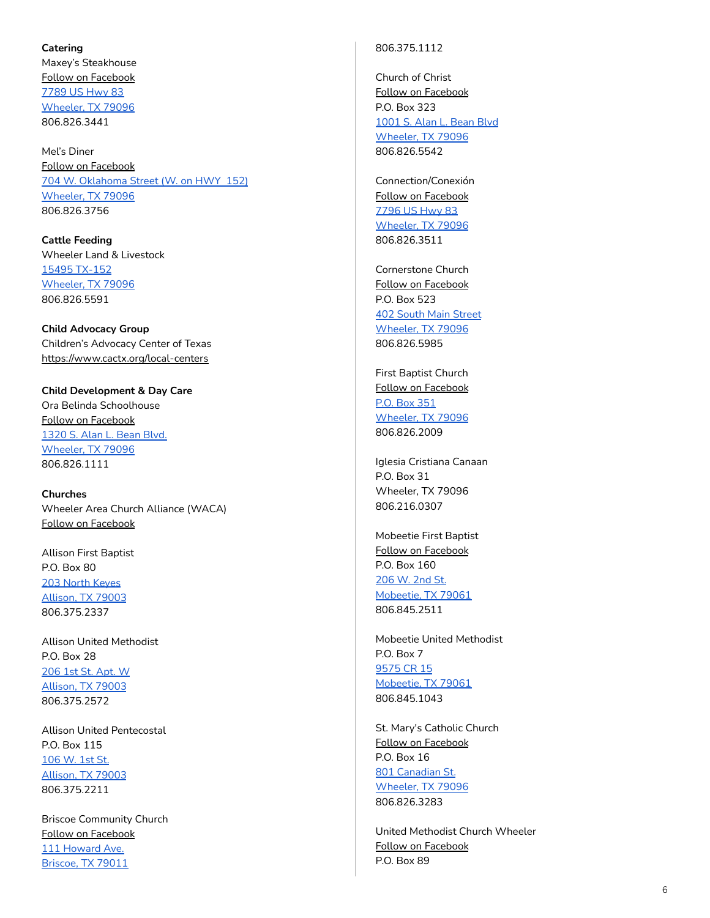#### <span id="page-5-0"></span>**C a t e r i n g**

Maxey's Steakhouse <u>Follo[w](https://www.facebook.com/MaxeysSteakhouse/) on Facebook</u> <u>7789 US H[w](https://www.google.com/maps/place/Maxey)y 83</u> <u>[W](https://www.google.com/maps/place/Maxey)heeler, TX 79096</u> 8 0 6.8 2 6.3 4 4 1

M e l's Din e r <u>Follo[w](https://www.facebook.com/Mels-Diner-of-Wheeler-Texas-240180734699/) on Facebook</u> <u>704 [W.](https://www.google.com/maps/place/Mel) Oklahoma Street (W. on HWY 152)</u> <u>[W](https://www.google.com/maps/place/Mel)heeler, TX 79096</u> 8 0 6.8 2 6.3 7 5 6

<span id="page-5-1"></span>**C a tt l e F e e d i n g** Wheeler Land & Livestock <u>15495 T[X](https://www.google.com/maps/place/15495+TX-152,+Mobeetie,+TX+79061/@35.5175378,-100.5490218,17z/data=!3m1!4b1!4m5!3m4!1s0x87a9fec75432949f:0x912d51eca07e5fc!8m2!3d35.5175335!4d-100.5468331)-152</u> <u>[W](https://www.google.com/maps/place/15495+TX-152,+Mobeetie,+TX+79061/@35.5175378,-100.5490218,17z/data=!3m1!4b1!4m5!3m4!1s0x87a9fec75432949f:0x912d51eca07e5fc!8m2!3d35.5175335!4d-100.5468331)heeler, TX 79096</u> 8 0 6.8 2 6.5 5 9 1

<span id="page-5-2"></span>**Child Advocacy Group** Children's Advocacy Center of Texas <u>http[s://w](https://www.cactx.org/local-centers)ww.cactx.org/local-centers</u>

<span id="page-5-3"></span>Child Development & Day Care Ora Belinda Schoolhouse <u>Follo[w](https://www.facebook.com/profile.php?id=100008613707317) on Facebook</u> <u>1320 [S.](https://www.google.com/maps/place/1320+S+Alan+L+Bean+Blvd,+Wheeler,+TX+79096/@35.4328248,-100.2749208,17z/data=!3m1!4b1!4m5!3m4!1s0x87aa1f77e453bcaf:0x4cb62f23f1c77e48!8m2!3d35.4328204!4d-100.2727321) Alan L. Bean Blvd.</u> [Wheeler,](https://www.google.com/maps/place/1320+S+Alan+L+Bean+Blvd,+Wheeler,+TX+79096/@35.4328248,-100.2749208,17z/data=!3m1!4b1!4m5!3m4!1s0x87aa1f77e453bcaf:0x4cb62f23f1c77e48!8m2!3d35.4328204!4d-100.2727321) TX 79096 806.826.1111

<span id="page-5-4"></span>**Churches** Wheeler Area Church Alliance (WACA) <u>Follo[w](https://www.facebook.com/wheelerareachurchalliance/) on Facebook</u>

Allison First Baptist P.O. B o x 8 0 <u>203 [N](https://www.google.com/maps/search/203+North+Keyes+Allison,+TX+79003/@35.6059134,-100.1181832,14z/data=!3m1!4b1)orth Keyes</u> <u>Al[lis](https://www.google.com/maps/search/203+North+Keyes+Allison,+TX+79003/@35.6059134,-100.1181832,14z/data=!3m1!4b1)on, TX 79003</u> 8 0 6.3 7 5.2 3 3 7

Allison United Methodist P.O. B o x 2 8 <u>206 1st St. Apt. [W](https://www.google.com/maps/search/206+1st+St.+Apt.+W+Allison,+TX+79003/@32.8665415,-103.4312811,6z/data=!3m1!4b1)</u> <u>Al[lis](https://www.google.com/maps/search/206+1st+St.+Apt.+W+Allison,+TX+79003/@32.8665415,-103.4312811,6z/data=!3m1!4b1)on, TX 79003</u> 8 0 6.3 7 5.2 5 7 2

Allison United Pentecostal P.O. Box 115 <u>106 [W.](https://www.google.com/maps/place/106+1st+St,+Allison,+TX+79003/@35.6072512,-100.1038656,17z/data=!3m1!4b1!4m5!3m4!1s0x87a98f6ce09a7d79:0xbc48d472d1842b3!8m2!3d35.6072469!4d-100.1016769) 1st St.</u> <u>[Allison,](https://www.google.com/maps/place/106+1st+St,+Allison,+TX+79003/@35.6072512,-100.1038656,17z/data=!3m1!4b1!4m5!3m4!1s0x87a98f6ce09a7d79:0xbc48d472d1842b3!8m2!3d35.6072469!4d-100.1016769) TX 79003</u> 8 0 6.3 7 5.2 2 1 1

Briscoe Community Church <u>Follo[w](https://www.facebook.com/BriscoeCommunityChurch/) on Facebook</u> <u>111 Ho[w](https://www.google.com/maps/place/Howard+Ave,+Briscoe,+TX+79011/@35.5826761,-100.2897927,17z/data=!3m1!4b1!4m5!3m4!1s0x87a9f36b5a486103:0x891350ee5b368474!8m2!3d35.5826718!4d-100.287604)ard Ave.</u> [Briscoe,](https://www.google.com/maps/place/Howard+Ave,+Briscoe,+TX+79011/@35.5826761,-100.2897927,17z/data=!3m1!4b1!4m5!3m4!1s0x87a9f36b5a486103:0x891350ee5b368474!8m2!3d35.5826718!4d-100.287604) TX 79011

#### 8 0 6.3 7 5.1 1 1 2

Church of Christ <u>Follo[w](https://www.facebook.com/wheelertxcoc/) on Facebook</u> P.O. B o x 3 2 3 <u>1001 [S.](https://www.google.com/maps/place/1001+S+Alan+L+Bean+Blvd,+Wheeler,+TX+79096/@35.4385717,-100.2739004,17z/data=!3m1!4b1!4m5!3m4!1s0x87aa1f9ca9da0aa5:0x6a6dc7a9911eb92c!8m2!3d35.4385673!4d-100.2717117) Alan L. Bean Blvd</u> <u>[W](https://www.google.com/maps/place/1001+S+Alan+L+Bean+Blvd,+Wheeler,+TX+79096/@35.4385717,-100.2739004,17z/data=!3m1!4b1!4m5!3m4!1s0x87aa1f9ca9da0aa5:0x6a6dc7a9911eb92c!8m2!3d35.4385673!4d-100.2717117)heeler, TX 79096</u> 8 0 6.8 2 6.5 5 4 2

Connection/Conexión <u>Follo[w](https://www.facebook.com/ConnectionConexion/) on Facebook</u> <u>7796 US H[w](https://www.google.com/maps/place/7796+US-83,+Wheeler,+TX+79096/@35.4297365,-100.2736813,17z/data=!3m1!4b1!4m5!3m4!1s0x87aa1f776356ea81:0x87f9178a201de04f!8m2!3d35.4297321!4d-100.2714926)y 83</u> <u>[W](https://www.google.com/maps/place/7796+US-83,+Wheeler,+TX+79096/@35.4297365,-100.2736813,17z/data=!3m1!4b1!4m5!3m4!1s0x87aa1f776356ea81:0x87f9178a201de04f!8m2!3d35.4297321!4d-100.2714926)heeler, TX 79096</u> 8 0 6.8 2 6.3 5 1 1

Cornerstone Church <u>Follo[w](https://www.facebook.com/CCWTX/) on Facebook</u> P.O. B o x 5 2 3 <u>402 South M[ain](https://www.google.com/maps/place/402+S+Main+St,+Wheeler,+TX+79096/@35.4449343,-100.2760257,17z/data=!3m1!4b1!4m5!3m4!1s0x87aa1f90619e3347:0x9b523a27904b44a6!8m2!3d35.4449299!4d-100.273837) Street</u> <u>[W](https://www.google.com/maps/place/402+S+Main+St,+Wheeler,+TX+79096/@35.4449343,-100.2760257,17z/data=!3m1!4b1!4m5!3m4!1s0x87aa1f90619e3347:0x9b523a27904b44a6!8m2!3d35.4449299!4d-100.273837)heeler, TX 79096</u> 8 0 6.8 2 6.5 9 8 5

First Baptist Church <u>Follo[w](https://www.facebook.com/pages/First-Baptist-Church-Wheeler/1544003539149535) on Facebook</u> <u>[P.O.](https://www.google.com/maps/place/First+Baptist+Church+Wheeler/@35.4324791,-100.2757783,17z/data=!3m1!4b1!4m5!3m4!1s0x87aa1f77d3b56137:0xe4bbfe734047c805!8m2!3d35.4324747!4d-100.2735896) Box 351</u> <u>[W](https://www.google.com/maps/place/First+Baptist+Church+Wheeler/@35.4324791,-100.2757783,17z/data=!3m1!4b1!4m5!3m4!1s0x87aa1f77d3b56137:0xe4bbfe734047c805!8m2!3d35.4324747!4d-100.2735896)heeler, TX 79096</u> 8 0 6.8 2 6.2 0 0 9

Iglesia Cristiana Canaan P.O. B o x 3 1 Wheeler, TX 79096 8 0 6.2 1 6.0 3 0 7

Mobeetie First Baptist <u>Follo[w](https://www.facebook.com/pages/First-Baptist-Church/928590523861948) on Facebook</u> P.O. B o x 1 6 0 <u>206 [W.](https://www.google.com/maps/place/206+2nd+St,+Mobeetie,+TX+79061/@35.5348571,-100.4384863,17z/data=!3m1!4b1!4m5!3m4!1s0x87a9f75905243a33:0x6a649ccb52c261de!8m2!3d35.5348528!4d-100.4362976) 2nd St.</u> <u>[Mobeetie,](https://www.google.com/maps/place/206+2nd+St,+Mobeetie,+TX+79061/@35.5348571,-100.4384863,17z/data=!3m1!4b1!4m5!3m4!1s0x87a9f75905243a33:0x6a649ccb52c261de!8m2!3d35.5348528!4d-100.4362976) TX 79061</u> 8 0 6.8 4 5.2 5 1 1

Mobeetie United Methodist P.O. B o x 7 <u>9575 [C](https://www.google.com/maps/search/9575+CR+15+Mobeetie,+TX+79061/@35.5212621,-100.4742487,13z/data=!3m1!4b1)R 15</u> <u>Mobee[tie,](https://www.google.com/maps/search/9575+CR+15+Mobeetie,+TX+79061/@35.5212621,-100.4742487,13z/data=!3m1!4b1) TX 79061</u> 8 0 6.8 4 5.1 0 4 3

St. Mary's Catholic Church <u>Follo[w](https://www.facebook.com/pages/St-Marys-Catholic-Church/165032116859098) on Facebook</u> P.O. B o x 1 6 <u>801 Cana[dia](https://www.google.com/maps/place/801+S+Canadian+St,+Wheeler,+TX+79096/@35.4417572,-100.2766971,17z/data=!3m1!4b1!4m5!3m4!1s0x87aa1f9a509d1241:0x6e6ca1685951f108!8m2!3d35.4417528!4d-100.2745084)n St.</u> <u>[Wheeler,](https://www.google.com/maps/place/801+S+Canadian+St,+Wheeler,+TX+79096/@35.4417572,-100.2766971,17z/data=!3m1!4b1!4m5!3m4!1s0x87aa1f9a509d1241:0x6e6ca1685951f108!8m2!3d35.4417528!4d-100.2745084) TX 79096</u> 8 0 6.8 2 6.3 2 8 3

United Methodist Church Wheeler <u>Follo[w](https://www.facebook.com/Wheeler-United-Methodist-Church-383040428834909/) on Facebook</u> P.O. B o x 8 9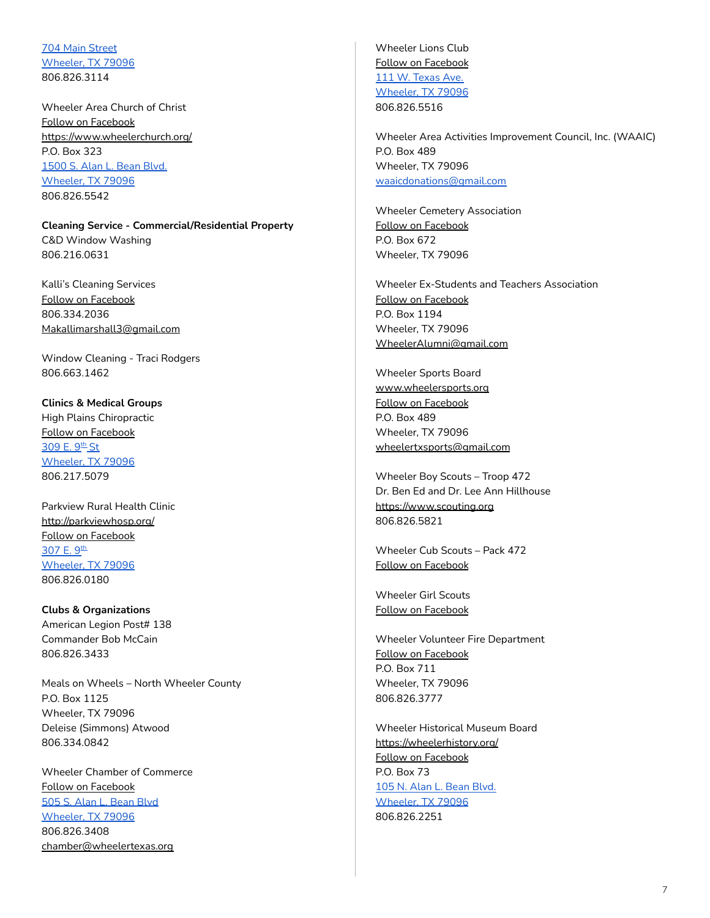704 Main [Street](https://www.google.com/maps/place/704+S+Main+St,+Wheeler,+TX+79096/@35.4417638,-100.275456,17z/data=!3m1!4b1!4m5!3m4!1s0x87aa1f9ae542ffa7:0xc358966d03b7a33d!8m2!3d35.4417594!4d-100.2732673) [Wheeler,](https://www.google.com/maps/place/704+S+Main+St,+Wheeler,+TX+79096/@35.4417638,-100.275456,17z/data=!3m1!4b1!4m5!3m4!1s0x87aa1f9ae542ffa7:0xc358966d03b7a33d!8m2!3d35.4417594!4d-100.2732673) TX 79096 806.826.3114

Wheeler Area Church of Christ Follow on [Facebook](https://www.facebook.com/wheelerareacofc/) <https://www.wheelerchurch.org/> P.O. Box 323 [1500](https://www.google.com/maps/place/1500+S+Alan+L+Bean+Blvd,+Wheeler,+TX+79096/@35.4305946,-100.2750397,17z/data=!3m1!4b1!4m5!3m4!1s0x87aa1f77a0e2a5bd:0xb400883e0fd043f4!8m2!3d35.4305902!4d-100.272851) S. Alan L. Bean Blvd. [Wheeler,](https://www.google.com/maps/place/1500+S+Alan+L+Bean+Blvd,+Wheeler,+TX+79096/@35.4305946,-100.2750397,17z/data=!3m1!4b1!4m5!3m4!1s0x87aa1f77a0e2a5bd:0xb400883e0fd043f4!8m2!3d35.4305902!4d-100.272851) TX 79096 806.826.5542

<span id="page-6-0"></span>**Cleaning Service - Commercial/Residential Property** C&D Window Washing 806.216.0631

Kalli's Cleaning Services Follow on [Facebook](https://www.facebook.com/kalliscleaningservices/) 806.334.2036 [Makallimarshall3@gmail.com](mailto:Makallimarshall3@gmail.com)

Window Cleaning - Traci Rodgers 806.663.1462

<span id="page-6-1"></span>**Clinics & Medical Groups** High Plains Chiropractic Follow on [Facebook](https://www.facebook.com/highplainschiropractic/) <u>[309](https://www.google.com/maps/place/309+E+9th+St,+Wheeler,+TX+79096/@35.4400009,-100.2720951,17z/data=!3m1!4b1!4m5!3m4!1s0x87aa1f84bfc7cf31:0x69e1fc3e2fd1a1e9!8m2!3d35.4399965!4d-100.2699064) E. 9<sup>th</sup> St</u> [Wheeler,](https://www.google.com/maps/place/309+E+9th+St,+Wheeler,+TX+79096/@35.4400009,-100.2720951,17z/data=!3m1!4b1!4m5!3m4!1s0x87aa1f84bfc7cf31:0x69e1fc3e2fd1a1e9!8m2!3d35.4399965!4d-100.2699064) TX 79096 806.217.5079

Parkview Rural Health Clinic <http://parkviewhosp.org/> Follow on [Facebook](https://www.facebook.com/pvruralhealthclinic/) <mark>[307](https://www.google.com/maps/place/307+E+9th+St,+Wheeler,+TX+79096/@35.440017,-100.272077,17z/data=!3m1!4b1!4m5!3m4!1s0x87aa1f84be3fed27:0xb8babe7dc3959cf3!8m2!3d35.4400126!4d-100.2698883) E. 9</mark>th [Wheeler,](https://www.google.com/maps/place/307+E+9th+St,+Wheeler,+TX+79096/@35.440017,-100.272077,17z/data=!3m1!4b1!4m5!3m4!1s0x87aa1f84be3fed27:0xb8babe7dc3959cf3!8m2!3d35.4400126!4d-100.2698883) TX 79096 806.826.0180

<span id="page-6-2"></span>**Clubs & Organizations** American Legion Post# 138 Commander Bob McCain 806.826.3433

Meals on Wheels – North Wheeler County P.O. Box 1125 Wheeler, TX 79096 Deleise (Simmons) Atwood 806.334.0842

Wheeler Chamber of Commerce Follow on [Facebook](https://www.facebook.com/wheelerchamber/) 505 S. Alan L. [Bean](https://www.google.com/maps/place/505+S+Alan+L+Bean+Blvd,+Wheeler,+TX+79096/@35.443301,-100.2740757,17z/data=!3m1!4b1!4m5!3m4!1s0x87aa1f9ab009b0b7:0xd17a63f9e5ead90f!8m2!3d35.4432966!4d-100.271887) Blvd [Wheeler,](https://www.google.com/maps/place/505+S+Alan+L+Bean+Blvd,+Wheeler,+TX+79096/@35.443301,-100.2740757,17z/data=!3m1!4b1!4m5!3m4!1s0x87aa1f9ab009b0b7:0xd17a63f9e5ead90f!8m2!3d35.4432966!4d-100.271887) TX 79096 806.826.3408 [chamber@wheelertexas.org](mailto:chamber@wheelertexas.org)

Wheeler Lions Club Follow on [Facebook](https://www.facebook.com/WheelerTXLionsClub/) 111 W. [Texas](https://www.google.com/maps/place/111+W+Texas+Ave,+Wheeler,+TX+79096/@35.4440741,-100.2760742,17z/data=!3m1!4b1!4m5!3m4!1s0x87aa1f907e5bc90f:0x58398e3475913280!8m2!3d35.4440697!4d-100.2738855) Ave. [Wheeler,](https://www.google.com/maps/place/111+W+Texas+Ave,+Wheeler,+TX+79096/@35.4440741,-100.2760742,17z/data=!3m1!4b1!4m5!3m4!1s0x87aa1f907e5bc90f:0x58398e3475913280!8m2!3d35.4440697!4d-100.2738855) TX 79096 806.826.5516

Wheeler Area Activities Improvement Council, Inc. (WAAIC) P.O. Box 489 Wheeler, TX 79096 [waaicdonations@gmail.com](mailto:waaicdonations@gmail.com)

Wheeler Cemetery Association Follow on [Facebook](https://www.facebook.com/Wheeler-Cemetery-Association-176149009682563/) P.O. Box 672 Wheeler, TX 79096

Wheeler Ex-Students and Teachers Association Follow on [Facebook](https://www.facebook.com/groups/WheelerExStudents/) P.O. Box 1194 Wheeler, TX 79096 [WheelerAlumni@gmail.com](mailto:WheelerAlumni@gmail.com)

Wheeler Sports Board [www.wheelersports.org](http://www.wheelersports.org) Follow on [Facebook](https://www.facebook.com/groups/302408530516633/) P.O. Box 489 Wheeler, TX 79096 [wheelertxsports@gmail.com](mailto:wheelertxsports@gmail.com)

Wheeler Boy Scouts – Troop 472 Dr. Ben Ed and Dr. Lee Ann Hillhouse <https://www.scouting.org> 806.826.5821

Wheeler Cub Scouts – Pack 472 Follow on [Facebook](https://www.facebook.com/cubscouts.wheeler/)

Wheeler Girl Scouts Follow on [Facebook](https://www.facebook.com/groups/882579558601459/)

Wheeler Volunteer Fire Department Follow on [Facebook](https://www.facebook.com/wheelervolunteerfiredepartment/) P.O. Box 711 Wheeler, TX 79096 806.826.3777

Wheeler Historical Museum Board <https://wheelerhistory.org/> Follow on [Facebook](https://www.facebook.com/wheelermuseum/) P.O. Box 73 105 N. Alan L. [Bean](https://www.google.com/maps/place/105+S+Alan+L+Bean+Blvd,+Wheeler,+TX+79096/@35.4478601,-100.27401,17z/data=!3m1!4b1!4m5!3m4!1s0x87aa1f91dcea90dd:0x90f7069f39882697!8m2!3d35.4478557!4d-100.2718213) Blvd. [Wheeler,](https://www.google.com/maps/place/105+S+Alan+L+Bean+Blvd,+Wheeler,+TX+79096/@35.4478601,-100.27401,17z/data=!3m1!4b1!4m5!3m4!1s0x87aa1f91dcea90dd:0x90f7069f39882697!8m2!3d35.4478557!4d-100.2718213) TX 79096 806.826.2251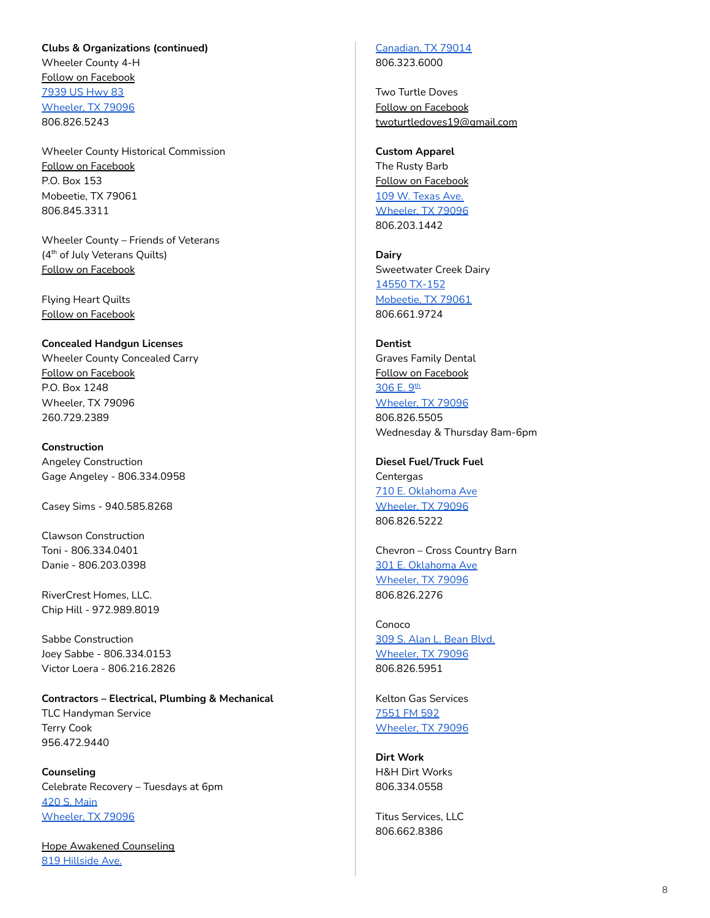#### **Clubs & Organizations (continued)**

Wheeler County 4-H Follow on [Facebook](https://www.facebook.com/WHCounty4H/) [7939](https://www.google.com/maps/place/7939+US-83,+Wheeler,+TX+79096/@35.4516093,-100.273506,17z/data=!3m1!4b1!4m5!3m4!1s0x87aa1f92781e9631:0xaa312fe871176d2e!8m2!3d35.4516049!4d-100.2713173) US Hwy 83 [Wheeler,](https://www.google.com/maps/place/7939+US-83,+Wheeler,+TX+79096/@35.4516093,-100.273506,17z/data=!3m1!4b1!4m5!3m4!1s0x87aa1f92781e9631:0xaa312fe871176d2e!8m2!3d35.4516049!4d-100.2713173) TX 79096 806.826.5243

Wheeler County Historical Commission Follow on [Facebook](https://www.facebook.com/Wheeler-County-Historical-Commission-1562132920672055/) P.O. Box 153 Mobeetie, TX 79061 806.845.3311

Wheeler County – Friends of Veterans (4<sup>th</sup> of July Veterans Quilts) Follow on [Facebook](https://www.facebook.com/groups/403271556819597/)

Flying Heart Quilts Follow on [Facebook](https://www.facebook.com/Flying-Heart-Quilts-406304203151284/)

<span id="page-7-0"></span>**Concealed Handgun Licenses** Wheeler County Concealed Carry Follow on [Facebook](https://www.facebook.com/wheelerchl/%20http://www.wheelerchl.com/)

P.O. Box 1248 Wheeler, TX 79096 260.729.2389

<span id="page-7-1"></span>**Construction** Angeley Construction Gage Angeley - 806.334.0958

Casey Sims - 940.585.8268

Clawson Construction Toni - 806.334.0401 Danie - 806.203.0398

RiverCrest Homes, LLC. Chip Hill - 972.989.8019

Sabbe Construction Joey Sabbe - 806.334.0153 Victor Loera - 806.216.2826

<span id="page-7-2"></span>**Contractors – Electrical, Plumbing & Mechanical** TLC Handyman Service Terry Cook 956.472.9440

<span id="page-7-3"></span>**Counseling** Celebrate Recovery – Tuesdays at 6pm 420 S. [Main](https://www.google.com/maps/place/420+S+Main+St,+Wheeler,+TX+79096/@35.4442907,-100.2760695,17z/data=!3m1!4b1!4m5!3m4!1s0x87aa1f907d18290d:0xd8a6bd11780df3fb!8m2!3d35.4442907!4d-100.2738808) [Wheeler,](https://www.google.com/maps/place/420+S+Main+St,+Wheeler,+TX+79096/@35.4442907,-100.2760695,17z/data=!3m1!4b1!4m5!3m4!1s0x87aa1f907d18290d:0xd8a6bd11780df3fb!8m2!3d35.4442907!4d-100.2738808) TX 79096

Hope Awakened [Counseling](https://hacounseling.com/) 819 [Hillside](https://www.google.com/maps/place/819+Hillside+Ave,+Canadian,+TX+79014/@35.9083371,-100.3844091,17z/data=!3m1!4b1!4m5!3m4!1s0x87a9c47069ad2d95:0x30f4783c46f32dbb!8m2!3d35.9083371!4d-100.3822151) Ave.

[Canadian,](https://www.google.com/maps/place/819+Hillside+Ave,+Canadian,+TX+79014/@35.9083371,-100.3844091,17z/data=!3m1!4b1!4m5!3m4!1s0x87a9c47069ad2d95:0x30f4783c46f32dbb!8m2!3d35.9083371!4d-100.3822151) TX 79014 806.323.6000

Two Turtle Doves Follow on [Facebook](https://www.facebook.com/lifeandrelationshipmentorship/) [twoturtledoves19@gmail.com](mailto:twoturtledoves19@gmail.com)

<span id="page-7-4"></span>**[Custom](http://cca.dalhart.org/Custom-Apparel-__5005652_category.aspx) Apparel** The Rusty Barb Follow on [Facebook](https://www.facebook.com/therustybarb27/) 109 W. [Texas](https://goo.gl/maps/CTUqcmGSMUcGt4jU9) Ave. [Wheeler,](https://goo.gl/maps/CTUqcmGSMUcGt4jU9) TX 79096 806.203.1442

<span id="page-7-5"></span>**Dairy** Sweetwater Creek Dairy 14550 [TX-152](https://www.google.com/maps/place/14550+TX-152,+Mobeetie,+TX+79061/@35.5173034,-100.4952259,17z/data=!3m1!4b1!4m5!3m4!1s0x87a9f90c2b567d27:0xfadcb7de879e2588!8m2!3d35.5173034!4d-100.4930319) [Mobeetie,](https://www.google.com/maps/place/14550+TX-152,+Mobeetie,+TX+79061/@35.5173034,-100.4952259,17z/data=!3m1!4b1!4m5!3m4!1s0x87a9f90c2b567d27:0xfadcb7de879e2588!8m2!3d35.5173034!4d-100.4930319) TX 79061 806.661.9724

<span id="page-7-6"></span>**Dentist** Graves Family Dental Follow on [Facebook](https://www.facebook.com/gravesfamilydental/) <u>[306](https://www.google.com/maps/place/306+E+9th+St,+Wheeler,+TX+79096/@35.4398656,-100.2729938,17z/data=!3m1!4b1!4m5!3m4!1s0x87aa1f84b68afab7:0x5b5def33fe8d8c3a!8m2!3d35.4398656!4d-100.2707998) E. 9<sup>th</sup></u> [Wheeler,](https://www.google.com/maps/place/306+E+9th+St,+Wheeler,+TX+79096/@35.4398656,-100.2729938,17z/data=!3m1!4b1!4m5!3m4!1s0x87aa1f84b68afab7:0x5b5def33fe8d8c3a!8m2!3d35.4398656!4d-100.2707998) TX 79096 806.826.5505 Wednesday & Thursday 8am-6pm

<span id="page-7-7"></span>**Diesel Fuel/Truck Fuel Centergas** 710 E. [Oklahoma](https://www.google.com/maps/place/710+E+Oklahoma+Ave,+Wheeler,+TX+79096/@35.4442852,-100.2660401,17z/data=!3m1!4b1!4m5!3m4!1s0x87aa1f86270e5991:0x9b496187b6e94571!8m2!3d35.4442852!4d-100.2638461) Ave [Wheeler,](https://www.google.com/maps/place/710+E+Oklahoma+Ave,+Wheeler,+TX+79096/@35.4442852,-100.2660401,17z/data=!3m1!4b1!4m5!3m4!1s0x87aa1f86270e5991:0x9b496187b6e94571!8m2!3d35.4442852!4d-100.2638461) TX 79096 806.826.5222

Chevron – Cross Country Barn 301 E. [Oklahoma](https://www.google.com/maps/place/301+E+Oklahoma+Ave,+Wheeler,+TX+79096/@35.4457233,-100.2727007,17z/data=!3m1!4b1!4m5!3m4!1s0x87aa1f8fc330e311:0xf3fdd2dd1539587e!8m2!3d35.4457233!4d-100.2705067) Ave [Wheeler,](https://www.google.com/maps/place/301+E+Oklahoma+Ave,+Wheeler,+TX+79096/@35.4457233,-100.2727007,17z/data=!3m1!4b1!4m5!3m4!1s0x87aa1f8fc330e311:0xf3fdd2dd1539587e!8m2!3d35.4457233!4d-100.2705067) TX 79096 806.826.2276

Conoco 309 S. Alan L. [Bean](https://www.google.com/maps/place/309+S+Alan+L+Bean+Blvd,+Wheeler,+TX+79096/@35.4454013,-100.2740871,17z/data=!3m1!4b1!4m5!3m4!1s0x87aa1f9022cc0035:0xd519a060e1451b40!8m2!3d35.4454013!4d-100.2718931) Blvd. [Wheeler,](https://www.google.com/maps/place/309+S+Alan+L+Bean+Blvd,+Wheeler,+TX+79096/@35.4454013,-100.2740871,17z/data=!3m1!4b1!4m5!3m4!1s0x87aa1f9022cc0035:0xd519a060e1451b40!8m2!3d35.4454013!4d-100.2718931) TX 79096 806.826.5951

Kelton Gas Services [7551](https://www.google.com/maps/place/Kelton+Gas+Services/@35.3282672,-100.2739565,17z/data=!3m1!4b1!4m5!3m4!1s0x87aa1f9a8ef4638f:0x4efc834413f43ba3!8m2!3d35.3282672!4d-100.2717625) FM 592 [Wheeler,](https://www.google.com/maps/place/Kelton+Gas+Services/@35.3282672,-100.2739565,17z/data=!3m1!4b1!4m5!3m4!1s0x87aa1f9a8ef4638f:0x4efc834413f43ba3!8m2!3d35.3282672!4d-100.2717625) TX 79096

<span id="page-7-8"></span>**Dirt Work** H&H Dirt Works 806.334.0558

Titus Services, LLC 806.662.8386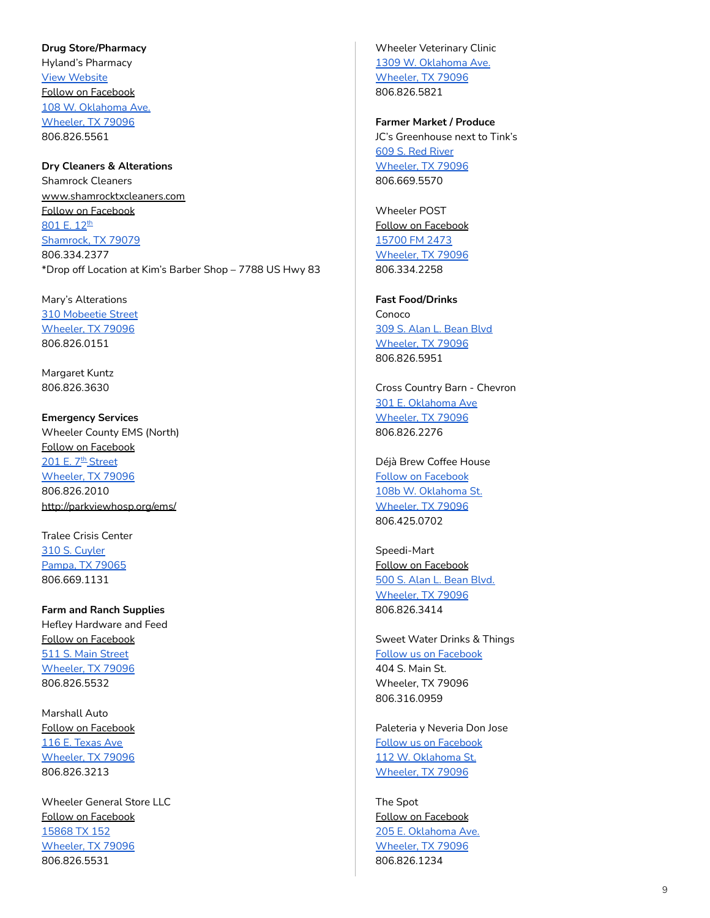#### <span id="page-8-0"></span>**Drug Store/Pharmacy**

Hyland's Pharmacy View [Website](https://www.mygnp.com/pharmacies/hylands-pharmacy-llc-wheeler-tx-79096/?utm_source=google&utm_medium=local&utm_campaign=localmaps&utm_content=4551114) Follow on [Facebook](https://www.facebook.com/hylandspharmacy/) 108 W. [Oklahoma](https://www.google.com/maps/place/108+W+Oklahoma+Ave,+Wheeler,+TX+79096/@35.4458194,-100.276031,17z/data=!3m1!4b1!4m5!3m4!1s0x87aa1f9059c891cf:0x93a4400f9b87d8d8!8m2!3d35.4458194!4d-100.273837) Ave. [Wheeler,](https://www.google.com/maps/place/108+W+Oklahoma+Ave,+Wheeler,+TX+79096/@35.4458194,-100.276031,17z/data=!3m1!4b1!4m5!3m4!1s0x87aa1f9059c891cf:0x93a4400f9b87d8d8!8m2!3d35.4458194!4d-100.273837) TX 79096 806.826.5561

## <span id="page-8-1"></span>**Dry Cleaners & Alterations**

Shamrock Cleaners [www.shamrocktxcleaners.com](http://www.shamrocktxcleaners.com) Follow on [Facebook](https://www.facebook.com/shamrocktxcleaners/) <u>[801](https://www.google.com/maps/place/801+E+12th+St,+Shamrock,+TX+79079/@35.2265586,-100.2433351,17z/data=!3m1!4b1!4m5!3m4!1s0x87aa3de7062929c3:0xabce9032a36d6927!8m2!3d35.2265586!4d-100.2411411) E. 12<sup>th</sup></u> [Shamrock,](https://www.google.com/maps/place/801+E+12th+St,+Shamrock,+TX+79079/@35.2265586,-100.2433351,17z/data=!3m1!4b1!4m5!3m4!1s0x87aa3de7062929c3:0xabce9032a36d6927!8m2!3d35.2265586!4d-100.2411411) TX 79079 806.334.2377 \*Drop off Location at Kim's Barber Shop – 7788 US Hwy 83

Mary's Alterations 310 [Mobeetie](https://www.google.com/maps/place/310+S+Mobeetie+St,+Wheeler,+TX+79096/@35.4452628,-100.2785727,17z/data=!3m1!4b1!4m5!3m4!1s0x87aa1f90c93ef9c9:0x264e6acd2904f4bb!8m2!3d35.4452628!4d-100.2763787) Street [Wheeler,](https://www.google.com/maps/place/310+S+Mobeetie+St,+Wheeler,+TX+79096/@35.4452628,-100.2785727,17z/data=!3m1!4b1!4m5!3m4!1s0x87aa1f90c93ef9c9:0x264e6acd2904f4bb!8m2!3d35.4452628!4d-100.2763787) TX 79096 806.826.0151

Margaret Kuntz 806.826.3630

#### <span id="page-8-2"></span>**Emergency Services**

Wheeler County EMS (North) Follow on [Facebook](https://www.facebook.com/pages/Wheeler-EMS/159904954035405) 201 E. 7th [Street](https://www.google.com/maps/place/201+E+7th+St,+Wheeler,+TX+79096/@35.4419465,-100.2743749,17z/data=!3m1!4b1!4m5!3m4!1s0x87aa1f9ad211a139:0xd9961648ee5b5153!8m2!3d35.4419465!4d-100.2721809) [Wheeler,](https://www.google.com/maps/place/201+E+7th+St,+Wheeler,+TX+79096/@35.4419465,-100.2743749,17z/data=!3m1!4b1!4m5!3m4!1s0x87aa1f9ad211a139:0xd9961648ee5b5153!8m2!3d35.4419465!4d-100.2721809) TX 79096 806.826.2010 <http://parkviewhosp.org/ems/>

Tralee Crisis Center 310 S. [Cuyler](https://www.google.com/maps/place/310+S+Cuyler+St,+Pampa,+TX+79065/@35.5334981,-100.9622772,17z/data=!3m1!4b1!4m5!3m4!1s0x870749c7c64e04d3:0xbde7dfd00fa4476b!8m2!3d35.5334981!4d-100.9600832) [Pampa,](https://www.google.com/maps/place/310+S+Cuyler+St,+Pampa,+TX+79065/@35.5334981,-100.9622772,17z/data=!3m1!4b1!4m5!3m4!1s0x870749c7c64e04d3:0xbde7dfd00fa4476b!8m2!3d35.5334981!4d-100.9600832) TX 79065 806.669.1131

<span id="page-8-3"></span>**Farm and Ranch Supplies** Hefley Hardware and Feed Follow on [Facebook](https://www.facebook.com/hefleyfeeds/) 511 S. Main [Street](https://www.google.com/maps/place/511+S+Main+St,+Wheeler,+TX+79096/@35.4434382,-100.2753956,17z/data=!3m1!4b1!4m5!3m4!1s0x87aa1f9a9bae83c7:0x6e30685f03df07bd!8m2!3d35.4434382!4d-100.2732016) [Wheeler,](https://www.google.com/maps/place/511+S+Main+St,+Wheeler,+TX+79096/@35.4434382,-100.2753956,17z/data=!3m1!4b1!4m5!3m4!1s0x87aa1f9a9bae83c7:0x6e30685f03df07bd!8m2!3d35.4434382!4d-100.2732016) TX 79096 806.826.5532

Marshall Auto Follow on [Facebook](https://www.facebook.com/pages/Marshall-Discount-Auto/869781833074881) 116 E. [Texas](https://www.google.com/maps/place/116+E+Texas+Ave,+Wheeler,+TX+79096/@35.4438103,-100.2747602,17z/data=!3m1!4b1!4m5!3m4!1s0x87aa1f9aa1c94fad:0x8048e7709176c07e!8m2!3d35.4438103!4d-100.2725662) Ave [Wheeler,](https://www.google.com/maps/place/116+E+Texas+Ave,+Wheeler,+TX+79096/@35.4438103,-100.2747602,17z/data=!3m1!4b1!4m5!3m4!1s0x87aa1f9aa1c94fad:0x8048e7709176c07e!8m2!3d35.4438103!4d-100.2725662) TX 79096 806.826.3213

Wheeler General Store LLC Follow on [Facebook](https://www.facebook.com/thewheelergeneralstore/) [15868](https://www.google.com/maps/place/15868+TX-152,+Wheeler,+TX+79096/@35.4438103,-100.2747602,17z/data=!4m5!3m4!1s0x87aa20284370b72f:0x9c92148f0b2749ac!8m2!3d35.4435518!4d-100.2580606) TX 152 [Wheeler,](https://www.google.com/maps/place/15868+TX-152,+Wheeler,+TX+79096/@35.4438103,-100.2747602,17z/data=!4m5!3m4!1s0x87aa20284370b72f:0x9c92148f0b2749ac!8m2!3d35.4435518!4d-100.2580606) TX 79096 806.826.5531

Wheeler Veterinary Clinic 1309 W. [Oklahoma](https://www.google.com/maps/place/1309+W+Oklahoma+Ave,+Wheeler,+TX+79096/@35.4444983,-100.2956432,17z/data=!3m1!4b1!4m5!3m4!1s0x87aa1fba83ea1595:0x55c3111d2684334b!8m2!3d35.4444983!4d-100.2934492) Ave. [Wheeler,](https://www.google.com/maps/place/1309+W+Oklahoma+Ave,+Wheeler,+TX+79096/@35.4444983,-100.2956432,17z/data=!3m1!4b1!4m5!3m4!1s0x87aa1fba83ea1595:0x55c3111d2684334b!8m2!3d35.4444983!4d-100.2934492) TX 79096 806.826.5821

<span id="page-8-4"></span>**Farmer Market / Produce** JC's Greenhouse next to Tink's 609 S. Red [River](https://www.google.com/maps/place/609+S+Red+River+St,+Wheeler,+TX+79096/@35.4426135,-100.2714873,17z/data=!3m1!4b1!4m5!3m4!1s0x87aa1f851234f2a3:0xff2f356ee61a038d!8m2!3d35.4426135!4d-100.2692933) [Wheeler,](https://www.google.com/maps/place/609+S+Red+River+St,+Wheeler,+TX+79096/@35.4426135,-100.2714873,17z/data=!3m1!4b1!4m5!3m4!1s0x87aa1f851234f2a3:0xff2f356ee61a038d!8m2!3d35.4426135!4d-100.2692933) TX 79096 806.669.5570

Wheeler POST Follow on [Facebook](https://www.facebook.com/Wheeler-POST-Gardens-110441940539332/) [15700](https://www.google.com/maps/place/35%C2%B025) FM 2473 [Wheeler,](https://www.google.com/maps/search/15700+FM+2473+Wheeler,+TX+79096/@35.4409411,-100.296295,14z/data=!3m1!4b1) TX 79096 806.334.2258

<span id="page-8-5"></span>**[Fast](http://cca.dalhart.org/Fast-Food-__5047892_category.aspx) Food/Drinks** Conoco 309 S. Alan L. [Bean](https://www.google.com/maps/place/309+S+Alan+L+Bean+Blvd,+Wheeler,+TX+79096/@35.4454013,-100.2740871,17z/data=!3m1!4b1!4m5!3m4!1s0x87aa1f9022cc0035:0xd519a060e1451b40!8m2!3d35.4454013!4d-100.2718931) Blvd [Wheeler,](https://www.google.com/maps/place/309+S+Alan+L+Bean+Blvd,+Wheeler,+TX+79096/@35.4454013,-100.2740871,17z/data=!3m1!4b1!4m5!3m4!1s0x87aa1f9022cc0035:0xd519a060e1451b40!8m2!3d35.4454013!4d-100.2718931) TX 79096 806.826.5951

Cross Country Barn - Chevron 301 E. [Oklahoma](https://www.google.com/maps/place/301+E+Oklahoma+Ave,+Wheeler,+TX+79096/@35.4457233,-100.2727007,17z/data=!3m1!4b1!4m5!3m4!1s0x87aa1f8fc330e311:0xf3fdd2dd1539587e!8m2!3d35.4457233!4d-100.2705067) Ave [Wheeler,](https://www.google.com/maps/place/301+E+Oklahoma+Ave,+Wheeler,+TX+79096/@35.4457233,-100.2727007,17z/data=!3m1!4b1!4m5!3m4!1s0x87aa1f8fc330e311:0xf3fdd2dd1539587e!8m2!3d35.4457233!4d-100.2705067) TX 79096 806.826.2276

Déjà Brew Coffee House Follow on [Facebook](https://www.facebook.com/D%C3%A9j%C3%A0-Brew-Coffee-House-105180171028391/?ref=page_internal) 108b W. [Oklahoma](https://goo.gl/maps/kXwL6Lpt3EP9bT9z8) St. [Wheeler,](https://goo.gl/maps/kXwL6Lpt3EP9bT9z8) TX 79096 806.425.0702

Speedi-Mart Follow on [Facebook](https://www.facebook.com/speedimartcstore/) 500 S. Alan L. [Bean](https://www.google.com/maps/place/500+S+Alan+L+Bean+Blvd,+Wheeler,+TX+79096/@35.4436742,-100.2746287,17z/data=!3m1!4b1!4m5!3m4!1s0x87aa1f9aa1a78071:0x54e3e6e8fe440f22!8m2!3d35.4436742!4d-100.2724347) Blvd. [Wheeler,](https://www.google.com/maps/place/500+S+Alan+L+Bean+Blvd,+Wheeler,+TX+79096/@35.4436742,-100.2746287,17z/data=!3m1!4b1!4m5!3m4!1s0x87aa1f9aa1a78071:0x54e3e6e8fe440f22!8m2!3d35.4436742!4d-100.2724347) TX 79096 806.826.3414

Sweet Water Drinks & Things Follow us on [Facebook](https://www.facebook.com/Sweet-Water-Drinks-Things-102273328670663/?ref=page_internal) 404 S. Main St. Wheeler, TX 79096 806.316.0959

Paleteria y Neveria Don Jose Follow us on [Facebook](https://www.facebook.com/paleteriadonjose) 112 W. [Oklahoma](https://goo.gl/maps/JBz3v3LVkWsbg9q3A) St. [Wheeler,](https://goo.gl/maps/JBz3v3LVkWsbg9q3A) TX 79096

The Spot Follow on [Facebook](https://www.facebook.com/pages/Spot/204165176588534) 205 E. [Oklahoma](https://www.google.com/maps/place/205+E+Oklahoma+Ave,+Wheeler,+TX+79096/@35.4454765,-100.2737254,17z/data=!3m1!4b1!4m5!3m4!1s0x87aa1f9021ed9fc5:0x106a08331f04fd97!8m2!3d35.4454765!4d-100.2715314) Ave. [Wheeler,](https://www.google.com/maps/place/205+E+Oklahoma+Ave,+Wheeler,+TX+79096/@35.4454765,-100.2737254,17z/data=!3m1!4b1!4m5!3m4!1s0x87aa1f9021ed9fc5:0x106a08331f04fd97!8m2!3d35.4454765!4d-100.2715314) TX 79096 806.826.1234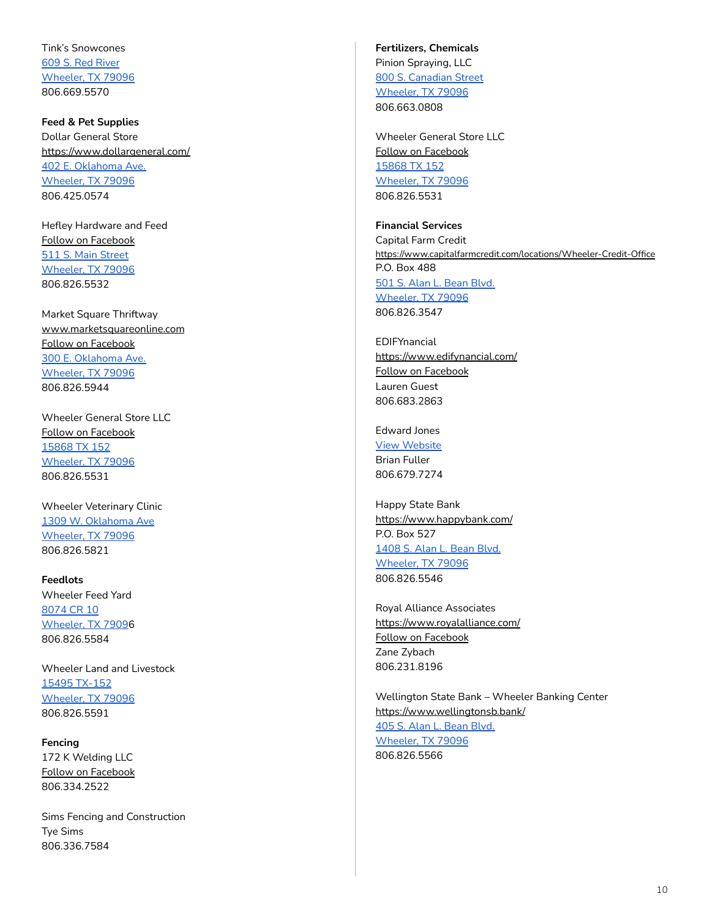Tink's Snowcones 609 S. Red [River](https://www.google.com/maps/place/609+S+Red+River+St,+Wheeler,+TX+79096/@35.4426135,-100.2714873,17z/data=!3m1!4b1!4m5!3m4!1s0x87aa1f851234f2a3:0xff2f356ee61a038d!8m2!3d35.4426135!4d-100.2692933) [Wheeler,](https://www.google.com/maps/place/609+S+Red+River+St,+Wheeler,+TX+79096/@35.4426135,-100.2714873,17z/data=!3m1!4b1!4m5!3m4!1s0x87aa1f851234f2a3:0xff2f356ee61a038d!8m2!3d35.4426135!4d-100.2692933) TX 79096 806.669.5570

<span id="page-9-0"></span>**[Feed](http://cca.dalhart.org/Feed-Pet-Supplies-__5011815_category.aspx) & Pet Supplies** Dollar General Store <https://www.dollargeneral.com/> 402 E. [Oklahoma](https://www.google.com/maps/place/402+E+Oklahoma+Ave,+Wheeler,+TX+79096/@35.4447849,-100.2715395,17z/data=!3m1!4b1!4m5!3m4!1s0x87aa1f8f8e56e2b1:0x5786919f2faee49b!8m2!3d35.4447849!4d-100.2693455) Ave. [Wheeler,](https://www.google.com/maps/place/402+E+Oklahoma+Ave,+Wheeler,+TX+79096/@35.4447849,-100.2715395,17z/data=!3m1!4b1!4m5!3m4!1s0x87aa1f8f8e56e2b1:0x5786919f2faee49b!8m2!3d35.4447849!4d-100.2693455) TX 79096 806.425.0574

Hefley Hardware and Feed Follow on [Facebook](https://www.facebook.com/hefleyfeeds/) 511 S. Main [Street](https://www.google.com/maps/place/511+S+Main+St,+Wheeler,+TX+79096/@35.4434382,-100.2753956,17z/data=!3m1!4b1!4m5!3m4!1s0x87aa1f9a9bae83c7:0x6e30685f03df07bd!8m2!3d35.4434382!4d-100.2732016) [Wheeler,](https://www.google.com/maps/place/511+S+Main+St,+Wheeler,+TX+79096/@35.4434382,-100.2753956,17z/data=!3m1!4b1!4m5!3m4!1s0x87aa1f9a9bae83c7:0x6e30685f03df07bd!8m2!3d35.4434382!4d-100.2732016) TX 79096 806.826.5532

Market Square Thriftway [www.marketsquareonline.com](http://www.marketsquareonline.com) Follow on [Facebook](https://www.facebook.com/MarketSquare/) 300 E. [Oklahoma](https://www.google.com/maps/place/300+E+Oklahoma+Ave,+Wheeler,+TX+79096/@35.4444397,-100.2721091,17z/data=!3m1!4b1!4m5!3m4!1s0x87aa1f8ff48b137f:0xe1d2d70446394cfd!8m2!3d35.4444397!4d-100.2699151) Ave. [Wheeler,](https://www.google.com/maps/place/300+E+Oklahoma+Ave,+Wheeler,+TX+79096/@35.4444397,-100.2721091,17z/data=!3m1!4b1!4m5!3m4!1s0x87aa1f8ff48b137f:0xe1d2d70446394cfd!8m2!3d35.4444397!4d-100.2699151) TX 79096 806.826.5944

Wheeler General Store LLC Follow on [Facebook](https://www.facebook.com/thewheelergeneralstore/) [15868](https://www.google.com/maps/place/15868+TX-152,+Wheeler,+TX+79096/@35.4435518,-100.2602546,17z/data=!3m1!4b1!4m5!3m4!1s0x87aa20284370b72f:0x9c92148f0b2749ac!8m2!3d35.4435518!4d-100.2580606) TX 152 [Wheeler,](https://www.google.com/maps/place/15868+TX-152,+Wheeler,+TX+79096/@35.4435518,-100.2602546,17z/data=!3m1!4b1!4m5!3m4!1s0x87aa20284370b72f:0x9c92148f0b2749ac!8m2!3d35.4435518!4d-100.2580606) TX 79096 806.826.5531

Wheeler Veterinary Clinic 1309 W. [Oklahoma](https://www.google.com/maps/place/1309+W+Oklahoma+Ave,+Wheeler,+TX+79096/@35.4444983,-100.2956432,17z/data=!3m1!4b1!4m5!3m4!1s0x87aa1fba83ea1595:0x55c3111d2684334b!8m2!3d35.4444983!4d-100.2934492) Ave [Wheeler,](https://www.google.com/maps/place/1309+W+Oklahoma+Ave,+Wheeler,+TX+79096/@35.4444983,-100.2956432,17z/data=!3m1!4b1!4m5!3m4!1s0x87aa1fba83ea1595:0x55c3111d2684334b!8m2!3d35.4444983!4d-100.2934492) TX 79096 806.826.5821

<span id="page-9-1"></span>**Feedlots** Wheeler Feed Yard [8074](https://www.google.com/maps/search/8074+CR+10+Wheeler,+TX+7909/@35.4409411,-100.296295,14z/data=!3m1!4b1) CR 10 [Wheeler,](https://www.google.com/maps/search/8074+CR+10+Wheeler,+TX+7909/@35.4409411,-100.296295,14z/data=!3m1!4b1) TX 79096 806.826.5584

Wheeler Land and Livestock 15495 [TX-152](https://www.google.com/maps/place/15495+TX-152,+Mobeetie,+TX+79061/@35.5175335,-100.5490271,17z/data=!3m1!4b1!4m5!3m4!1s0x87a9fec75432949f:0x912d51eca07e5fc!8m2!3d35.5175335!4d-100.5468331) [Wheeler,](https://www.google.com/maps/place/15495+TX-152,+Mobeetie,+TX+79061/@35.5175335,-100.5490271,17z/data=!3m1!4b1!4m5!3m4!1s0x87a9fec75432949f:0x912d51eca07e5fc!8m2!3d35.5175335!4d-100.5468331) TX 79096 806.826.5591

<span id="page-9-2"></span>**Fencing** 172 K Welding LLC Follow on [Facebook](https://www.facebook.com/172KWelding/) 806.334.2522

Sims Fencing and Construction Tye Sims 806.336.7584

<span id="page-9-3"></span>**[Fertilizers,](http://cca.dalhart.org/Fertilizers-Chemicals-__5005991_category.aspx) Chemicals** Pinion Spraying, LLC

800 S. [Canadian](https://www.google.com/maps/place/800+S+Canadian+St,+Wheeler,+TX+79096/@35.4407197,-100.2772142,17z/data=!3m1!4b1!4m5!3m4!1s0x87aa1f9bb3e5ad71:0xf146b16b5d687879!8m2!3d35.4407197!4d-100.2750202) Street [Wheeler,](https://www.google.com/maps/place/800+S+Canadian+St,+Wheeler,+TX+79096/@35.4407197,-100.2772142,17z/data=!3m1!4b1!4m5!3m4!1s0x87aa1f9bb3e5ad71:0xf146b16b5d687879!8m2!3d35.4407197!4d-100.2750202) TX 79096 806.663.0808

Wheeler General Store LLC Follow on [Facebook](https://www.facebook.com/thewheelergeneralstore/) [15868](https://www.google.com/maps/place/15868+TX-152,+Wheeler,+TX+79096/@35.4435518,-100.2602546,17z/data=!3m1!4b1!4m5!3m4!1s0x87aa20284370b72f:0x9c92148f0b2749ac!8m2!3d35.4435518!4d-100.2580606) TX 152 [Wheeler,](https://www.google.com/maps/place/15868+TX-152,+Wheeler,+TX+79096/@35.4435518,-100.2602546,17z/data=!3m1!4b1!4m5!3m4!1s0x87aa20284370b72f:0x9c92148f0b2749ac!8m2!3d35.4435518!4d-100.2580606) TX 79096 806.826.5531

### <span id="page-9-4"></span>**Financial Services**

Capital Farm Credit <https://www.capitalfarmcredit.com/locations/Wheeler-Credit-Office> P.O. Box 488 501 S. Alan L. [Bean](https://www.google.com/maps/place/501+S+Alan+L+Bean+Blvd,+Wheeler,+TX+79096/@35.4438242,-100.2741029,17z/data=!3m1!4b1!4m5!3m4!1s0x87aa1f9aa880447b:0xc38151dcd740738e!8m2!3d35.4438242!4d-100.2719089) Blvd. [Wheeler,](https://www.google.com/maps/place/501+S+Alan+L+Bean+Blvd,+Wheeler,+TX+79096/@35.4438242,-100.2741029,17z/data=!3m1!4b1!4m5!3m4!1s0x87aa1f9aa880447b:0xc38151dcd740738e!8m2!3d35.4438242!4d-100.2719089) TX 79096 806.826.3547

**EDIFYnancial** <https://www.edifynancial.com/> Follow on [Facebook](https://www.facebook.com/EDIFYnancial/) Lauren Guest 806.683.2863

Edward Jones View [Website](https://www.edwardjones.com/financial-advisor/index.html?CIRN=%2BUYa6vo03%2FWJIWO%2FTOpNHN167REFnCeEvIgrs17Rly97v6QG4afnC1mYjPYW%2BRNv) Brian Fuller 806.679.7274

Happy State Bank <https://www.happybank.com/> P.O. Box 527 [1408](https://www.google.com/maps/place/1408+S+Alan+L+Bean+Blvd,+Wheeler,+TX+79096/@35.4322923,-100.2749574,17z/data=!3m1!4b1!4m5!3m4!1s0x87aa1f77c2edac13:0xbbb72fed401910d4!8m2!3d35.4322923!4d-100.2727634) S. Alan L. Bean Blvd. [Wheeler,](https://www.google.com/maps/place/1408+S+Alan+L+Bean+Blvd,+Wheeler,+TX+79096/@35.4322923,-100.2749574,17z/data=!3m1!4b1!4m5!3m4!1s0x87aa1f77c2edac13:0xbbb72fed401910d4!8m2!3d35.4322923!4d-100.2727634) TX 79096 806.826.5546

Royal Alliance Associates <https://www.royalalliance.com/> Follow on [Facebook](https://www.facebook.com/RoyalAllianceAssociates/) Zane Zybach 806.231.8196

Wellington State Bank – Wheeler Banking Center <https://www.wellingtonsb.bank/> 405 S. Alan L. [Bean](https://www.google.com/maps/place/405+S+Alan+L+Bean+Blvd,+Wheeler,+TX+79096/@35.444474,-100.2736866,17z/data=!3m1!4b1!4m5!3m4!1s0x87aa1f9003f2de7f:0x965893add10075f2!8m2!3d35.444474!4d-100.2714926) Blvd. [Wheeler,](https://www.google.com/maps/place/405+S+Alan+L+Bean+Blvd,+Wheeler,+TX+79096/@35.444474,-100.2736866,17z/data=!3m1!4b1!4m5!3m4!1s0x87aa1f9003f2de7f:0x965893add10075f2!8m2!3d35.444474!4d-100.2714926) TX 79096 806.826.5566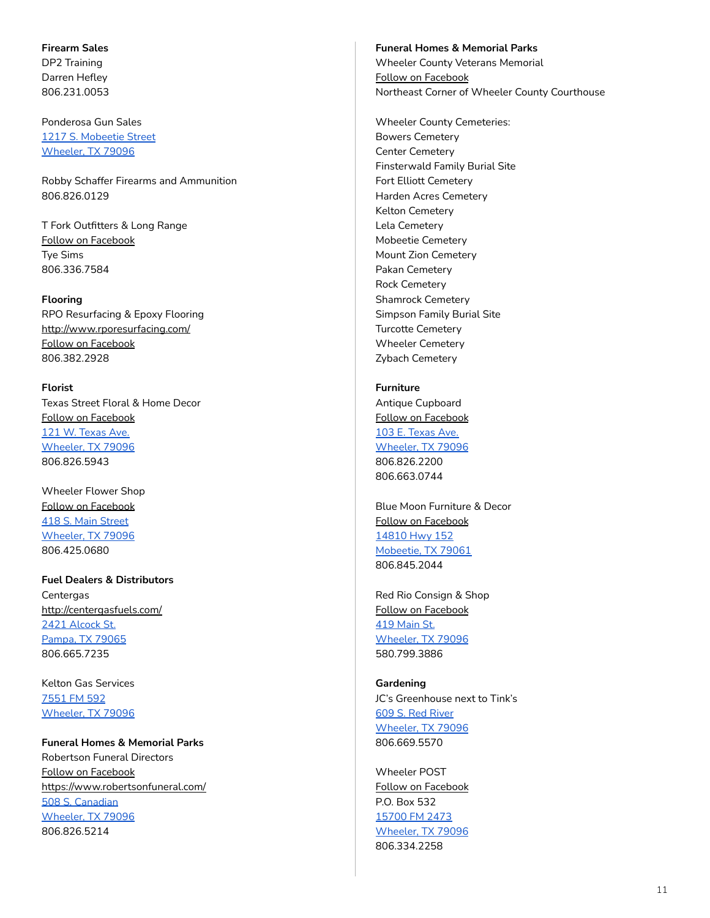<span id="page-10-0"></span>**Firearm Sales** DP2 Training Darren Hefley 806.231.0053

Ponderosa Gun Sales 1217 S. [Mobeetie](https://www.google.com/maps/place/1217+S+Mobeetie+St,+Wheeler,+TX+79096/@35.434402,-100.2780249,17z/data=!3m1!4b1!4m5!3m4!1s0x87aa1f9dc3ce4359:0x148f1c5342da2732!8m2!3d35.434402!4d-100.2758309) Street [Wheeler,](https://www.google.com/maps/place/1217+S+Mobeetie+St,+Wheeler,+TX+79096/@35.434402,-100.2780249,17z/data=!3m1!4b1!4m5!3m4!1s0x87aa1f9dc3ce4359:0x148f1c5342da2732!8m2!3d35.434402!4d-100.2758309) TX 79096

Robby Schaffer Firearms and Ammunition 806.826.0129

T Fork Outfitters & Long Range Follow on [Facebook](https://www.facebook.com/TForkOutfitters/) Tye Sims 806.336.7584

# <span id="page-10-1"></span>**Flooring**

RPO Resurfacing & Epoxy Flooring <http://www.rporesurfacing.com/> Follow on [Facebook](https://www.facebook.com/rporesurface/) 806.382.2928

<span id="page-10-2"></span>**Florist** Texas Street Floral & Home Decor Follow on [Facebook](https://www.facebook.com/TexasStreetFloral/) 121 W. [Texas](https://www.google.com/maps/place/121+W+Texas+Ave,+Wheeler,+TX+79096/@35.4438264,-100.2767979,17z/data=!3m1!4b1!4m5!3m4!1s0x87aa1f9081d4f51d:0x6ab0f1da093a0dd0!8m2!3d35.4438264!4d-100.2746039) Ave. [Wheeler,](https://www.google.com/maps/place/121+W+Texas+Ave,+Wheeler,+TX+79096/@35.4438264,-100.2767979,17z/data=!3m1!4b1!4m5!3m4!1s0x87aa1f9081d4f51d:0x6ab0f1da093a0dd0!8m2!3d35.4438264!4d-100.2746039) TX 79096 806.826.5943

Wheeler Flower Shop Follow on [Facebook](https://www.facebook.com/Wheeler-Flower-Shop-100178901385805/) 418 S. Main [Street](https://www.google.com/maps/place/418+S+Main+St,+Wheeler,+TX+79096/@35.4443755,-100.2760748,17z/data=!3m1!4b1!4m5!3m4!1s0x87aa1f907d0578d3:0x93ed3237c3455019!8m2!3d35.4443755!4d-100.2738808) [Wheeler,](https://www.google.com/maps/place/418+S+Main+St,+Wheeler,+TX+79096/@35.4443755,-100.2760748,17z/data=!3m1!4b1!4m5!3m4!1s0x87aa1f907d0578d3:0x93ed3237c3455019!8m2!3d35.4443755!4d-100.2738808) TX 79096 806.425.0680

<span id="page-10-3"></span>**Fuel Dealers & Distributors Centergas** <http://centergasfuels.com/> 2421 [Alcock](https://www.google.com/maps/place/2421+Alcock+St,+Pampa,+TX+79065/data=!4m2!3m1!1s0x8707362f782fffff:0x503af3c6eb1ec03d?sa=X&ved=2ahUKEwi7pdG_gdzoAhVJrJ4KHWzVCLgQ8gEwAHoECAsQAQ) St. [Pampa,](https://www.google.com/maps/place/2421+Alcock+St,+Pampa,+TX+79065/data=!4m2!3m1!1s0x8707362f782fffff:0x503af3c6eb1ec03d?sa=X&ved=2ahUKEwi7pdG_gdzoAhVJrJ4KHWzVCLgQ8gEwAHoECAsQAQ) TX 79065 806.665.7235

Kelton Gas Services [7551](https://www.google.com/maps/place/Kelton+Gas+Services/@35.3282672,-100.2739565,17z/data=!3m1!4b1!4m5!3m4!1s0x87aa1f9a8ef4638f:0x4efc834413f43ba3!8m2!3d35.3282672!4d-100.2717625) FM 592 [Wheeler,](https://www.google.com/maps/place/Kelton+Gas+Services/@35.3282672,-100.2739565,17z/data=!3m1!4b1!4m5!3m4!1s0x87aa1f9a8ef4638f:0x4efc834413f43ba3!8m2!3d35.3282672!4d-100.2717625) TX 79096

#### <span id="page-10-4"></span>**Funeral Homes & Memorial Parks**

Robertson Funeral Directors Follow on [Facebook](https://www.facebook.com/Robertsonfuneraldirectors/) <https://www.robertsonfuneral.com/> 508 S. [Canadian](https://www.google.com/maps/place/508+S+Canadian+St,+Wheeler,+TX+79096/data=!4m2!3m1!1s0x87aa1f9a0cdb3645:0x13d19cb981e2d791?sa=X&ved=2ahUKEwifzNLOgdzoAhVCrJ4KHf1BDqAQ8gEwAHoECAsQAQ) [Wheeler,](https://www.google.com/maps/place/508+S+Canadian+St,+Wheeler,+TX+79096/data=!4m2!3m1!1s0x87aa1f9a0cdb3645:0x13d19cb981e2d791?sa=X&ved=2ahUKEwifzNLOgdzoAhVCrJ4KHf1BDqAQ8gEwAHoECAsQAQ) TX 79096 806.826.5214

**Funeral Homes & Memorial Parks** Wheeler County Veterans Memorial Follow on [Facebook](https://www.facebook.com/groups/403271556819597/) Northeast Corner of Wheeler County Courthouse

Wheeler County Cemeteries: Bowers Cemetery Center Cemetery Finsterwald Family Burial Site Fort Elliott Cemetery Harden Acres Cemetery Kelton Cemetery Lela Cemetery Mobeetie Cemetery Mount Zion Cemetery Pakan Cemetery Rock Cemetery Shamrock Cemetery Simpson Family Burial Site Turcotte Cemetery Wheeler Cemetery Zybach Cemetery

<span id="page-10-5"></span>**Furniture** Antique Cupboard Follow on [Facebook](https://www.facebook.com/pages/Antique-Cupboard/574483099283382) 103 E. [Texas](https://www.google.com/maps/place/103+E+Texas+Ave,+Wheeler,+TX+79096/@35.4440693,-100.2750093,17z/data=!3m1!4b1!4m5!3m4!1s0x87aa1f900aec3229:0x25d60cbf39475d39!8m2!3d35.4440693!4d-100.2728153) Ave. [Wheeler,](https://www.google.com/maps/place/103+E+Texas+Ave,+Wheeler,+TX+79096/@35.4440693,-100.2750093,17z/data=!3m1!4b1!4m5!3m4!1s0x87aa1f900aec3229:0x25d60cbf39475d39!8m2!3d35.4440693!4d-100.2728153) TX 79096 806.826.2200 806.663.0744

Blue Moon Furniture & Decor Follow on [Facebook](https://www.facebook.com/BlueMoon0729/) [14810](https://www.google.com/maps/place/14810+TX-152,+Mobeetie,+TX+79061/@35.5175335,-100.5490271,17z/data=!3m1!4b1!4m5!3m4!1s0x87a9fec75432949f:0x13ffdc76ce0c04bd!8m2!3d35.5175335!4d-100.5468331) Hwy 152 [Mobeetie,](https://www.google.com/maps/place/14810+TX-152,+Mobeetie,+TX+79061/@35.5175335,-100.5490271,17z/data=!3m1!4b1!4m5!3m4!1s0x87a9fec75432949f:0x13ffdc76ce0c04bd!8m2!3d35.5175335!4d-100.5468331) TX 79061 806.845.2044

Red Rio Consign & Shop Follow on [Facebook](https://www.facebook.com/redrioConsign/) 419 [Main](https://www.google.com/maps/place/419+S+Main+St,+Wheeler,+TX+79096/@35.4442525,-100.2746076,17z/data=!3m1!4b1!4m5!3m4!1s0x87aa1f9065210d41:0x4e89c3e42da938cd!8m2!3d35.4442525!4d-100.2724136) St. [Wheeler,](https://www.google.com/maps/place/419+S+Main+St,+Wheeler,+TX+79096/@35.4442525,-100.2746076,17z/data=!3m1!4b1!4m5!3m4!1s0x87aa1f9065210d41:0x4e89c3e42da938cd!8m2!3d35.4442525!4d-100.2724136) TX 79096 580.799.3886

<span id="page-10-6"></span>**Gardening** JC's Greenhouse next to Tink's 609 S. Red [River](https://www.google.com/maps/place/609+S+Red+River+St,+Wheeler,+TX+79096/@35.4426135,-100.2714873,17z/data=!3m1!4b1!4m5!3m4!1s0x87aa1f851234f2a3:0xff2f356ee61a038d!8m2!3d35.4426135!4d-100.2692933) [Wheeler,](https://www.google.com/maps/place/609+S+Red+River+St,+Wheeler,+TX+79096/@35.4426135,-100.2714873,17z/data=!3m1!4b1!4m5!3m4!1s0x87aa1f851234f2a3:0xff2f356ee61a038d!8m2!3d35.4426135!4d-100.2692933) TX 79096 806.669.5570

Wheeler POST Follow on [Facebook](https://www.facebook.com/Wheeler-POST-Gardens-110441940539332/) P.O. Box 532 [15700](https://www.google.com/maps/place/35%C2%B025) FM 2473 [Wheeler,](https://www.google.com/maps/search/15700+FM+2473+Wheeler,+TX+79096/@35.4409411,-100.296295,14z/data=!3m1!4b1) TX 79096 806.334.2258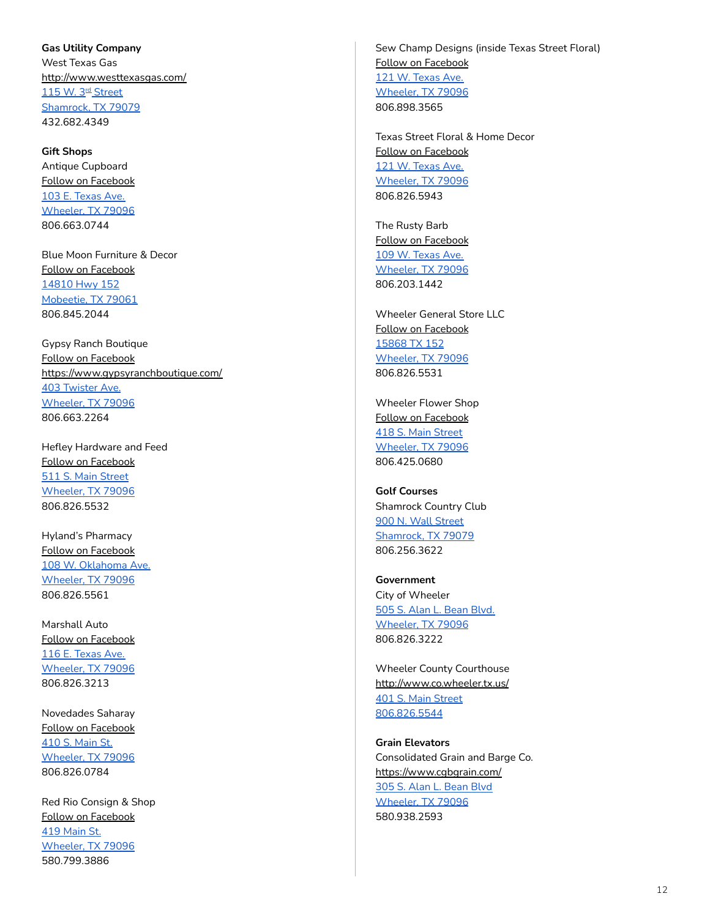<span id="page-11-0"></span>**Gas Utility Company** West Texas Gas <http://www.westtexasgas.com/> <u>115 W. 3<sup>rd</sup> [Street](https://www.google.com/maps/place/115+W+3rd+St,+Shamrock,+TX+79079/@35.2167902,-100.2515775,17z/data=!3m1!4b1!4m5!3m4!1s0x87aa3e07e9e62761:0x31ce2c1cced9bbc8!8m2!3d35.2167902!4d-100.2493835)</u> [Shamrock,](https://www.google.com/maps/place/115+W+3rd+St,+Shamrock,+TX+79079/@35.2167902,-100.2515775,17z/data=!3m1!4b1!4m5!3m4!1s0x87aa3e07e9e62761:0x31ce2c1cced9bbc8!8m2!3d35.2167902!4d-100.2493835) TX 79079 432.682.4349

<span id="page-11-1"></span>**[Gift](http://cca.dalhart.org/Gift-Shops-__5005499_category.aspx) Shops** Antique Cupboard Follow on [Facebook](https://www.facebook.com/groups/410483989008331/) 103 E. [Texas](https://www.google.com/maps/place/103+E+Texas+Ave,+Wheeler,+TX+79096/@35.4440693,-100.2750093,17z/data=!3m1!4b1!4m5!3m4!1s0x87aa1f900aec3229:0x25d60cbf39475d39!8m2!3d35.4440693!4d-100.2728153) Ave. [Wheeler,](https://www.google.com/maps/place/103+E+Texas+Ave,+Wheeler,+TX+79096/@35.4440693,-100.2750093,17z/data=!3m1!4b1!4m5!3m4!1s0x87aa1f900aec3229:0x25d60cbf39475d39!8m2!3d35.4440693!4d-100.2728153) TX 79096 806.663.0744

Blue Moon Furniture & Decor Follow on [Facebook](https://www.facebook.com/BlueMoon0729/) [14810](https://www.google.com/maps/place/14810+TX-152,+Mobeetie,+TX+79061/@35.5175335,-100.5490271,17z/data=!3m1!4b1!4m5!3m4!1s0x87a9fec75432949f:0x13ffdc76ce0c04bd!8m2!3d35.5175335!4d-100.5468331) Hwy 152 [Mobeetie,](https://www.google.com/maps/place/14810+TX-152,+Mobeetie,+TX+79061/@35.5175335,-100.5490271,17z/data=!3m1!4b1!4m5!3m4!1s0x87a9fec75432949f:0x13ffdc76ce0c04bd!8m2!3d35.5175335!4d-100.5468331) TX 79061 806.845.2044

Gypsy Ranch Boutique Follow on [Facebook](https://www.facebook.com/GypZRanch/) <https://www.gypsyranchboutique.com/> 403 [Twister](https://www.google.com/maps/place/Gypsy+Ranch+Boutique/@35.443852,-100.2935877,17z/data=!3m1!4b1!4m5!3m4!1s0x87aa1f4edb5c1ec1:0x5babfc32dbd4fc46!8m2!3d35.443852!4d-100.2913937) Ave. [Wheeler,](https://www.google.com/maps/place/Gypsy+Ranch+Boutique/@35.443852,-100.2935877,17z/data=!3m1!4b1!4m5!3m4!1s0x87aa1f4edb5c1ec1:0x5babfc32dbd4fc46!8m2!3d35.443852!4d-100.2913937) TX 79096 806.663.2264

Hefley Hardware and Feed Follow on [Facebook](https://www.facebook.com/hefleyfeeds/) 511 S. Main [Street](https://www.google.com/maps/place/511+S+Main+St,+Wheeler,+TX+79096/@35.4434382,-100.2753956,17z/data=!3m1!4b1!4m5!3m4!1s0x87aa1f9a9bae83c7:0x6e30685f03df07bd!8m2!3d35.4434382!4d-100.2732016) [Wheeler,](https://www.google.com/maps/place/511+S+Main+St,+Wheeler,+TX+79096/@35.4434382,-100.2753956,17z/data=!3m1!4b1!4m5!3m4!1s0x87aa1f9a9bae83c7:0x6e30685f03df07bd!8m2!3d35.4434382!4d-100.2732016) TX 79096 806.826.5532

Hyland's Pharmacy Follow on [Facebook](https://www.facebook.com/hylandspharmacy/) 108 W. [Oklahoma](https://www.google.com/maps/place/108+W+Oklahoma+Ave,+Wheeler,+TX+79096/@35.4458194,-100.276031,17z/data=!3m1!4b1!4m5!3m4!1s0x87aa1f9059c891cf:0x93a4400f9b87d8d8!8m2!3d35.4458194!4d-100.273837) Ave. [Wheeler,](https://www.google.com/maps/place/108+W+Oklahoma+Ave,+Wheeler,+TX+79096/@35.4458194,-100.276031,17z/data=!3m1!4b1!4m5!3m4!1s0x87aa1f9059c891cf:0x93a4400f9b87d8d8!8m2!3d35.4458194!4d-100.273837) TX 79096 806.826.5561

Marshall Auto Follow on [Facebook](https://www.facebook.com/pages/Marshall-Discount-Auto/869781833074881) 116 E. [Texas](https://www.google.com/maps/place/116+E+Texas+Ave,+Wheeler,+TX+79096/@35.4438103,-100.2747602,17z/data=!3m1!4b1!4m5!3m4!1s0x87aa1f9aa1c94fad:0x8048e7709176c07e!8m2!3d35.4438103!4d-100.2725662) Ave. [Wheeler,](https://www.google.com/maps/place/116+E+Texas+Ave,+Wheeler,+TX+79096/@35.4438103,-100.2747602,17z/data=!3m1!4b1!4m5!3m4!1s0x87aa1f9aa1c94fad:0x8048e7709176c07e!8m2!3d35.4438103!4d-100.2725662) TX 79096 806.826.3213

Novedades Saharay Follow on [Facebook](https://www.facebook.com/Novedades-Saharay-309206589220811/) 410 S. [Main](https://www.google.com/maps/place/410+S+Main+St,+Wheeler,+TX+79096/@35.4438103,-100.2747602,17z/data=!4m5!3m4!1s0x87aa1f9062f279b5:0xe0fb24d669eef9cc!8m2!3d35.444647!4d-100.2739333) St. [Wheeler,](https://www.google.com/maps/place/410+S+Main+St,+Wheeler,+TX+79096/@35.4438103,-100.2747602,17z/data=!4m5!3m4!1s0x87aa1f9062f279b5:0xe0fb24d669eef9cc!8m2!3d35.444647!4d-100.2739333) TX 79096 806.826.0784

Red Rio Consign & Shop Follow on [Facebook](https://www.facebook.com/redrioConsign/) 419 [Main](https://www.google.com/maps/place/419+S+Main+St,+Wheeler,+TX+79096/@35.444647,-100.2761273,17z/data=!4m5!3m4!1s0x87aa1f9065210d41:0x4e89c3e42da938cd!8m2!3d35.4442525!4d-100.2724136) St. [Wheeler,](https://www.google.com/maps/place/419+S+Main+St,+Wheeler,+TX+79096/@35.444647,-100.2761273,17z/data=!4m5!3m4!1s0x87aa1f9065210d41:0x4e89c3e42da938cd!8m2!3d35.4442525!4d-100.2724136) TX 79096 580.799.3886

Sew Champ Designs (inside Texas Street Floral) Follow on [Facebook](https://www.facebook.com/Sew-Champ-Designs-858134947655458/) 121 W. [Texas](https://www.google.com/maps/place/121+W+Texas+Ave,+Wheeler,+TX+79096/@35.4438264,-100.2767979,17z/data=!3m1!4b1!4m5!3m4!1s0x87aa1f9081d4f51d:0x6ab0f1da093a0dd0!8m2!3d35.4438264!4d-100.2746039) Ave. [Wheeler,](https://www.google.com/maps/place/121+W+Texas+Ave,+Wheeler,+TX+79096/@35.4438264,-100.2767979,17z/data=!3m1!4b1!4m5!3m4!1s0x87aa1f9081d4f51d:0x6ab0f1da093a0dd0!8m2!3d35.4438264!4d-100.2746039) TX 79096 806.898.3565

Texas Street Floral & Home Decor Follow on [Facebook](https://www.facebook.com/TexasStreetFloral/) 121 W. [Texas](https://www.google.com/maps/place/121+W+Texas+Ave,+Wheeler,+TX+79096/@35.4438264,-100.2767979,17z/data=!3m1!4b1!4m5!3m4!1s0x87aa1f9081d4f51d:0x6ab0f1da093a0dd0!8m2!3d35.4438264!4d-100.2746039) Ave. [Wheeler,](https://www.google.com/maps/place/121+W+Texas+Ave,+Wheeler,+TX+79096/@35.4438264,-100.2767979,17z/data=!3m1!4b1!4m5!3m4!1s0x87aa1f9081d4f51d:0x6ab0f1da093a0dd0!8m2!3d35.4438264!4d-100.2746039) TX 79096 806.826.5943

The Rusty Barb Follow on [Facebook](https://www.facebook.com/therustybarb27/) 109 W. [Texas](https://goo.gl/maps/CTUqcmGSMUcGt4jU9) Ave. [Wheeler,](https://goo.gl/maps/CTUqcmGSMUcGt4jU9) TX 79096 806.203.1442

Wheeler General Store LLC Follow on [Facebook](https://www.facebook.com/thewheelergeneralstore/) [15868](https://www.google.com/maps/search/15868+TX+152+Wheeler,+TX+79096/@35.4450588,-100.2784326,17z) TX 152 [Wheeler,](https://www.google.com/maps/search/15868+TX+152+Wheeler,+TX+79096/@35.4450588,-100.2784326,17z) TX 79096 806.826.5531

Wheeler Flower Shop Follow on [Facebook](https://www.facebook.com/Wheeler-Flower-Shop-100178901385805/) 418 S. Main [Street](https://www.google.com/maps/place/418+S+Main+St,+Wheeler,+TX+79096/@35.4435518,-100.2602546,17z/data=!4m5!3m4!1s0x87aa1f907d0578d3:0x93ed3237c3455019!8m2!3d35.4443755!4d-100.2738808) [Wheeler,](https://www.google.com/maps/place/418+S+Main+St,+Wheeler,+TX+79096/@35.4435518,-100.2602546,17z/data=!4m5!3m4!1s0x87aa1f907d0578d3:0x93ed3237c3455019!8m2!3d35.4443755!4d-100.2738808) TX 79096 806.425.0680

<span id="page-11-2"></span>**Golf Courses** Shamrock Country Club 900 N. Wall [Street](https://www.google.com/maps/place/900+N+Wall+St,+Shamrock,+TX+79079/@35.2230187,-100.2524157,17z/data=!3m1!4b1!4m5!3m4!1s0x87aa3dfc9f674a11:0x5d0afe7652ce2a57!8m2!3d35.2230187!4d-100.2502217) [Shamrock,](https://www.google.com/maps/place/900+N+Wall+St,+Shamrock,+TX+79079/@35.2230187,-100.2524157,17z/data=!3m1!4b1!4m5!3m4!1s0x87aa3dfc9f674a11:0x5d0afe7652ce2a57!8m2!3d35.2230187!4d-100.2502217) TX 79079 806.256.3622

<span id="page-11-3"></span>**Government** City of Wheeler 505 S. Alan L. [Bean](https://www.google.com/maps/place/505+S+Alan+L+Bean+Blvd,+Wheeler,+TX+79096/@35.4432966,-100.274081,17z/data=!3m1!4b1!4m5!3m4!1s0x87aa1f9ab009b0b7:0xd17a63f9e5ead90f!8m2!3d35.4432966!4d-100.271887) Blvd. [Wheeler,](https://www.google.com/maps/place/505+S+Alan+L+Bean+Blvd,+Wheeler,+TX+79096/@35.4432966,-100.274081,17z/data=!3m1!4b1!4m5!3m4!1s0x87aa1f9ab009b0b7:0xd17a63f9e5ead90f!8m2!3d35.4432966!4d-100.271887) TX 79096 806.826.3222

Wheeler County Courthouse <http://www.co.wheeler.tx.us/> 401 S. Main [Street](https://www.google.com/maps/search/401+S.+Main+Street+806.826.5544/@35.4432966,-100.274081,17z) [806.826.5544](https://www.google.com/maps/search/401+S.+Main+Street+806.826.5544/@35.4432966,-100.274081,17z)

<span id="page-11-4"></span>**[Grain](http://cca.dalhart.org/Grain-Elevators-__5005989_category.aspx) Elevators** Consolidated Grain and Barge Co. <https://www.cgbgrain.com/> 305 S. Alan L. [Bean](https://www.google.com/maps/place/305+S+Alan+L+Bean+Blvd,+Wheeler,+TX+79096/@35.4457104,-100.274506,17z/data=!3m1!4b1!4m5!3m4!1s0x87aa1f903950f227:0xb7edce08464cda83!8m2!3d35.4457104!4d-100.272312) Blvd [Wheeler,](https://www.google.com/maps/place/305+S+Alan+L+Bean+Blvd,+Wheeler,+TX+79096/@35.4457104,-100.274506,17z/data=!3m1!4b1!4m5!3m4!1s0x87aa1f903950f227:0xb7edce08464cda83!8m2!3d35.4457104!4d-100.272312) TX 79096 580.938.2593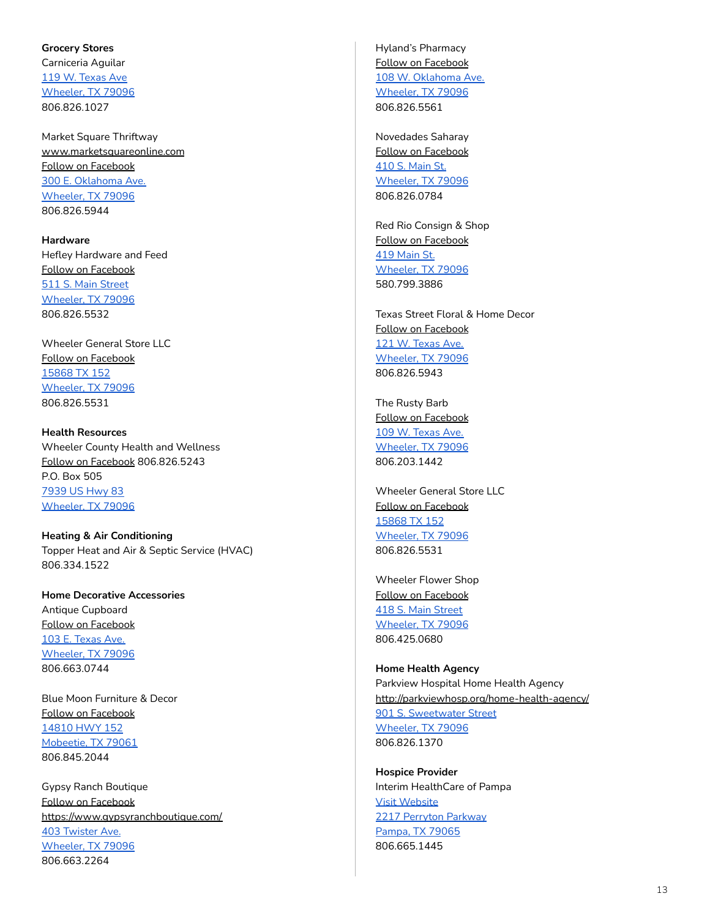# <span id="page-12-0"></span>**[Grocery](http://cca.dalhart.org/Grocery-Stores-__5007761_category.aspx) Stores** Carniceria Aguilar 119 W. [Texas](https://www.google.com/maps/place/119+W+Texas+Ave,+Wheeler,+TX+79096/@35.4437475,-100.2767075,17z/data=!3m1!4b1!4m5!3m4!1s0x87aa1f9a78900f7f:0xb59ad022b943af2b!8m2!3d35.4437475!4d-100.2745135) Ave [Wheeler,](https://www.google.com/maps/place/119+W+Texas+Ave,+Wheeler,+TX+79096/@35.4437475,-100.2767075,17z/data=!3m1!4b1!4m5!3m4!1s0x87aa1f9a78900f7f:0xb59ad022b943af2b!8m2!3d35.4437475!4d-100.2745135) TX 79096 806.826.1027

Market Square Thriftway [www.marketsquareonline.com](http://www.marketsquareonline.com) Follow on [Facebook](https://www.facebook.com/MarketSquare/) 300 E. [Oklahoma](https://www.google.com/maps/place/300+E+Oklahoma+Ave,+Wheeler,+TX+79096/@35.4444397,-100.2721091,17z/data=!3m1!4b1!4m5!3m4!1s0x87aa1f8ff48b137f:0xe1d2d70446394cfd!8m2!3d35.4444397!4d-100.2699151) Ave. [Wheeler,](https://www.google.com/maps/place/300+E+Oklahoma+Ave,+Wheeler,+TX+79096/@35.4444397,-100.2721091,17z/data=!3m1!4b1!4m5!3m4!1s0x87aa1f8ff48b137f:0xe1d2d70446394cfd!8m2!3d35.4444397!4d-100.2699151) TX 79096 806.826.5944

<span id="page-12-1"></span>**Hardware** Hefley Hardware and Feed Follow on [Facebook](https://www.facebook.com/hefleyfeeds/) 511 S. Main [Street](https://www.google.com/maps/place/511+S+Main+St,+Wheeler,+TX+79096/@35.4434382,-100.2753956,17z/data=!3m1!4b1!4m5!3m4!1s0x87aa1f9a9bae83c7:0x6e30685f03df07bd!8m2!3d35.4434382!4d-100.2732016) [Wheeler,](https://www.google.com/maps/place/511+S+Main+St,+Wheeler,+TX+79096/@35.4434382,-100.2753956,17z/data=!3m1!4b1!4m5!3m4!1s0x87aa1f9a9bae83c7:0x6e30685f03df07bd!8m2!3d35.4434382!4d-100.2732016) TX 79096 806.826.5532

Wheeler General Store LLC Follow on [Facebook](https://www.facebook.com/thewheelergeneralstore/) [15868](https://www.google.com/maps/place/15868+TX-152,+Wheeler,+TX+79096/@35.4435518,-100.2602546,17z/data=!3m1!4b1!4m5!3m4!1s0x87aa20284370b72f:0x9c92148f0b2749ac!8m2!3d35.4435518!4d-100.2580606) TX 152 [Wheeler,](https://www.google.com/maps/place/15868+TX-152,+Wheeler,+TX+79096/@35.4435518,-100.2602546,17z/data=!3m1!4b1!4m5!3m4!1s0x87aa20284370b72f:0x9c92148f0b2749ac!8m2!3d35.4435518!4d-100.2580606) TX 79096 806.826.5531

<span id="page-12-2"></span>**Health Resources** Wheeler County Health and Wellness Follow on [Facebook](https://www.facebook.com/wheelercohealthandwellness/) 806.826.5243 P.O. Box 505 [7939](https://www.google.com/maps/place/7939+US-83,+Wheeler,+TX+79096/@35.4516049,-100.2735113,17z/data=!3m1!4b1!4m5!3m4!1s0x87aa1f92781e9631:0xaa312fe871176d2e!8m2!3d35.4516049!4d-100.2713173) US Hwy 83 [Wheeler,](https://www.google.com/maps/place/7939+US-83,+Wheeler,+TX+79096/@35.4516049,-100.2735113,17z/data=!3m1!4b1!4m5!3m4!1s0x87aa1f92781e9631:0xaa312fe871176d2e!8m2!3d35.4516049!4d-100.2713173) TX 79096

<span id="page-12-3"></span>**Heating & Air Conditioning** Topper Heat and Air & Septic Service (HVAC) 806.334.1522

<span id="page-12-4"></span>**Home Decorative Accessories** Antique Cupboard Follow on [Facebook](https://www.facebook.com/groups/410483989008331/) 103 E. [Texas](https://www.google.com/maps/place/103+E+Texas+Ave,+Wheeler,+TX+79096/@35.4385685,-100.2761187,17z/data=!4m5!3m4!1s0x87aa1f900aec3229:0x25d60cbf39475d39!8m2!3d35.4440693!4d-100.2728153) Ave. [Wheeler,](https://www.google.com/maps/place/103+E+Texas+Ave,+Wheeler,+TX+79096/@35.4385685,-100.2761187,17z/data=!4m5!3m4!1s0x87aa1f900aec3229:0x25d60cbf39475d39!8m2!3d35.4440693!4d-100.2728153) TX 79096 806.663.0744

Blue Moon Furniture & Decor Follow on [Facebook](https://www.facebook.com/BlueMoon0729/) [14810](https://www.google.com/maps/place/14810+TX-152,+Mobeetie,+TX+79061/@35.5175335,-100.5490271,17z/data=!3m1!4b1!4m5!3m4!1s0x87a9fec75432949f:0x13ffdc76ce0c04bd!8m2!3d35.5175335!4d-100.5468331) HWY 152 [Mobeetie,](https://www.google.com/maps/place/14810+TX-152,+Mobeetie,+TX+79061/@35.5175335,-100.5490271,17z/data=!3m1!4b1!4m5!3m4!1s0x87a9fec75432949f:0x13ffdc76ce0c04bd!8m2!3d35.5175335!4d-100.5468331) TX 79061 806.845.2044

Gypsy Ranch Boutique Follow on [Facebook](https://www.facebook.com/GypZRanch/) <https://www.gypsyranchboutique.com/> 403 [Twister](https://www.google.com/maps/place/Gypsy+Ranch+Boutique/@35.443852,-100.2935877,17z/data=!3m1!4b1!4m5!3m4!1s0x87aa1f4edb5c1ec1:0x5babfc32dbd4fc46!8m2!3d35.443852!4d-100.2913937) Ave. [Wheeler,](https://www.google.com/maps/place/Gypsy+Ranch+Boutique/@35.443852,-100.2935877,17z/data=!3m1!4b1!4m5!3m4!1s0x87aa1f4edb5c1ec1:0x5babfc32dbd4fc46!8m2!3d35.443852!4d-100.2913937) TX 79096 806.663.2264

Hyland's Pharmacy Follow on [Facebook](https://www.facebook.com/hylandspharmacy/) 108 W. [Oklahoma](https://www.google.com/maps/place/108+W+Oklahoma+Ave,+Wheeler,+TX+79096/@35.4458194,-100.276031,17z/data=!3m1!4b1!4m5!3m4!1s0x87aa1f9059c891cf:0x93a4400f9b87d8d8!8m2!3d35.4458194!4d-100.273837) Ave. [Wheeler,](https://www.google.com/maps/place/108+W+Oklahoma+Ave,+Wheeler,+TX+79096/@35.4458194,-100.276031,17z/data=!3m1!4b1!4m5!3m4!1s0x87aa1f9059c891cf:0x93a4400f9b87d8d8!8m2!3d35.4458194!4d-100.273837) TX 79096 806.826.5561

Novedades Saharay Follow on [Facebook](https://www.facebook.com/Novedades-Saharay-309206589220811/) 410 S. [Main](https://www.google.com/maps/place/410+S+Main+St,+Wheeler,+TX+79096/@35.4438103,-100.2747602,17z/data=!4m5!3m4!1s0x87aa1f9062f279b5:0xe0fb24d669eef9cc!8m2!3d35.444647!4d-100.2739333) St. [Wheeler,](https://www.google.com/maps/place/410+S+Main+St,+Wheeler,+TX+79096/@35.4438103,-100.2747602,17z/data=!4m5!3m4!1s0x87aa1f9062f279b5:0xe0fb24d669eef9cc!8m2!3d35.444647!4d-100.2739333) TX 79096 806.826.0784

Red Rio Consign & Shop Follow on [Facebook](https://www.facebook.com/redrioConsign/) 419 [Main](https://www.google.com/maps/place/419+S+Main+St,+Wheeler,+TX+79096/@35.444647,-100.2761273,17z/data=!4m5!3m4!1s0x87aa1f9065210d41:0x4e89c3e42da938cd!8m2!3d35.4442525!4d-100.2724136) St. [Wheeler,](https://www.google.com/maps/place/419+S+Main+St,+Wheeler,+TX+79096/@35.444647,-100.2761273,17z/data=!4m5!3m4!1s0x87aa1f9065210d41:0x4e89c3e42da938cd!8m2!3d35.4442525!4d-100.2724136) TX 79096 580.799.3886

Texas Street Floral & Home Decor Follow on [Facebook](https://www.facebook.com/TexasStreetFloral/) 121 W. [Texas](https://www.google.com/maps/place/121+W+Texas+Ave,+Wheeler,+TX+79096/@35.4438264,-100.2767979,17z/data=!3m1!4b1!4m5!3m4!1s0x87aa1f9081d4f51d:0x6ab0f1da093a0dd0!8m2!3d35.4438264!4d-100.2746039) Ave. [Wheeler,](https://www.google.com/maps/place/121+W+Texas+Ave,+Wheeler,+TX+79096/@35.4438264,-100.2767979,17z/data=!3m1!4b1!4m5!3m4!1s0x87aa1f9081d4f51d:0x6ab0f1da093a0dd0!8m2!3d35.4438264!4d-100.2746039) TX 79096 806.826.5943

The Rusty Barb Follow on [Facebook](https://www.facebook.com/therustybarb27/) 109 W. [Texas](https://goo.gl/maps/CTUqcmGSMUcGt4jU9) Ave. [Wheeler,](https://goo.gl/maps/CTUqcmGSMUcGt4jU9) TX 79096 806.203.1442

Wheeler General Store LLC Follow on [Facebook](https://www.facebook.com/thewheelergeneralstore/) [15868](https://www.google.com/maps/search/15868+TX+152+Wheeler,+TX+79096/@35.4450588,-100.2784326,17z) TX 152 [Wheeler,](https://www.google.com/maps/search/15868+TX+152+Wheeler,+TX+79096/@35.4450588,-100.2784326,17z) TX 79096 806.826.5531

Wheeler Flower Shop Follow on [Facebook](https://www.facebook.com/Wheeler-Flower-Shop-100178901385805/) 418 S. Main [Street](https://www.google.com/maps/place/418+S+Main+St,+Wheeler,+TX+79096/@35.4435518,-100.2602546,17z/data=!4m5!3m4!1s0x87aa1f907d0578d3:0x93ed3237c3455019!8m2!3d35.4443755!4d-100.2738808) [Wheeler,](https://www.google.com/maps/place/418+S+Main+St,+Wheeler,+TX+79096/@35.4435518,-100.2602546,17z/data=!4m5!3m4!1s0x87aa1f907d0578d3:0x93ed3237c3455019!8m2!3d35.4443755!4d-100.2738808) TX 79096 806.425.0680

<span id="page-12-5"></span>**[Home](http://cca.dalhart.org/Home-Health-Agencies-__5005341_category.aspx) Health Agency** Parkview Hospital Home Health Agency <http://parkviewhosp.org/home-health-agency/> 901 S. [Sweetwater](https://www.google.com/maps/place/901+S+Sweetwater+St,+Wheeler,+TX+79096/@35.4392729,-100.2725911,17z/data=!3m1!4b1!4m5!3m4!1s0x87aa1f84a4e57781:0x6a1ba2db4ff8d738!8m2!3d35.4392729!4d-100.2703971) Street [Wheeler,](https://www.google.com/maps/place/901+S+Sweetwater+St,+Wheeler,+TX+79096/@35.4392729,-100.2725911,17z/data=!3m1!4b1!4m5!3m4!1s0x87aa1f84a4e57781:0x6a1ba2db4ff8d738!8m2!3d35.4392729!4d-100.2703971) TX 79096 806.826.1370

<span id="page-12-6"></span>**[Hospice](http://cca.dalhart.org/Hospice-Providers-__5012988_category.aspx) Provider** Interim HealthCare of Pampa Visit [Website](https://www.interimhealthcare.com/pampatx/home/?utm_source=GMB&utm_medium=Local&utm_content=DirectoryLink&utm_campaign=PampaTX) 2217 [Perryton](https://www.google.com/maps/place/2217+Perryton+Pkwy,+Pampa,+TX+79065/@35.5612272,-100.9737984,17z/data=!3m1!4b1!4m5!3m4!1s0x870748237aeb36ab:0x4a7be2307783441d!8m2!3d35.5612272!4d-100.9716044) Parkway [Pampa,](https://www.google.com/maps/place/2217+Perryton+Pkwy,+Pampa,+TX+79065/@35.5612272,-100.9737984,17z/data=!3m1!4b1!4m5!3m4!1s0x870748237aeb36ab:0x4a7be2307783441d!8m2!3d35.5612272!4d-100.9716044) TX 79065 806.665.1445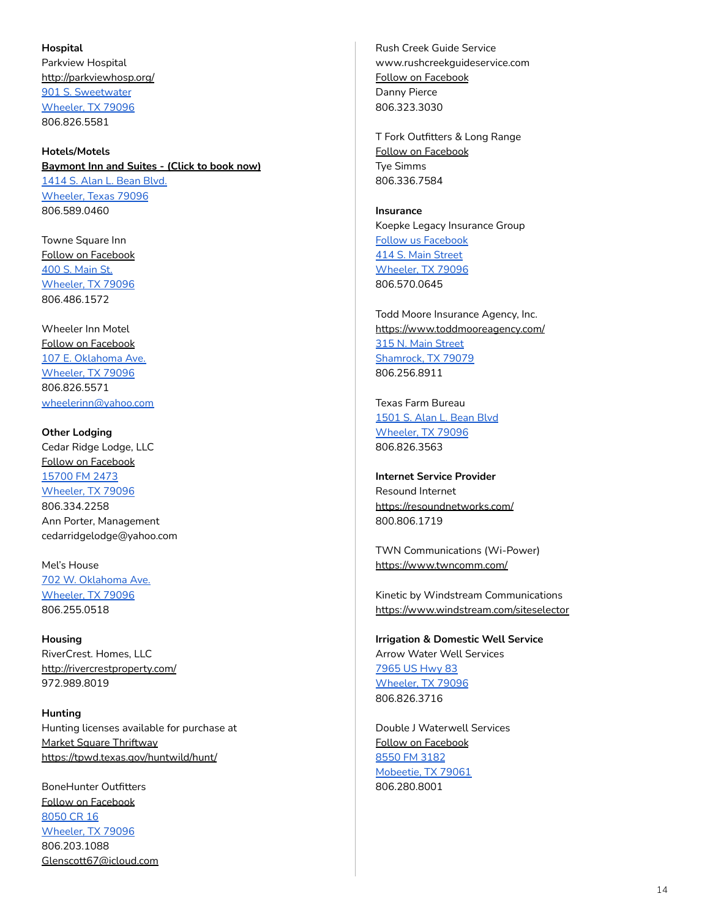### <span id="page-13-0"></span>**Hospital**

Parkview Hospital <http://parkviewhosp.org/> 901 S. [Sweetwater](https://www.google.com/maps/place/901+S+Sweetwater+St,+Wheeler,+TX+79096/@35.4392729,-100.2725911,17z/data=!3m1!4b1!4m5!3m4!1s0x87aa1f84a4e57781:0x6a1ba2db4ff8d738!8m2!3d35.4392729!4d-100.2703971) [Wheeler,](https://www.google.com/maps/place/901+S+Sweetwater+St,+Wheeler,+TX+79096/@35.4392729,-100.2725911,17z/data=!3m1!4b1!4m5!3m4!1s0x87aa1f84a4e57781:0x6a1ba2db4ff8d738!8m2!3d35.4392729!4d-100.2703971) TX 79096 806.826.5581

# <span id="page-13-1"></span>**Hotels/Motels [Baymont](https://www.wyndhamhotels.com/baymont/wheeler-texas/baymont-inn-and-suites-wheeler/overview?reg=Local-_-all-_-BAY-_-all&cid=IP_Local&wid=local) Inn and Suites - (Click to book now)** [1414](https://www.google.com/maps/place/1414+S+Alan+L+Bean+Blvd,+Wheeler,+TX+79096/@35.4315223,-100.275045,17z/data=!3m1!4b1!4m5!3m4!1s0x87aa1f77bef11ab3:0xf2d5d38475f8141b!8m2!3d35.4315223!4d-100.272851) S. Alan L. Bean Blvd. [Wheeler,](https://www.google.com/maps/place/1414+S+Alan+L+Bean+Blvd,+Wheeler,+TX+79096/@35.4315223,-100.275045,17z/data=!3m1!4b1!4m5!3m4!1s0x87aa1f77bef11ab3:0xf2d5d38475f8141b!8m2!3d35.4315223!4d-100.272851) Texas 79096

Towne Square Inn Follow on [Facebook](https://www.facebook.com/townesquareinn/) 400 S. [Main](https://www.google.com/maps/place/400+S+Main+St,+Wheeler,+TX+79096/@35.4450108,-100.2760748,17z/data=!3m1!4b1!4m5!3m4!1s0x87aa1f9061a988c1:0x4b4241c5a9fe48e2!8m2!3d35.4450108!4d-100.2738808) St. [Wheeler,](https://www.google.com/maps/place/400+S+Main+St,+Wheeler,+TX+79096/@35.4450108,-100.2760748,17z/data=!3m1!4b1!4m5!3m4!1s0x87aa1f9061a988c1:0x4b4241c5a9fe48e2!8m2!3d35.4450108!4d-100.2738808) TX 79096 806.486.1572

806.589.0460

Wheeler Inn Motel Follow on [Facebook](https://www.facebook.com/wheelerinnmotel/) 107 E. [Oklahoma](https://www.google.com/maps/place/107+E+Oklahoma+Ave,+Wheeler,+TX+79096/@35.4456167,-100.2749355,17z/data=!3m1!4b1!4m5!3m4!1s0x87aa1f90408612b3:0x350fa7a434f9fba4!8m2!3d35.4456167!4d-100.2727415) Ave. [Wheeler,](https://www.google.com/maps/place/107+E+Oklahoma+Ave,+Wheeler,+TX+79096/@35.4456167,-100.2749355,17z/data=!3m1!4b1!4m5!3m4!1s0x87aa1f90408612b3:0x350fa7a434f9fba4!8m2!3d35.4456167!4d-100.2727415) TX 79096 806.826.5571 [wheelerinn@yahoo.com](mailto:wheelerinn@yahoo.com)

**Other Lodging** Cedar Ridge Lodge, LLC Follow on [Facebook](https://www.facebook.com/Cedar-Ridge-Lodge-108795330669644/) [15700](https://www.google.com/maps/place/35%C2%B025) FM 2473 [Wheeler,](https://www.google.com/maps/place/35%C2%B025) TX 79096 806.334.2258 Ann Porter, Management [cedarridgelodge@yahoo.com](mailto:CedarRidgeLodge@yahoo.com)

Mel's House 702 W. [Oklahoma](https://www.google.com/maps/place/702+W+Oklahoma+Ave,+Wheeler,+TX+79096/@35.4448432,-100.2834668,17z/data=!3m1!4b1!4m5!3m4!1s0x87aa1f97c13c9d6d:0x15a2fb6dfb298b10!8m2!3d35.4448432!4d-100.2812728) Ave. [Wheeler,](https://www.google.com/maps/place/702+W+Oklahoma+Ave,+Wheeler,+TX+79096/@35.4448432,-100.2834668,17z/data=!3m1!4b1!4m5!3m4!1s0x87aa1f97c13c9d6d:0x15a2fb6dfb298b10!8m2!3d35.4448432!4d-100.2812728) TX 79096 806.255.0518

<span id="page-13-2"></span>**Housing** RiverCrest. Homes, LLC <http://rivercrestproperty.com/> 972.989.8019

<span id="page-13-3"></span>**Hunting** Hunting licenses available for purchase at Market Square [Thriftway](https://www.marketsquareonline.com) <https://tpwd.texas.gov/huntwild/hunt/>

BoneHunter Outfitters Follow on [Facebook](https://www.facebook.com/bonehunteroutfitters/) [8050](https://www.google.com/maps/place/8050+Co+Rd+16,+Wheeler,+TX+79096/@35.4643908,-100.2566679,17z/data=!3m1!4b1!4m5!3m4!1s0x87aa201c0a1697f1:0xe5597fd77bccf2e8!8m2!3d35.4643908!4d-100.2544739) CR 16 [Wheeler,](https://www.google.com/maps/place/8050+Co+Rd+16,+Wheeler,+TX+79096/@35.4643908,-100.2566679,17z/data=!3m1!4b1!4m5!3m4!1s0x87aa201c0a1697f1:0xe5597fd77bccf2e8!8m2!3d35.4643908!4d-100.2544739) TX 79096 806.203.1088 [Glenscott67@icloud.com](mailto:Glenscott67@icloud.com)

Rush Creek Guide Service www.rushcreekguideservice.com Follow on [Facebook](https://www.facebook.com/Rush-Creek-Guide-Service-Contact-Danny-Pierce-212813648732707/) Danny Pierce 806.323.3030

T Fork Outfitters & Long Range Follow on [Facebook](https://www.facebook.com/TForkOutfitters/) Tye Simms 806.336.7584

<span id="page-13-4"></span>**Insurance** Koepke Legacy Insurance Group Follow us [Facebook](https://www.facebook.com/koepkeinsurance) 414 S. Main [Street](https://goo.gl/maps/DRgGyiFVGwWC4KvXA) [Wheeler,](https://goo.gl/maps/DRgGyiFVGwWC4KvXA) TX 79096 806.570.0645

Todd Moore Insurance Agency, Inc. <https://www.toddmooreagency.com/> 315 N. Main [Street](https://www.google.com/maps/place/315+N+Main+St,+Shamrock,+TX+79079/@35.2170825,-100.2517355,17z/data=!3m1!4b1!4m5!3m4!1s0x87aa3e07ef8c1c4f:0xbe95ccc9e2668fd0!8m2!3d35.2170825!4d-100.2495415) [Shamrock,](https://www.google.com/maps/place/315+N+Main+St,+Shamrock,+TX+79079/@35.2170825,-100.2517355,17z/data=!3m1!4b1!4m5!3m4!1s0x87aa3e07ef8c1c4f:0xbe95ccc9e2668fd0!8m2!3d35.2170825!4d-100.2495415) TX 79079 806.256.8911

Texas Farm Bureau [1501](https://www.google.com/maps/place/1501+S+Alan+L+Bean+Blvd,+Wheeler,+TX+79096/@35.4318011,-100.2740153,17z/data=!3m1!4b1!4m5!3m4!1s0x87aa1f778d3829db:0xe4cffa58e10a894d!8m2!3d35.4318011!4d-100.2718213) S. Alan L. Bean Blvd [Wheeler,](https://www.google.com/maps/place/1501+S+Alan+L+Bean+Blvd,+Wheeler,+TX+79096/@35.4318011,-100.2740153,17z/data=!3m1!4b1!4m5!3m4!1s0x87aa1f778d3829db:0xe4cffa58e10a894d!8m2!3d35.4318011!4d-100.2718213) TX 79096 806.826.3563

<span id="page-13-5"></span>**Internet Service Provider** Resound Internet <https://resoundnetworks.com/> 800.806.1719

TWN Communications (Wi-Power) <https://www.twncomm.com/>

Kinetic by Windstream Communications <https://www.windstream.com/siteselector>

<span id="page-13-6"></span>**Irrigation & Domestic Well Service** Arrow Water Well Services [7965](https://www.google.com/maps/search/7965+US+Hwy+83+Wheeler,+TX+79096/@35.4318011,-100.2740153,17z) US Hwy 83 [Wheeler,](https://www.google.com/maps/search/7965+US+Hwy+83+Wheeler,+TX+79096/@35.4318011,-100.2740153,17z) TX 79096 806.826.3716

Double J Waterwell Services Follow on [Facebook](https://www.facebook.com/DoubleJWaterwell/) [8550](https://www.google.com/maps/search/8550+FM+3182+Mobeetie,+TX+79061/@35.5211961,-100.4567814,14z/data=!3m1!4b1) FM 3182 [Mobeetie,](https://www.google.com/maps/search/8550+FM+3182+Mobeetie,+TX+79061/@35.5211961,-100.4567814,14z/data=!3m1!4b1) TX 79061 806.280.8001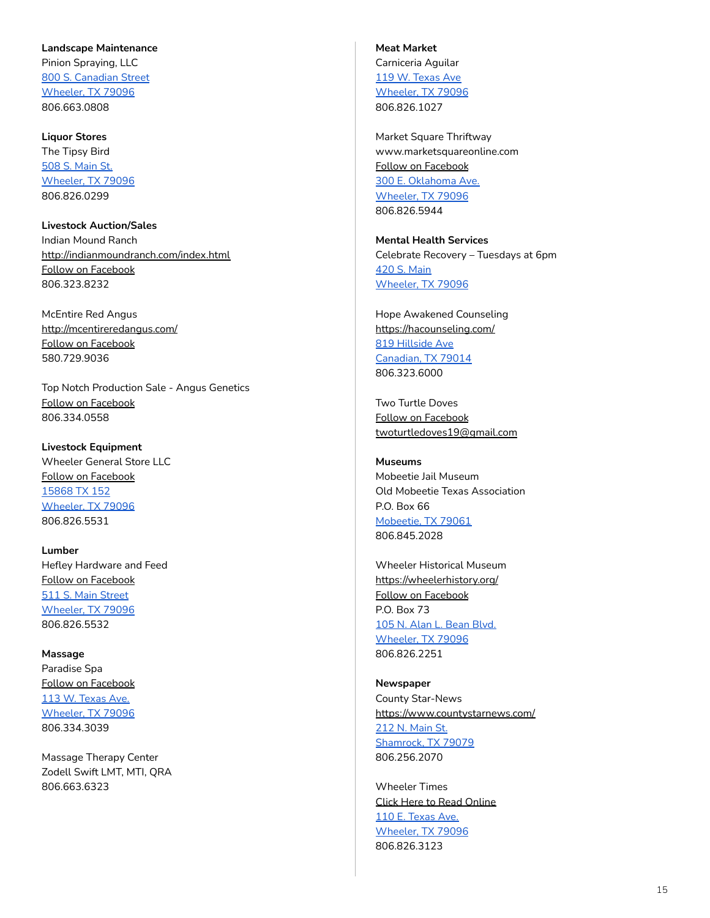### <span id="page-14-0"></span>**Landscape Maintenance**

Pinion Spraying, LLC 800 S. [Canadian](https://www.google.com/maps/place/800+S+Canadian+St,+Wheeler,+TX+79096/@35.4407197,-100.2772142,17z/data=!3m1!4b1!4m5!3m4!1s0x87aa1f9bb3e5ad71:0xf146b16b5d687879!8m2!3d35.4407197!4d-100.2750202) Street [Wheeler,](https://www.google.com/maps/place/800+S+Canadian+St,+Wheeler,+TX+79096/@35.4407197,-100.2772142,17z/data=!3m1!4b1!4m5!3m4!1s0x87aa1f9bb3e5ad71:0xf146b16b5d687879!8m2!3d35.4407197!4d-100.2750202) TX 79096 806.663.0808

<span id="page-14-1"></span>**Liquor Stores** The Tipsy Bird 508 S. [Main](https://www.google.com/maps/place/508+S+Main+St,+Wheeler,+TX+79096/@35.4433768,-100.2758793,17z/data=!3m1!4b1!4m5!3m4!1s0x87aa1f9a876d5d1b:0x204c6b54a5b3c68b!8m2!3d35.4433768!4d-100.2736853) St. [Wheeler,](https://www.google.com/maps/place/508+S+Main+St,+Wheeler,+TX+79096/@35.4433768,-100.2758793,17z/data=!3m1!4b1!4m5!3m4!1s0x87aa1f9a876d5d1b:0x204c6b54a5b3c68b!8m2!3d35.4433768!4d-100.2736853) TX 79096 806.826.0299

<span id="page-14-2"></span>**Livestock Auction/Sales** Indian Mound Ranch <http://indianmoundranch.com/index.html> Follow on [Facebook](https://www.facebook.com/indianmoundranch/) 806.323.8232

McEntire Red Angus <http://mcentireredangus.com/> Follow on [Facebook](https://www.facebook.com/randy.mcentire.58) 580.729.9036

Top Notch Production Sale - Angus Genetics Follow on [Facebook](https://www.facebook.com/7hANGUS/) 806.334.0558

### **Livestock Equipment**

Wheeler General Store LLC Follow on [Facebook](https://www.facebook.com/thewheelergeneralstore/) [15868](https://www.google.com/maps/place/15868+TX-152,+Wheeler,+TX+79096/@35.4435518,-100.2602546,17z/data=!3m1!4b1!4m5!3m4!1s0x87aa20284370b72f:0x9c92148f0b2749ac!8m2!3d35.4435518!4d-100.2580606) TX 152 [Wheeler,](https://www.google.com/maps/place/15868+TX-152,+Wheeler,+TX+79096/@35.4435518,-100.2602546,17z/data=!3m1!4b1!4m5!3m4!1s0x87aa20284370b72f:0x9c92148f0b2749ac!8m2!3d35.4435518!4d-100.2580606) TX 79096 806.826.5531

<span id="page-14-3"></span>**Lumber** Hefley Hardware and Feed Follow on [Facebook](https://www.facebook.com/hefleyfeeds/) 511 S. Main [Street](https://www.google.com/maps/place/511+S+Main+St,+Wheeler,+TX+79096/@35.4434382,-100.2753956,17z/data=!3m1!4b1!4m5!3m4!1s0x87aa1f9a9bae83c7:0x6e30685f03df07bd!8m2!3d35.4434382!4d-100.2732016) [Wheeler,](https://www.google.com/maps/place/511+S+Main+St,+Wheeler,+TX+79096/@35.4434382,-100.2753956,17z/data=!3m1!4b1!4m5!3m4!1s0x87aa1f9a9bae83c7:0x6e30685f03df07bd!8m2!3d35.4434382!4d-100.2732016) TX 79096 806.826.5532

<span id="page-14-4"></span>**Massage** Paradise Spa Follow on [Facebook](https://www.facebook.com/Paradise-Spa-in-Wheeler-TX-155248714502483/) 113 W. [Texas](https://www.google.com/maps/place/113+W+Texas+Ave,+Wheeler,+TX+79096/@35.4434382,-100.2753956,17z/data=!4m5!3m4!1s0x87aa1f9a7f4f41af:0xe6ac530ab319e6ab!8m2!3d35.4437474!4d-100.2743456) Ave. [Wheeler,](https://www.google.com/maps/place/113+W+Texas+Ave,+Wheeler,+TX+79096/@35.4434382,-100.2753956,17z/data=!4m5!3m4!1s0x87aa1f9a7f4f41af:0xe6ac530ab319e6ab!8m2!3d35.4437474!4d-100.2743456) TX 79096 806.334.3039

Massage Therapy Center Zodell Swift LMT, MTI, QRA 806.663.6323

<span id="page-14-5"></span>**Meat Market** Carniceria Aguilar 119 W. [Texas](https://www.google.com/maps/place/119+W+Texas+Ave,+Wheeler,+TX+79096/@35.4437474,-100.2765396,17z/data=!4m5!3m4!1s0x87aa1f9a78900f7f:0xb59ad022b943af2b!8m2!3d35.4437475!4d-100.2745135) Ave [Wheeler,](https://www.google.com/maps/place/119+W+Texas+Ave,+Wheeler,+TX+79096/@35.4437474,-100.2765396,17z/data=!4m5!3m4!1s0x87aa1f9a78900f7f:0xb59ad022b943af2b!8m2!3d35.4437475!4d-100.2745135) TX 79096 806.826.1027

Market Square Thriftway www.marketsquareonline.com Follow on [Facebook](https://www.facebook.com/MarketSquare/) 300 E. [Oklahoma](https://www.google.com/maps/place/300+E+Oklahoma+Ave,+Wheeler,+TX+79096/@35.4444397,-100.2721091,17z/data=!3m1!4b1!4m5!3m4!1s0x87aa1f8ff48b137f:0xe1d2d70446394cfd!8m2!3d35.4444397!4d-100.2699151) Ave. [Wheeler,](https://www.google.com/maps/place/300+E+Oklahoma+Ave,+Wheeler,+TX+79096/@35.4444397,-100.2721091,17z/data=!3m1!4b1!4m5!3m4!1s0x87aa1f8ff48b137f:0xe1d2d70446394cfd!8m2!3d35.4444397!4d-100.2699151) TX 79096 806.826.5944

<span id="page-14-6"></span>**Mental Health Services** Celebrate Recovery – Tuesdays at 6pm 420 S. [Main](https://www.google.com/maps/place/420+S+Main+St,+Wheeler,+TX+79096/@35.4442907,-100.2760748,17z/data=!3m1!4b1!4m5!3m4!1s0x87aa1f907d18290d:0xd8a6bd11780df3fb!8m2!3d35.4442907!4d-100.2738808) [Wheeler,](https://www.google.com/maps/place/420+S+Main+St,+Wheeler,+TX+79096/@35.4442907,-100.2760748,17z/data=!3m1!4b1!4m5!3m4!1s0x87aa1f907d18290d:0xd8a6bd11780df3fb!8m2!3d35.4442907!4d-100.2738808) TX 79096

Hope Awakened Counseling <https://hacounseling.com/> 819 [Hillside](https://www.google.com/maps/place/819+Hillside+Ave,+Canadian,+TX+79014/@35.9083371,-100.3844091,17z/data=!3m1!4b1!4m5!3m4!1s0x87a9c47069ad2d95:0x30f4783c46f32dbb!8m2!3d35.9083371!4d-100.3822151) Ave [Canadian,](https://www.google.com/maps/place/819+Hillside+Ave,+Canadian,+TX+79014/@35.9083371,-100.3844091,17z/data=!3m1!4b1!4m5!3m4!1s0x87a9c47069ad2d95:0x30f4783c46f32dbb!8m2!3d35.9083371!4d-100.3822151) TX 79014 806.323.6000

Two Turtle Doves Follow on [Facebook](https://www.facebook.com/lifeandrelationshipmentorship/) [twoturtledoves19@gmail.com](mailto:twoturtledoves19@gmail.com)

<span id="page-14-7"></span>**Museums** Mobeetie Jail Museum Old Mobeetie Texas Association P.O. Box 66 [Mobeetie,](https://www.google.com/maps/place/Mobeetie+Jail+Museum/@35.510048,-100.4447358,644m/data=!3m1!1e3!4m12!1m6!3m5!1s0x87a9f758a3a299b9:0x13498c28d4bc5191!2sMobeetie+Jail+Museum!8m2!3d35.5100437!4d-100.4425418!3m4!1s0x87a9f758a3a299b9:0x13498c28d4bc5191!8m2!3d35.5100437!4d-100.4425418) TX 79061 806.845.2028

Wheeler Historical Museum <https://wheelerhistory.org/> Follow on [Facebook](https://www.facebook.com/wheelermuseum/) P.O. Box 73 105 N. Alan L. [Bean](https://www.google.com/maps/place/Wheeler+Historical+Museum/@35.4495913,-100.273824,644m/data=!3m2!1e3!4b1!4m5!3m4!1s0x87aa1fc5aaa694e7:0xa05156dae9f9394b!8m2!3d35.449589!4d-100.2726482) Blvd. [Wheeler,](https://www.google.com/maps/place/Wheeler+Historical+Museum/@35.4495913,-100.273824,644m/data=!3m2!1e3!4b1!4m5!3m4!1s0x87aa1fc5aaa694e7:0xa05156dae9f9394b!8m2!3d35.449589!4d-100.2726482) TX 79096 806.826.2251

<span id="page-14-8"></span>**Newspaper** County Star-News <https://www.countystarnews.com/> 212 N. [Main](https://www.google.com/maps/place/212+N+Main+St,+Shamrock,+TX+79079/@35.2160331,-100.2509961,17z/data=!3m1!4b1!4m5!3m4!1s0x87aa3e07d877c801:0xb46940f7c883a764!8m2!3d35.2160331!4d-100.2488021) St. [Shamrock,](https://www.google.com/maps/place/212+N+Main+St,+Shamrock,+TX+79079/@35.2160331,-100.2509961,17z/data=!3m1!4b1!4m5!3m4!1s0x87aa3e07d877c801:0xb46940f7c883a764!8m2!3d35.2160331!4d-100.2488021) TX 79079 806.256.2070

Wheeler Times Click Here to Read [Online](https://www.etypeservices.com/Wheeler%20TimesID786/) 110 E. [Texas](https://www.google.com/maps/place/110+E+Texas+Ave,+Wheeler,+TX+79096/@35.4437464,-100.2751125,17z/data=!3m1!4b1!4m5!3m4!1s0x87aa1f9a9e897ba1:0x4c627b03a48a73d3!8m2!3d35.4437464!4d-100.2729185) Ave. [Wheeler,](https://www.google.com/maps/place/110+E+Texas+Ave,+Wheeler,+TX+79096/@35.4437464,-100.2751125,17z/data=!3m1!4b1!4m5!3m4!1s0x87aa1f9a9e897ba1:0x4c627b03a48a73d3!8m2!3d35.4437464!4d-100.2729185) TX 79096 806.826.3123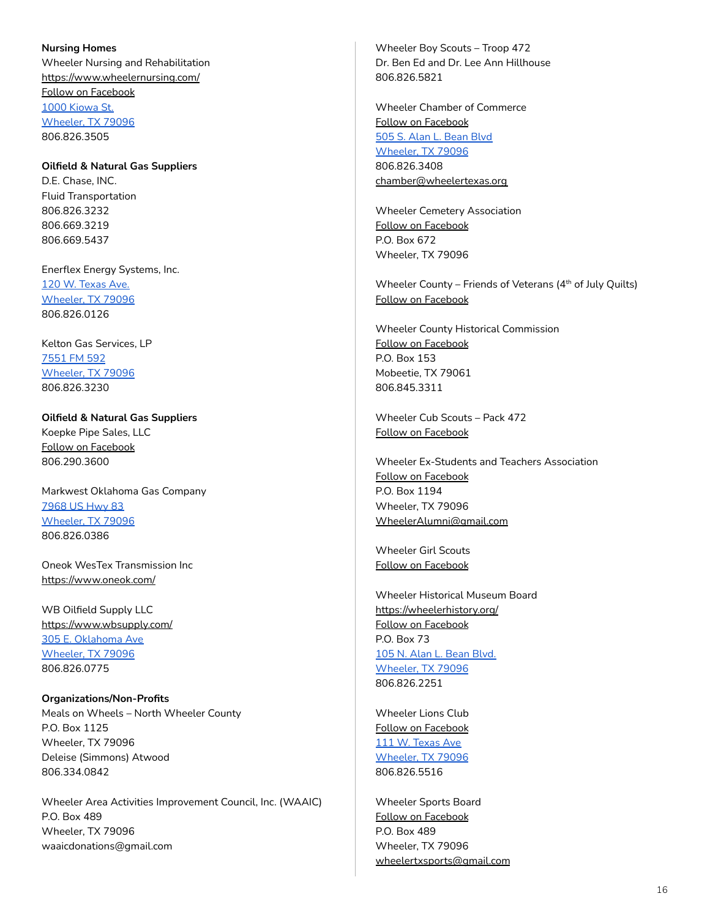<span id="page-15-0"></span>**Nursing Homes** Wheeler Nursing and Rehabilitation <https://www.wheelernursing.com/> Follow on [Facebook](https://www.facebook.com/Wheeler-Nursing-and-Rehabilitation-392375631264823/) 1000 [Kiowa](https://www.google.com/maps/place/1000+Kiowa+St,+Wheeler,+TX+79096/@35.4384174,-100.2800435,17z/data=!3m1!4b1!4m5!3m4!1s0x87aa1f994c02c7e1:0xa6bbe75b7a7c2f70!8m2!3d35.4384174!4d-100.2778495) St. [Wheeler,](https://www.google.com/maps/place/1000+Kiowa+St,+Wheeler,+TX+79096/@35.4384174,-100.2800435,17z/data=!3m1!4b1!4m5!3m4!1s0x87aa1f994c02c7e1:0xa6bbe75b7a7c2f70!8m2!3d35.4384174!4d-100.2778495) TX 79096 806.826.3505

<span id="page-15-1"></span>**Oilfield & Natural Gas Suppliers** D.E. Chase, INC. Fluid Transportation 806.826.3232 806.669.3219 806.669.5437

Enerflex Energy Systems, Inc. 120 W. [Texas](https://www.google.com/maps/place/120+W+Texas+Ave,+Wheeler,+TX+79096/@35.4443932,-100.2765389,17z/data=!3m1!4b1!4m5!3m4!1s0x87aa1f908672968f:0x5d3d9035b9fb1228!8m2!3d35.4443932!4d-100.2743449) Ave. [Wheeler,](https://www.google.com/maps/place/120+W+Texas+Ave,+Wheeler,+TX+79096/@35.4443932,-100.2765389,17z/data=!3m1!4b1!4m5!3m4!1s0x87aa1f908672968f:0x5d3d9035b9fb1228!8m2!3d35.4443932!4d-100.2743449) TX 79096 806.826.0126

Kelton Gas Services, LP [7551](https://www.google.com/maps/place/Kelton+Gas+Services/@35.3282672,-100.2739565,17z/data=!3m1!4b1!4m5!3m4!1s0x87aa1f9a8ef4638f:0x4efc834413f43ba3!8m2!3d35.3282672!4d-100.2717625) FM 592 [Wheeler,](https://www.google.com/maps/place/Kelton+Gas+Services/@35.3282672,-100.2739565,17z/data=!3m1!4b1!4m5!3m4!1s0x87aa1f9a8ef4638f:0x4efc834413f43ba3!8m2!3d35.3282672!4d-100.2717625) TX 79096 806.826.3230

**Oilfield & Natural Gas Suppliers** Koepke Pipe Sales, LLC Follow on [Facebook](https://www.facebook.com/Koepke-Pipe-Sales-1740966619502915/) 806.290.3600

Markwest Oklahoma Gas Company [7968](https://www.google.com/maps/place/7968+US-83,+Wheeler,+TX+79096/@35.4551732,-100.2733069,17z/data=!3m1!4b1!4m5!3m4!1s0x87aa1ff2aa47116b:0xc5ac32875c119776!8m2!3d35.4551732!4d-100.2711129) US Hwy 83 [Wheeler,](https://www.google.com/maps/place/7968+US-83,+Wheeler,+TX+79096/@35.4551732,-100.2733069,17z/data=!3m1!4b1!4m5!3m4!1s0x87aa1ff2aa47116b:0xc5ac32875c119776!8m2!3d35.4551732!4d-100.2711129) TX 79096 806.826.0386

Oneok WesTex Transmission Inc <https://www.oneok.com/>

WB Oilfield Supply LLC <https://www.wbsupply.com/> 305 E. [Oklahoma](https://www.google.com/maps/place/305+E+Oklahoma+Ave,+Wheeler,+TX+79096/@35.4454874,-100.2722406,17z/data=!3m1!4b1!4m5!3m4!1s0x87aa1f8fc1dc6743:0xc7ba8d3e9b00e0c8!8m2!3d35.4454874!4d-100.2700466) Ave [Wheeler,](https://www.google.com/maps/place/305+E+Oklahoma+Ave,+Wheeler,+TX+79096/@35.4454874,-100.2722406,17z/data=!3m1!4b1!4m5!3m4!1s0x87aa1f8fc1dc6743:0xc7ba8d3e9b00e0c8!8m2!3d35.4454874!4d-100.2700466) TX 79096 806.826.0775

<span id="page-15-2"></span>**Organizations/Non-Profits** Meals on Wheels – North Wheeler County P.O. Box 1125 Wheeler, TX 79096 Deleise (Simmons) Atwood 806.334.0842

Wheeler Area Activities Improvement Council, Inc. (WAAIC) P.O. Box 489 Wheeler, TX 79096 waaicdonations@gmail.com

Wheeler Boy Scouts – Troop 472 Dr. Ben Ed and Dr. Lee Ann Hillhouse 806.826.5821

Wheeler Chamber of Commerce Follow on [Facebook](https://www.facebook.com/wheelerchamber/) 505 S. Alan L. [Bean](https://www.google.com/maps/place/505+S+Alan+L+Bean+Blvd,+Wheeler,+TX+79096/@35.4432966,-100.274081,17z/data=!3m1!4b1!4m5!3m4!1s0x87aa1f9ab009b0b7:0xd17a63f9e5ead90f!8m2!3d35.4432966!4d-100.271887) Blvd [Wheeler,](https://www.google.com/maps/place/505+S+Alan+L+Bean+Blvd,+Wheeler,+TX+79096/@35.4432966,-100.274081,17z/data=!3m1!4b1!4m5!3m4!1s0x87aa1f9ab009b0b7:0xd17a63f9e5ead90f!8m2!3d35.4432966!4d-100.271887) TX 79096 806.826.3408 [chamber@wheelertexas.org](mailto:chamber@wheelertexas.org)

Wheeler Cemetery Association Follow on [Facebook](https://www.facebook.com/Wheeler-Cemetery-Association-176149009682563/) P.O. Box 672 Wheeler, TX 79096

Wheeler County – Friends of Veterans (4<sup>th</sup> of July Quilts) Follow on [Facebook](https://www.facebook.com/groups/403271556819597/)

Wheeler County Historical Commission Follow on [Facebook](https://www.facebook.com/Wheeler-County-Historical-Commission-1562132920672055/) P.O. Box 153 Mobeetie, TX 79061 806.845.3311

Wheeler Cub Scouts – Pack 472 Follow on [Facebook](https://www.facebook.com/cubscouts.wheeler/)

Wheeler Ex-Students and Teachers Association Follow on [Facebook](https://www.facebook.com/groups/WheelerExStudents/) P.O. Box 1194 Wheeler, TX 79096 [WheelerAlumni@gmail.com](mailto:WheelerAlumni@gmail.com)

Wheeler Girl Scouts Follow on [Facebook](https://www.facebook.com/groups/882579558601459/)

Wheeler Historical Museum Board <https://wheelerhistory.org/> Follow on [Facebook](https://www.facebook.com/wheelermuseum/) P.O. Box 73 105 N. Alan L. [Bean](https://www.google.com/maps/place/105+S+Alan+L+Bean+Blvd,+Wheeler,+TX+79096/@35.4478557,-100.2740153,17z/data=!3m1!4b1!4m5!3m4!1s0x87aa1f91dcea90dd:0x90f7069f39882697!8m2!3d35.4478557!4d-100.2718213) Blvd. [Wheeler,](https://www.google.com/maps/place/105+S+Alan+L+Bean+Blvd,+Wheeler,+TX+79096/@35.4478557,-100.2740153,17z/data=!3m1!4b1!4m5!3m4!1s0x87aa1f91dcea90dd:0x90f7069f39882697!8m2!3d35.4478557!4d-100.2718213) TX 79096 806.826.2251

Wheeler Lions Club Follow on [Facebook](https://www.facebook.com/WheelerTXLionsClub/) 111 W. [Texas](https://www.google.com/maps/place/111+W+Texas+Ave,+Wheeler,+TX+79096/@35.4440697,-100.2760795,17z/data=!3m1!4b1!4m5!3m4!1s0x87aa1f907e5bc90f:0x58398e3475913280!8m2!3d35.4440697!4d-100.2738855) Ave [Wheeler,](https://www.google.com/maps/place/111+W+Texas+Ave,+Wheeler,+TX+79096/@35.4440697,-100.2760795,17z/data=!3m1!4b1!4m5!3m4!1s0x87aa1f907e5bc90f:0x58398e3475913280!8m2!3d35.4440697!4d-100.2738855) TX 79096 806.826.5516

Wheeler Sports Board Follow on [Facebook](https://www.facebook.com/groups/302408530516633/) P.O. Box 489 Wheeler, TX 79096 [wheelertxsports@gmail.com](mailto:wheelertxsports@gmail.com)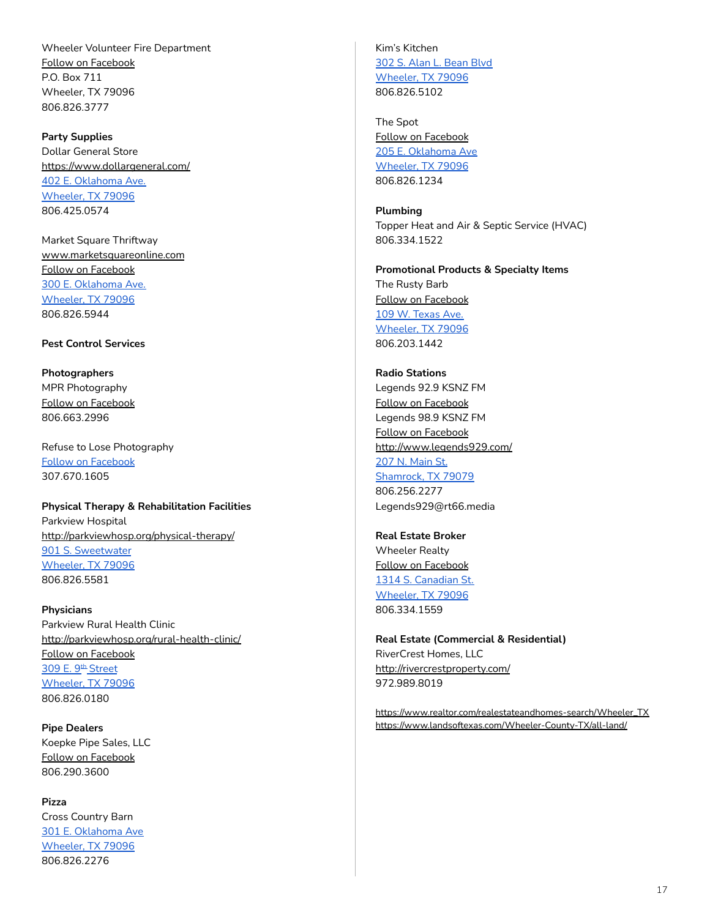Wheeler Volunteer Fire Department Follow on [Facebook](https://www.facebook.com/wheelervolunteerfiredepartment/) P.O. Box 711 Wheeler, TX 79096 806.826.3777

<span id="page-16-0"></span>**Party Supplies** Dollar General Store <https://www.dollargeneral.com/> 402 E. [Oklahoma](https://www.google.com/maps/place/402+E+Oklahoma+Ave,+Wheeler,+TX+79096/@35.4447849,-100.2715395,17z/data=!3m1!4b1!4m5!3m4!1s0x87aa1f8f8e56e2b1:0x5786919f2faee49b!8m2!3d35.4447849!4d-100.2693455) Ave. [Wheeler,](https://www.google.com/maps/place/402+E+Oklahoma+Ave,+Wheeler,+TX+79096/@35.4447849,-100.2715395,17z/data=!3m1!4b1!4m5!3m4!1s0x87aa1f8f8e56e2b1:0x5786919f2faee49b!8m2!3d35.4447849!4d-100.2693455) TX 79096 806.425.0574

Market Square Thriftway [www.marketsquareonline.com](http://www.marketsquareonline.com) Follow on [Facebook](https://www.facebook.com/MarketSquare/) 300 E. [Oklahoma](https://www.google.com/maps/place/300+E+Oklahoma+Ave,+Wheeler,+TX+79096/@35.4444397,-100.2721091,17z/data=!3m1!4b1!4m5!3m4!1s0x87aa1f8ff48b137f:0xe1d2d70446394cfd!8m2!3d35.4444397!4d-100.2699151) Ave. [Wheeler,](https://www.google.com/maps/place/300+E+Oklahoma+Ave,+Wheeler,+TX+79096/@35.4444397,-100.2721091,17z/data=!3m1!4b1!4m5!3m4!1s0x87aa1f8ff48b137f:0xe1d2d70446394cfd!8m2!3d35.4444397!4d-100.2699151) TX 79096 806.826.5944

### <span id="page-16-1"></span>**Pest Control Services**

<span id="page-16-2"></span>**Photographers** MPR Photography Follow on [Facebook](https://www.facebook.com/mpamelarphotography/) 806.663.2996

Refuse to Lose Photography Follow on [Facebook](https://www.facebook.com/refusetolosephotograghy) 307.670.1605

<span id="page-16-3"></span>**Physical Therapy & Rehabilitation Facilities** Parkview Hospital <http://parkviewhosp.org/physical-therapy/> 901 S. [Sweetwater](https://www.google.com/maps/place/901+S+Sweetwater+St,+Wheeler,+TX+79096/@35.4392729,-100.2725911,17z/data=!3m1!4b1!4m5!3m4!1s0x87aa1f84a4e57781:0x6a1ba2db4ff8d738!8m2!3d35.4392729!4d-100.2703971) [Wheeler,](https://www.google.com/maps/place/901+S+Sweetwater+St,+Wheeler,+TX+79096/@35.4392729,-100.2725911,17z/data=!3m1!4b1!4m5!3m4!1s0x87aa1f84a4e57781:0x6a1ba2db4ff8d738!8m2!3d35.4392729!4d-100.2703971) TX 79096 806.826.5581

<span id="page-16-4"></span>**Physicians** Parkview Rural Health Clinic <http://parkviewhosp.org/rural-health-clinic/> Follow on [Facebook](https://www.facebook.com/pvruralhealthclinic/) 309 E. 9<sup>th</sup> [Street](https://www.google.com/maps/place/309+E+9th+St,+Wheeler,+TX+79096/@35.4399965,-100.2721004,17z/data=!3m1!4b1!4m5!3m4!1s0x87aa1f84bfc7cf31:0x69e1fc3e2fd1a1e9!8m2!3d35.4399965!4d-100.2699064) [Wheeler,](https://www.google.com/maps/place/309+E+9th+St,+Wheeler,+TX+79096/@35.4399965,-100.2721004,17z/data=!3m1!4b1!4m5!3m4!1s0x87aa1f84bfc7cf31:0x69e1fc3e2fd1a1e9!8m2!3d35.4399965!4d-100.2699064) TX 79096 806.826.0180

<span id="page-16-5"></span>**Pipe Dealers** Koepke Pipe Sales, LLC Follow on [Facebook](https://www.facebook.com/Koepke-Pipe-Sales-1740966619502915/) 806.290.3600

<span id="page-16-6"></span>**Pizza** Cross Country Barn 301 E. [Oklahoma](https://www.google.com/maps/place/301+E+Oklahoma+Ave,+Wheeler,+TX+79096/@35.4457233,-100.2727007,17z/data=!3m1!4b1!4m5!3m4!1s0x87aa1f8fc330e311:0xf3fdd2dd1539587e!8m2!3d35.4457233!4d-100.2705067) Ave [Wheeler,](https://www.google.com/maps/place/301+E+Oklahoma+Ave,+Wheeler,+TX+79096/@35.4457233,-100.2727007,17z/data=!3m1!4b1!4m5!3m4!1s0x87aa1f8fc330e311:0xf3fdd2dd1539587e!8m2!3d35.4457233!4d-100.2705067) TX 79096 806.826.2276

Kim's Kitchen 302 S. Alan L. [Bean](https://www.google.com/maps/place/302+S+Alan+L+Bean+Blvd,+Wheeler,+TX+79096/@35.4457233,-100.2727007,17z/data=!4m5!3m4!1s0x87aa1f903ee3ffff:0xfed70af6f9a272d3!8m2!3d35.4455582!4d-100.2724348) Blvd [Wheeler,](https://www.google.com/maps/place/302+S+Alan+L+Bean+Blvd,+Wheeler,+TX+79096/@35.4457233,-100.2727007,17z/data=!4m5!3m4!1s0x87aa1f903ee3ffff:0xfed70af6f9a272d3!8m2!3d35.4455582!4d-100.2724348) TX 79096 806.826.5102

The Spot Follow on [Facebook](https://www.facebook.com/pages/Spot/204165176588534) 205 E. [Oklahoma](https://www.google.com/maps/place/205+E+Oklahoma+Ave,+Wheeler,+TX+79096/@35.4454765,-100.2737254,17z/data=!3m1!4b1!4m5!3m4!1s0x87aa1f9021ed9fc5:0x106a08331f04fd97!8m2!3d35.4454765!4d-100.2715314) Ave [Wheeler,](https://www.google.com/maps/place/205+E+Oklahoma+Ave,+Wheeler,+TX+79096/@35.4454765,-100.2737254,17z/data=!3m1!4b1!4m5!3m4!1s0x87aa1f9021ed9fc5:0x106a08331f04fd97!8m2!3d35.4454765!4d-100.2715314) TX 79096 806.826.1234

<span id="page-16-7"></span>**Plumbing** Topper Heat and Air & Septic Service (HVAC) 806.334.1522

<span id="page-16-8"></span>**Promotional Products & Specialty Items** The Rusty Barb Follow on [Facebook](https://www.facebook.com/therustybarb27/) 109 W. [Texas](https://goo.gl/maps/CTUqcmGSMUcGt4jU9) Ave. [Wheeler,](https://goo.gl/maps/CTUqcmGSMUcGt4jU9) TX 79096 806.203.1442

**Radio Stations** Legends 92.9 KSNZ FM Follow on [Facebook](https://www.facebook.com/CountryLegends929/) Legends 98.9 KSNZ FM Follow on [Facebook](https://www.facebook.com/legends989/) <http://www.legends929.com/> 207 N. [Main](https://www.google.com/maps/place/207+N+Main+St,+Shamrock,+TX+79079/@35.2157875,-100.2514725,17z/data=!3m1!4b1!4m5!3m4!1s0x87aa3e07d0ed5579:0x8e727c1af92c9261!8m2!3d35.2157875!4d-100.2492785) St. [Shamrock,](https://www.google.com/maps/place/207+N+Main+St,+Shamrock,+TX+79079/@35.2157875,-100.2514725,17z/data=!3m1!4b1!4m5!3m4!1s0x87aa3e07d0ed5579:0x8e727c1af92c9261!8m2!3d35.2157875!4d-100.2492785) TX 79079 806.256.2277 Legends929@rt66.media

<span id="page-16-9"></span>**Real Estate Broker** Wheeler Realty Follow on [Facebook](https://www.facebook.com/Wheelerrealtyllc/) 1314 S. [Canadian](https://www.google.com/maps/place/1314+S+Canadian+St,+Wheeler,+TX+79096/@35.434824,-100.2773018,17z/data=!3m1!4b1!4m5!3m4!1s0x87aa1f9db98355e1:0x42e4d1047059399f!8m2!3d35.434824!4d-100.2751078) St. [Wheeler,](https://www.google.com/maps/place/1314+S+Canadian+St,+Wheeler,+TX+79096/@35.434824,-100.2773018,17z/data=!3m1!4b1!4m5!3m4!1s0x87aa1f9db98355e1:0x42e4d1047059399f!8m2!3d35.434824!4d-100.2751078) TX 79096 806.334.1559

<span id="page-16-10"></span>**Real Estate (Commercial & Residential)** RiverCrest Homes, LLC <http://rivercrestproperty.com/> 972.989.8019

[https://www.realtor.com/realestateandhomes-search/Wheeler\\_TX](https://www.realtor.com/realestateandhomes-search/Wheeler_TX) <https://www.landsoftexas.com/Wheeler-County-TX/all-land/>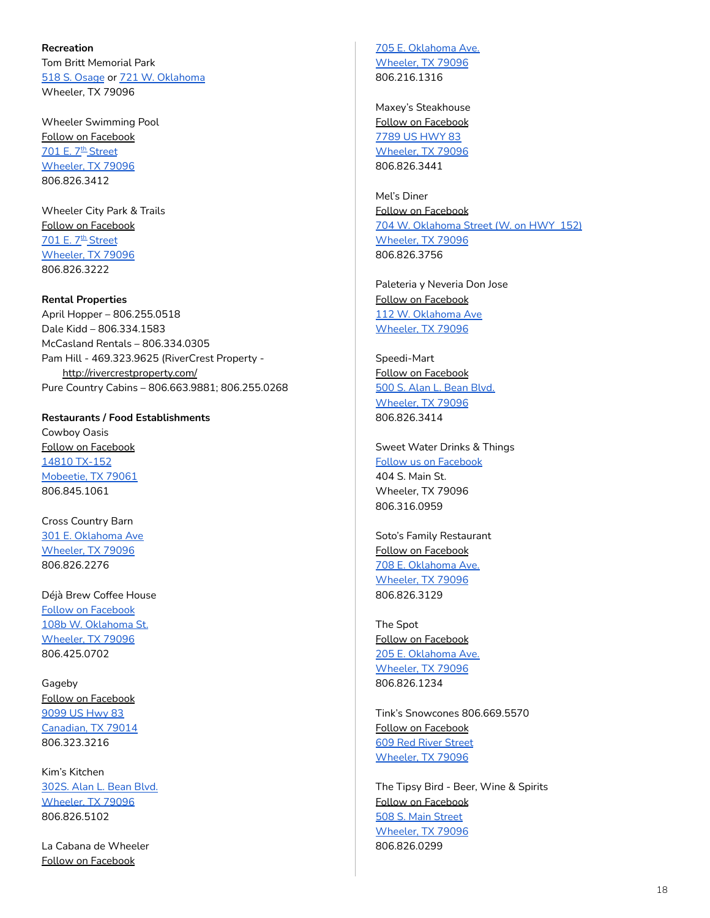<span id="page-17-0"></span>**Recreation** Tom Britt Memorial Park 518 S. [Osage](https://www.google.com/maps/place/518+S+Osage+St,+Wheeler,+TX+79096/@35.4421634,-100.2835758,17z/data=!3m1!4b1!4m8!1m2!2m1!1s518+S.+Osage!3m4!1s0x87aa1f981406cf17:0xeb29843b0f2455fa!8m2!3d35.4421634!4d-100.2813818) or 721 W. [Oklahoma](https://www.google.com/maps/place/721+W+Oklahoma+Ave,+Wheeler,+TX+79096/@35.4446602,-100.2840617,17z/data=!3m1!4b1!4m8!1m2!2m1!1s721+W.+Oklahoma!3m4!1s0x87aa1fbd68dedec5:0xcaa14376e21d6224!8m2!3d35.4446602!4d-100.2818677) Wheeler, TX 79096

Wheeler Swimming Pool Follow on [Facebook](https://www.facebook.com/pages/Wheeler-Swimming-Pool/209359112733969) <u>701 E. 7<sup>th</sup> [Street](https://www.google.com/maps/place/701+E+7th+St,+Wheeler,+TX+79096/@35.4405824,-100.2695949,17z/data=!3m1!4b1!4m5!3m4!1s0x87aa1f8443ddc087:0x4eae93ccacb69c46!8m2!3d35.4405824!4d-100.2674009)</u> [Wheeler,](https://www.google.com/maps/place/701+E+7th+St,+Wheeler,+TX+79096/@35.4405824,-100.2695949,17z/data=!3m1!4b1!4m5!3m4!1s0x87aa1f8443ddc087:0x4eae93ccacb69c46!8m2!3d35.4405824!4d-100.2674009) TX 79096 806.826.3412

Wheeler City Park & Trails Follow on [Facebook](https://www.facebook.com/pages/Wheeler-City-Park/127857667291629?eid=ARCX0yfN5szfPChdn5VVpZqZWurEQPP2G6KUr-Xeg-sAW2yfLUcTQuk7jxPFFHYhRA0aas2H3GmJzQHU) 701 E. 7<sup>th</sup> [Street](https://www.google.com/maps/place/701+E+7th+St,+Wheeler,+TX+79096/@35.4405824,-100.2695949,17z/data=!3m1!4b1!4m5!3m4!1s0x87aa1f8443ddc087:0x4eae93ccacb69c46!8m2!3d35.4405824!4d-100.2674009) [Wheeler,](https://www.google.com/maps/place/701+E+7th+St,+Wheeler,+TX+79096/@35.4405824,-100.2695949,17z/data=!3m1!4b1!4m5!3m4!1s0x87aa1f8443ddc087:0x4eae93ccacb69c46!8m2!3d35.4405824!4d-100.2674009) TX 79096 806.826.3222

#### <span id="page-17-1"></span>**Rental Properties**

April Hopper – 806.255.0518 Dale Kidd – 806.334.1583 McCasland Rentals – 806.334.0305 Pam Hill - 469.323.9625 (RiverCrest Property <http://rivercrestproperty.com/> Pure Country Cabins – 806.663.9881; 806.255.0268

<span id="page-17-2"></span>**Restaurants / Food Establishments** Cowboy Oasis Follow on [Facebook](https://www.facebook.com/The-Cowboy-Oasis-Cafe-252237748995690/?__tn__=%2CdK*F-R&eid=ARA0-BoN_QRPXBNo8SaRQnZ9seZOsU53XRzS_k8-tTGSSOvJxMjut92RzApjiQVJKdfgd5pIrUsmyzln) 14810 [TX-152](https://www.google.com/maps/place/Cowboys+Oasis+Restaurant/@35.516867,-100.4408732,322m/data=!3m1!1e3!4m13!1m7!3m6!1s0x87a9f75fe62d853d:0xc7c2c790c2f659b2!2sMobeetie,+TX+79061!3b1!8m2!3d35.5113572!4d-100.4391017!3m4!1s0x87a9f7a3a34017c3:0xedddaa297d4d60e4!8m2!3d35.5170361!4d-100.4399273) [Mobeetie,](https://www.google.com/maps/place/Cowboys+Oasis+Restaurant/@35.516867,-100.4408732,322m/data=!3m1!1e3!4m13!1m7!3m6!1s0x87a9f75fe62d853d:0xc7c2c790c2f659b2!2sMobeetie,+TX+79061!3b1!8m2!3d35.5113572!4d-100.4391017!3m4!1s0x87a9f7a3a34017c3:0xedddaa297d4d60e4!8m2!3d35.5170361!4d-100.4399273) TX 79061 [806.845.1061](https://www.google.com/search?q=cowboy+oasis+mobeetie+texas&oq=cowboy+oa&aqs=chrome.1.69i57j35i39j0l3j69i60l2j69i61.2111j0j7&sourceid=chrome&ie=UTF-8#)

Cross Country Barn 301 E. [Oklahoma](https://www.google.com/maps/place/301+E+Oklahoma+Ave,+Wheeler,+TX+79096/@35.4457233,-100.2727007,17z/data=!3m1!4b1!4m5!3m4!1s0x87aa1f8fc330e311:0xf3fdd2dd1539587e!8m2!3d35.4457233!4d-100.2705067) Ave [Wheeler,](https://www.google.com/maps/place/301+E+Oklahoma+Ave,+Wheeler,+TX+79096/@35.4457233,-100.2727007,17z/data=!3m1!4b1!4m5!3m4!1s0x87aa1f8fc330e311:0xf3fdd2dd1539587e!8m2!3d35.4457233!4d-100.2705067) TX 79096 806.826.2276

Déjà Brew Coffee House Follow on [Facebook](https://www.facebook.com/D%C3%A9j%C3%A0-Brew-Coffee-House-105180171028391/?ref=page_internal) 108b W. [Oklahoma](https://goo.gl/maps/kXwL6Lpt3EP9bT9z8) St. [Wheeler,](https://goo.gl/maps/kXwL6Lpt3EP9bT9z8) TX 79096 806.425.0702

Gageby Follow on [Facebook](https://www.facebook.com/Gagebystore/) [9099](https://www.google.com/maps/place/Gageby+Store/@35.6189236,-100.342175,643m/data=!3m1!1e3!4m12!1m6!3m5!1s0x87a9c281c8eeb6c9:0xf9b6639a28ef7450!2sGageby+Store!8m2!3d35.6189193!4d-100.339981!3m4!1s0x87a9c281c8eeb6c9:0xf9b6639a28ef7450!8m2!3d35.6189193!4d-100.339981) US Hwy 83 [Canadian,](https://www.google.com/maps/place/Gageby+Store/@35.6189236,-100.342175,643m/data=!3m1!1e3!4m12!1m6!3m5!1s0x87a9c281c8eeb6c9:0xf9b6639a28ef7450!2sGageby+Store!8m2!3d35.6189193!4d-100.339981!3m4!1s0x87a9c281c8eeb6c9:0xf9b6639a28ef7450!8m2!3d35.6189193!4d-100.339981) TX 79014 806.323.3216

Kim's Kitchen [302S.](https://www.google.com/maps/place/302+S+Alan+L+Bean+Blvd,+Wheeler,+TX+79096/@35.4455582,-100.2746288,17z/data=!3m1!4b1!4m5!3m4!1s0x87aa1f903ee3ffff:0xfed70af6f9a272d3!8m2!3d35.4455582!4d-100.2724348) Alan L. Bean Blvd. [Wheeler,](https://www.google.com/maps/place/302+S+Alan+L+Bean+Blvd,+Wheeler,+TX+79096/@35.4455582,-100.2746288,17z/data=!3m1!4b1!4m5!3m4!1s0x87aa1f903ee3ffff:0xfed70af6f9a272d3!8m2!3d35.4455582!4d-100.2724348) TX 79096 806.826.5102

La Cabana de Wheeler Follow on [Facebook](https://www.facebook.com/profile.php?id=100009616128032&__tn__=%2CdK-R-R&eid=ARCwUMs6cYccNbMMhkofyU6FmasdrNuvIuhNZSriiWnr_ux02rsulZqUfAiVmd-COdOtv8Hn550v5OYz&fref=mentions)

705 E. [Oklahoma](https://www.google.com/maps/place/705+E+Oklahoma+Ave,+Wheeler,+TX+79096/@35.4447275,-100.2663176,17z/data=!3m1!4b1!4m5!3m4!1s0x87aa1f889fc2c37f:0xbc00a26ef0dc1a0a!8m2!3d35.4447275!4d-100.2641236) Ave. [Wheeler,](https://www.google.com/maps/place/705+E+Oklahoma+Ave,+Wheeler,+TX+79096/@35.4447275,-100.2663176,17z/data=!3m1!4b1!4m5!3m4!1s0x87aa1f889fc2c37f:0xbc00a26ef0dc1a0a!8m2!3d35.4447275!4d-100.2641236) TX 79096 806.216.1316

Maxey's Steakhouse Follow on [Facebook](https://www.facebook.com/MaxeysSteakhouse/) 7789 US [HWY](https://www.google.com/maps/place/Maxey) 83 [Wheeler,](https://www.google.com/maps/place/Maxey) TX 79096 806.826.3441

Mel's Diner Follow on [Facebook](https://www.facebook.com/Mels-Diner-of-Wheeler-Texas-240180734699/) 704 W. [Oklahoma](https://www.google.com/maps/place/Mel) Street (W. on HWY 152) [Wheeler,](https://www.google.com/maps/place/Mel) TX 79096 806.826.3756

Paleteria y Neveria Don Jose Follow on [Facebook](https://www.facebook.com/paleteriadonjose/) 112 W. [Oklahoma](https://www.google.com/search?sxsrf=ALeKk00d99kRymxIwlfIzO72YPTVxIQpvg:1593034558493&q=Paleteria+y+Neveria+Don+Jose+Wheeler,+TX+79096&ludocid=273583233454535064&lsig=AB86z5VzrFF_yu5CGTl6g_dTq_on&sa=X&ved=2ahUKEwjA4uSXtJvqAhUJKKwKHWB5Di0QoAIwAHoECAsQBQ&biw=1440&bih=712) Ave [Wheeler,](https://www.google.com/search?sxsrf=ALeKk00d99kRymxIwlfIzO72YPTVxIQpvg:1593034558493&q=Paleteria+y+Neveria+Don+Jose+Wheeler,+TX+79096&ludocid=273583233454535064&lsig=AB86z5VzrFF_yu5CGTl6g_dTq_on&sa=X&ved=2ahUKEwjA4uSXtJvqAhUJKKwKHWB5Di0QoAIwAHoECAsQBQ&biw=1440&bih=712) TX 79096

Speedi-Mart Follow on [Facebook](https://www.facebook.com/speedimartcstore/) 500 S. Alan L. [Bean](https://www.google.com/maps/place/500+S+Alan+L+Bean+Blvd,+Wheeler,+TX+79096/@35.4436742,-100.2746287,17z/data=!3m1!4b1!4m5!3m4!1s0x87aa1f9aa1a78071:0x54e3e6e8fe440f22!8m2!3d35.4436742!4d-100.2724347) Blvd. [Wheeler,](https://www.google.com/maps/place/500+S+Alan+L+Bean+Blvd,+Wheeler,+TX+79096/@35.4436742,-100.2746287,17z/data=!3m1!4b1!4m5!3m4!1s0x87aa1f9aa1a78071:0x54e3e6e8fe440f22!8m2!3d35.4436742!4d-100.2724347) TX 79096 806.826.3414

Sweet Water Drinks & Things Follow us on [Facebook](https://www.facebook.com/Sweet-Water-Drinks-Things-102273328670663/?ref=page_internal) 404 S. Main St. Wheeler, TX 79096 806.316.0959

Soto's Family Restaurant Follow on [Facebook](http://www.facebook.com/sotos-family-restaurant-964031953755324) 708 E. [Oklahoma](https://www.google.com/maps/place/708+E+Oklahoma+Ave,+Wheeler,+TX+79096/@35.4443024,-100.2660403,17z/data=!3m1!4b1!4m5!3m4!1s0x87aa1f86240c7603:0x761da23aa18f906e!8m2!3d35.4443024!4d-100.2638463) Ave. [Wheeler,](https://www.google.com/maps/place/708+E+Oklahoma+Ave,+Wheeler,+TX+79096/@35.4443024,-100.2660403,17z/data=!3m1!4b1!4m5!3m4!1s0x87aa1f86240c7603:0x761da23aa18f906e!8m2!3d35.4443024!4d-100.2638463) TX 79096 806.826.3129

The Spot Follow on [Facebook](https://www.facebook.com/pages/Spot/204165176588534) 205 E. [Oklahoma](https://www.google.com/maps/place/205+E+Oklahoma+Ave,+Wheeler,+TX+79096/@35.4454765,-100.2737254,17z/data=!3m1!4b1!4m5!3m4!1s0x87aa1f9021ed9fc5:0x106a08331f04fd97!8m2!3d35.4454765!4d-100.2715314) Ave. [Wheeler,](https://www.google.com/maps/place/205+E+Oklahoma+Ave,+Wheeler,+TX+79096/@35.4454765,-100.2737254,17z/data=!3m1!4b1!4m5!3m4!1s0x87aa1f9021ed9fc5:0x106a08331f04fd97!8m2!3d35.4454765!4d-100.2715314) TX 79096 806.826.1234

Tink's Snowcones 806.669.5570 Follow on [Facebook](https://www.facebook.com/Tinks-Snowcones-231775566970206/) 609 Red River [Street](https://www.google.com/maps/place/401+7th,+Wheeler,+TX+79096/@35.4422608,-100.2698002,161m/data=!3m2!1e3!4b1!4m5!3m4!1s0x87aa1f85106fa2df:0xaa2edb18ae7396c9!8m2!3d35.4422597!4d-100.2692517) [Wheeler,](https://www.google.com/maps/place/401+7th,+Wheeler,+TX+79096/@35.4422608,-100.2698002,161m/data=!3m2!1e3!4b1!4m5!3m4!1s0x87aa1f85106fa2df:0xaa2edb18ae7396c9!8m2!3d35.4422597!4d-100.2692517) TX 79096

The Tipsy Bird - Beer, Wine & Spirits Follow on [Facebook](https://www.facebook.com/thetbird0029/) 508 S. Main [Street](https://www.google.com/maps/place/508+S+Main+St,+Wheeler,+TX+79096/@35.4434751,-100.2747823,322m/data=!3m1!1e3!4m13!1m7!3m6!1s0x87aa1f9a876d5d1b:0x204c6b54a5b3c68b!2s508+S+Main+St,+Wheeler,+TX+79096!3b1!8m2!3d35.4433768!4d-100.2736853!3m4!1s0x87aa1f9a876d5d1b:0x204c6b54a5b3c68b!8m2!3d35.4433768!4d-100.2736853) [Wheeler,](https://www.google.com/maps/place/508+S+Main+St,+Wheeler,+TX+79096/@35.4434751,-100.2747823,322m/data=!3m1!1e3!4m13!1m7!3m6!1s0x87aa1f9a876d5d1b:0x204c6b54a5b3c68b!2s508+S+Main+St,+Wheeler,+TX+79096!3b1!8m2!3d35.4433768!4d-100.2736853!3m4!1s0x87aa1f9a876d5d1b:0x204c6b54a5b3c68b!8m2!3d35.4433768!4d-100.2736853) TX 79096 806.826.0299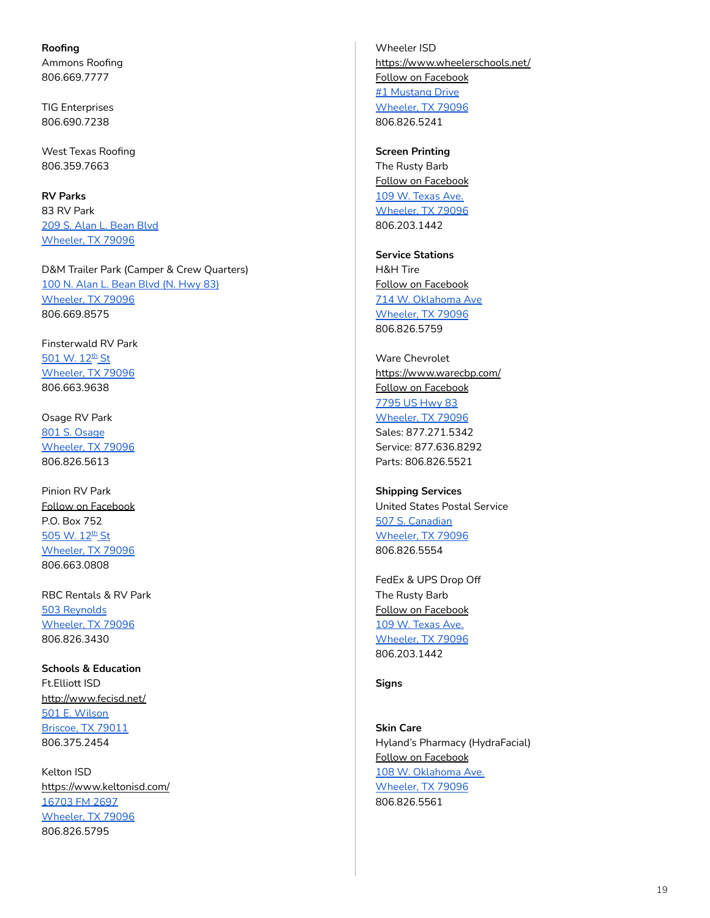<span id="page-18-0"></span>**Roofing** Ammons Roofing 806.669.7777

TIG Enterprises 806.690.7238

West Texas Roofing 806.359.7663

<span id="page-18-1"></span>**RV Parks** 83 RV Park 209 S. Alan L. [Bean](https://www.google.com/maps/place/209+S+Alan+L+Bean+Blvd,+Wheeler,+TX+79096/@35.4465483,-100.2739929,17z/data=!3m1!4b1!4m5!3m4!1s0x87aa1f902da8a73b:0x79a34e8938f76255!8m2!3d35.4465483!4d-100.2717989) Blvd [Wheeler,](https://www.google.com/maps/place/209+S+Alan+L+Bean+Blvd,+Wheeler,+TX+79096/@35.4465483,-100.2739929,17z/data=!3m1!4b1!4m5!3m4!1s0x87aa1f902da8a73b:0x79a34e8938f76255!8m2!3d35.4465483!4d-100.2717989) TX 79096

D&M Trailer Park (Camper & Crew Quarters) 100 N. Alan L. [Bean](https://www.google.com/maps/place/100+S+Alan+L+Bean+Blvd,+Wheeler,+TX+79096/@35.4484483,-100.2754638,17z/data=!3m1!4b1!4m8!1m2!2m1!1s100+N.+Alan+L.+Bean+Blvd+(N.+Hwy+83)+Wheeler,+TX+79096!3m4!1s0x87aa1f91f1c87619:0x3053dc920b51a65a!8m2!3d35.4484483!4d-100.2732698) Blvd (N. Hwy 83) [Wheeler,](https://www.google.com/maps/place/100+S+Alan+L+Bean+Blvd,+Wheeler,+TX+79096/@35.4484483,-100.2754638,17z/data=!3m1!4b1!4m8!1m2!2m1!1s100+N.+Alan+L.+Bean+Blvd+(N.+Hwy+83)+Wheeler,+TX+79096!3m4!1s0x87aa1f91f1c87619:0x3053dc920b51a65a!8m2!3d35.4484483!4d-100.2732698) TX 79096 806.669.8575

Finsterwald RV Park <mark>[501](https://www.google.com/maps/place/501+W+12th+St,+Wheeler,+TX+79096/@35.4357333,-100.2816725,17z/data=!3m1!4b1!4m5!3m4!1s0x87aa1f9eedd467fb:0xfe05f1774e94aa5a!8m2!3d35.4357333!4d-100.2794785) W. 12<sup>th</sup> St</mark> [Wheeler,](https://www.google.com/maps/place/501+W+12th+St,+Wheeler,+TX+79096/@35.4357333,-100.2816725,17z/data=!3m1!4b1!4m5!3m4!1s0x87aa1f9eedd467fb:0xfe05f1774e94aa5a!8m2!3d35.4357333!4d-100.2794785) TX 79096 806.663.9638

Osage RV Park 801 S. [Osage](https://www.google.com/maps/place/801+S+Osage+St,+Wheeler,+TX+79096/@35.4407222,-100.2827756,17z/data=!3m1!4b1!4m5!3m4!1s0x87aa1f9858e2374b:0xe988c26ef00a1d25!8m2!3d35.4407222!4d-100.2805816) [Wheeler,](https://www.google.com/maps/place/801+S+Osage+St,+Wheeler,+TX+79096/@35.4407222,-100.2827756,17z/data=!3m1!4b1!4m5!3m4!1s0x87aa1f9858e2374b:0xe988c26ef00a1d25!8m2!3d35.4407222!4d-100.2805816) TX 79096 806.826.5613

Pinion RV Park Follow on [Facebook](https://www.facebook.com/PinionRVPark/) P.O. Box 752 <mark>[505](https://www.google.com/maps/place/505+W+12th+St,+Wheeler,+TX+79096/@35.4357333,-100.2816725,17z/data=!3m1!4b1!4m5!3m4!1s0x87aa1f9eedd467fb:0x8e73353a62248315!8m2!3d35.4357333!4d-100.2794785) W. 12<sup>th</sup> St</mark> [Wheeler,](https://www.google.com/maps/place/505+W+12th+St,+Wheeler,+TX+79096/@35.4357333,-100.2816725,17z/data=!3m1!4b1!4m5!3m4!1s0x87aa1f9eedd467fb:0x8e73353a62248315!8m2!3d35.4357333!4d-100.2794785) TX 79096 806.663.0808

RBC Rentals & RV Park 503 [Reynolds](https://www.google.com/maps/place/503+Reynolds+St,+Wheeler,+TX+79096/@35.4443844,-100.2672738,17z/data=!3m1!4b1!4m5!3m4!1s0x87aa1f860aa16939:0xa1a2ad7d03c04501!8m2!3d35.4443844!4d-100.2650798) [Wheeler,](https://www.google.com/maps/place/503+Reynolds+St,+Wheeler,+TX+79096/@35.4443844,-100.2672738,17z/data=!3m1!4b1!4m5!3m4!1s0x87aa1f860aa16939:0xa1a2ad7d03c04501!8m2!3d35.4443844!4d-100.2650798) TX 79096 806.826.3430

<span id="page-18-2"></span>**Schools & Education** Ft.Elliott ISD <http://www.fecisd.net/> 501 E. [Wilson](https://www.google.com/maps/place/501+Wilson+Ave,+Briscoe,+TX+79011/@35.58359,-100.2865794,17z/data=!3m1!4b1!4m5!3m4!1s0x87a9f36acdacfd7b:0x65662a674049e52a!8m2!3d35.58359!4d-100.2843854) [Briscoe,](https://www.google.com/maps/place/501+Wilson+Ave,+Briscoe,+TX+79011/@35.58359,-100.2865794,17z/data=!3m1!4b1!4m5!3m4!1s0x87a9f36acdacfd7b:0x65662a674049e52a!8m2!3d35.58359!4d-100.2843854) TX 79011 806.375.2454

Kelton ISD <https://www.keltonisd.com/> [16703](https://www.google.com/maps/place/Kelton+School/@35.4009501,-100.1132057,17z/data=!3m1!4b1!4m5!3m4!1s0x87aa25d8fc594281:0x79bac904da5e989!8m2!3d35.4009501!4d-100.1110117) FM 2697 [Wheeler,](https://www.google.com/maps/place/Kelton+School/@35.4009501,-100.1132057,17z/data=!3m1!4b1!4m5!3m4!1s0x87aa25d8fc594281:0x79bac904da5e989!8m2!3d35.4009501!4d-100.1110117) TX 79096 806.826.5795

Wheeler ISD <https://www.wheelerschools.net/> Follow on [Facebook](https://www.facebook.com/profile.php?id=100007029018384) #1 [Mustang](https://www.google.com/maps/place/Wheeler+Independent+School+District/@35.4472943,-100.275724,17z/data=!3m1!4b1!4m5!3m4!1s0x87aa1f91a583879f:0x42f322e74017f83!8m2!3d35.4472943!4d-100.27353) Drive [Wheeler,](https://www.google.com/maps/place/Wheeler+Independent+School+District/@35.4472943,-100.275724,17z/data=!3m1!4b1!4m5!3m4!1s0x87aa1f91a583879f:0x42f322e74017f83!8m2!3d35.4472943!4d-100.27353) TX 79096 806.826.5241

<span id="page-18-3"></span>**Screen Printing** The Rusty Barb Follow on [Facebook](https://www.facebook.com/therustybarb27/) 109 W. [Texas](https://goo.gl/maps/CTUqcmGSMUcGt4jU9) Ave. [Wheeler,](https://goo.gl/maps/CTUqcmGSMUcGt4jU9) TX 79096 806.203.1442

<span id="page-18-4"></span>**Service Stations** H&H Tire Follow on [Facebook](https://www.facebook.com/HandHtireshop1/) 714 W. [Oklahoma](https://www.google.com/maps/place/714+W+Oklahoma+Ave,+Wheeler,+TX+79096/@35.4449097,-100.2861543,17z/data=!3m1!4b1!4m5!3m4!1s0x87aa1fbd12e9f5af:0x35f7a3e1ec09b53!8m2!3d35.4449097!4d-100.2839603) Ave [Wheeler,](https://www.google.com/maps/place/714+W+Oklahoma+Ave,+Wheeler,+TX+79096/@35.4449097,-100.2861543,17z/data=!3m1!4b1!4m5!3m4!1s0x87aa1fbd12e9f5af:0x35f7a3e1ec09b53!8m2!3d35.4449097!4d-100.2839603) TX 79096 806.826.5759

Ware Chevrolet <https://www.warecbp.com/> Follow on [Facebook](https://www.facebook.com/warechevy/?ref=br_rs&fb_dtsg_ag=AQxF1TChHoiH_8T40Xv8IBMETD3LK3HmQJMWFaRgeUwRNA%3AAQxCDhiQ0CCh-dXb2uYKJQRsUy1wNQNml2v_ClvVJu4qHw&jazoest=27735) [7795](https://www.google.com/maps/place/7795+US-83,+Wheeler,+TX+79096/@35.4297354,-100.2751327,17z/data=!3m1!4b1!4m5!3m4!1s0x87aa1f770d88abe5:0x38b85a21f6b0ab06!8m2!3d35.4297354!4d-100.2729387) US Hwy 83 [Wheeler,](https://www.google.com/maps/place/7795+US-83,+Wheeler,+TX+79096/@35.4297354,-100.2751327,17z/data=!3m1!4b1!4m5!3m4!1s0x87aa1f770d88abe5:0x38b85a21f6b0ab06!8m2!3d35.4297354!4d-100.2729387) TX 79096 Sales: 877.271.5342 Service: 877.636.8292 Parts: 806.826.5521

<span id="page-18-5"></span>**Shipping Services** United States Postal Service 507 S. [Canadian](https://www.google.com/maps/place/507+S+Canadian+St,+Wheeler,+TX+79096/@35.4433412,-100.276776,17z/data=!3m1!4b1!4m5!3m4!1s0x87aa1f9a7a4b4be9:0xb14c8dedf9239a7d!8m2!3d35.4433412!4d-100.274582) [Wheeler,](https://www.google.com/maps/place/507+S+Canadian+St,+Wheeler,+TX+79096/@35.4433412,-100.276776,17z/data=!3m1!4b1!4m5!3m4!1s0x87aa1f9a7a4b4be9:0xb14c8dedf9239a7d!8m2!3d35.4433412!4d-100.274582) TX 79096 806.826.5554

FedEx & UPS Drop Off The Rusty Barb Follow on [Facebook](https://www.facebook.com/therustybarb27/) 109 W. [Texas](https://goo.gl/maps/CTUqcmGSMUcGt4jU9) Ave. [Wheeler,](https://goo.gl/maps/CTUqcmGSMUcGt4jU9) TX 79096 806.203.1442

<span id="page-18-6"></span>**Signs**

<span id="page-18-7"></span>**Skin Care** Hyland's Pharmacy (HydraFacial) Follow on [Facebook](https://www.facebook.com/hylandspharmacy/) 108 W. [Oklahoma](https://www.google.com/maps/place/108+W+Oklahoma+Ave,+Wheeler,+TX+79096/@35.4458238,-100.2760257,17z/data=!3m1!4b1!4m5!3m4!1s0x87aa1f9059c891cf:0x93a4400f9b87d8d8!8m2!3d35.4458194!4d-100.273837) Ave. [Wheeler,](https://www.google.com/maps/place/108+W+Oklahoma+Ave,+Wheeler,+TX+79096/@35.4458238,-100.2760257,17z/data=!3m1!4b1!4m5!3m4!1s0x87aa1f9059c891cf:0x93a4400f9b87d8d8!8m2!3d35.4458194!4d-100.273837) TX 79096 806.826.5561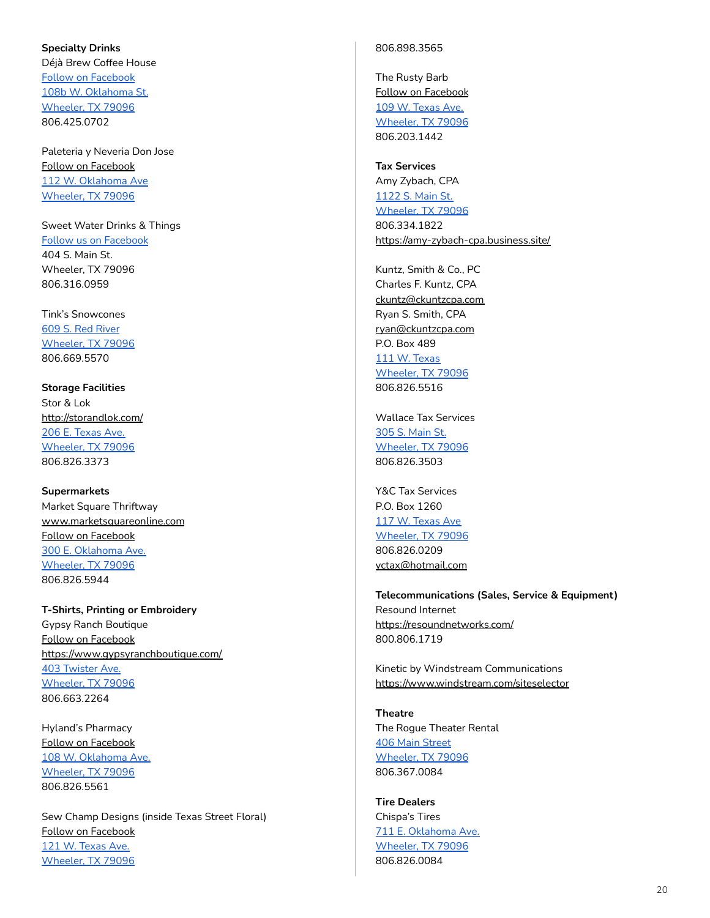### <span id="page-19-0"></span>**Specialty Drinks**

Déjà Brew Coffee House Follow on [Facebook](https://www.facebook.com/D%C3%A9j%C3%A0-Brew-Coffee-House-105180171028391/?ref=page_internal) 108b W. [Oklahoma](https://goo.gl/maps/kXwL6Lpt3EP9bT9z8) St. [Wheeler,](https://goo.gl/maps/kXwL6Lpt3EP9bT9z8) TX 79096 806.425.0702

Paleteria y Neveria Don Jose Follow on [Facebook](https://www.facebook.com/paleteriadonjose/) 112 W. [Oklahoma](https://www.google.com/search?sxsrf=ALeKk00d99kRymxIwlfIzO72YPTVxIQpvg:1593034558493&q=Paleteria+y+Neveria+Don+Jose+Wheeler,+TX+79096&ludocid=273583233454535064&lsig=AB86z5VzrFF_yu5CGTl6g_dTq_on&sa=X&ved=2ahUKEwjA4uSXtJvqAhUJKKwKHWB5Di0QoAIwAHoECAsQBQ&biw=1440&bih=712) Ave [Wheeler,](https://www.google.com/search?sxsrf=ALeKk00d99kRymxIwlfIzO72YPTVxIQpvg:1593034558493&q=Paleteria+y+Neveria+Don+Jose+Wheeler,+TX+79096&ludocid=273583233454535064&lsig=AB86z5VzrFF_yu5CGTl6g_dTq_on&sa=X&ved=2ahUKEwjA4uSXtJvqAhUJKKwKHWB5Di0QoAIwAHoECAsQBQ&biw=1440&bih=712) TX 79096

Sweet Water Drinks & Things Follow us on [Facebook](https://www.facebook.com/Sweet-Water-Drinks-Things-102273328670663/?ref=page_internal) 404 S. Main St. Wheeler, TX 79096 806.316.0959

Tink's Snowcones 609 S. Red [River](https://www.google.com/maps/place/609+S+Red+River+St,+Wheeler,+TX+79096/@35.4426135,-100.2714873,17z/data=!3m1!4b1!4m5!3m4!1s0x87aa1f851234f2a3:0xff2f356ee61a038d!8m2!3d35.4426135!4d-100.2692933) [Wheeler,](https://www.google.com/maps/place/609+S+Red+River+St,+Wheeler,+TX+79096/@35.4426135,-100.2714873,17z/data=!3m1!4b1!4m5!3m4!1s0x87aa1f851234f2a3:0xff2f356ee61a038d!8m2!3d35.4426135!4d-100.2692933) TX 79096 806.669.5570

<span id="page-19-1"></span>**Storage Facilities** Stor & Lok <http://storandlok.com/> 206 E. [Texas](https://www.google.com/maps/place/206+E+Texas+Ave,+Wheeler,+TX+79096/@35.443933,-100.273767,17z/data=!3m1!4b1!4m5!3m4!1s0x87aa1f9aaa273db5:0xde6d0f416c03f3a2!8m2!3d35.443933!4d-100.271573) Ave. [Wheeler,](https://www.google.com/maps/place/206+E+Texas+Ave,+Wheeler,+TX+79096/@35.443933,-100.273767,17z/data=!3m1!4b1!4m5!3m4!1s0x87aa1f9aaa273db5:0xde6d0f416c03f3a2!8m2!3d35.443933!4d-100.271573) TX 79096 806.826.3373

<span id="page-19-2"></span>**Supermarkets** Market Square Thriftway [www.marketsquareonline.com](http://www.marketsquareonline.com) Follow on [Facebook](https://www.facebook.com/MarketSquare/) 300 E. [Oklahoma](https://www.google.com/maps/place/300+E+Oklahoma+Ave,+Wheeler,+TX+79096/@35.4444397,-100.2721091,17z/data=!3m1!4b1!4m5!3m4!1s0x87aa1f8ff48b137f:0xe1d2d70446394cfd!8m2!3d35.4444397!4d-100.2699151) Ave. [Wheeler,](https://www.google.com/maps/place/300+E+Oklahoma+Ave,+Wheeler,+TX+79096/@35.4444397,-100.2721091,17z/data=!3m1!4b1!4m5!3m4!1s0x87aa1f8ff48b137f:0xe1d2d70446394cfd!8m2!3d35.4444397!4d-100.2699151) TX 79096 806.826.5944

<span id="page-19-3"></span>**T-Shirts, Printing or Embroidery** Gypsy Ranch Boutique Follow on [Facebook](https://www.facebook.com/GypZRanch/) <https://www.gypsyranchboutique.com/> 403 [Twister](https://www.google.com/maps/search/403+Twister+Ave.+Wheeler,+TX+79096+++/@35.4448665,-100.2863744,15z/data=!3m1!4b1) Ave. [Wheeler,](https://www.google.com/maps/search/403+Twister+Ave.+Wheeler,+TX+79096+++/@35.4448665,-100.2863744,15z/data=!3m1!4b1) TX 79096 806.663.2264

Hyland's Pharmacy Follow on [Facebook](https://www.facebook.com/hylandspharmacy/) 108 W. [Oklahoma](https://www.google.com/maps/place/108+W+Oklahoma+Ave,+Wheeler,+TX+79096/@35.4458238,-100.2760257,17z/data=!3m1!4b1!4m5!3m4!1s0x87aa1f9059c891cf:0x93a4400f9b87d8d8!8m2!3d35.4458194!4d-100.273837) Ave. [Wheeler,](https://www.google.com/maps/place/108+W+Oklahoma+Ave,+Wheeler,+TX+79096/@35.4458238,-100.2760257,17z/data=!3m1!4b1!4m5!3m4!1s0x87aa1f9059c891cf:0x93a4400f9b87d8d8!8m2!3d35.4458194!4d-100.273837) TX 79096 806.826.5561

Sew Champ Designs (inside Texas Street Floral) Follow on [Facebook](https://www.facebook.com/Sew-Champ-Designs-858134947655458/) 121 W. [Texas](https://www.google.com/maps/place/121+W+Texas+Ave,+Wheeler,+TX+79096/@35.4438264,-100.2767979,17z/data=!3m1!4b1!4m5!3m4!1s0x87aa1f9081d4f51d:0x6ab0f1da093a0dd0!8m2!3d35.4438264!4d-100.2746039) Ave. [Wheeler,](https://www.google.com/maps/place/121+W+Texas+Ave,+Wheeler,+TX+79096/@35.4438264,-100.2767979,17z/data=!3m1!4b1!4m5!3m4!1s0x87aa1f9081d4f51d:0x6ab0f1da093a0dd0!8m2!3d35.4438264!4d-100.2746039) TX 79096

### 806.898.3565

The Rusty Barb Follow on [Facebook](https://www.facebook.com/therustybarb27/) 109 W. [Texas](https://goo.gl/maps/CTUqcmGSMUcGt4jU9) Ave. [Wheeler,](https://goo.gl/maps/CTUqcmGSMUcGt4jU9) TX 79096 806.203.1442

<span id="page-19-4"></span>**Tax Services** Amy Zybach, CPA [1122](https://www.google.com/maps/place/1122+S+Main+St,+Wheeler,+TX+79096/@35.4354321,-100.2758223,17z/data=!3m1!4b1!4m5!3m4!1s0x87aa1f9d03f1b505:0x15b5be84de765c59!8m2!3d35.4354321!4d-100.2736283) S. Main St. [Wheeler,](https://www.google.com/maps/place/1122+S+Main+St,+Wheeler,+TX+79096/@35.4354321,-100.2758223,17z/data=!3m1!4b1!4m5!3m4!1s0x87aa1f9d03f1b505:0x15b5be84de765c59!8m2!3d35.4354321!4d-100.2736283) TX 79096 806.334.1822 <https://amy-zybach-cpa.business.site/>

Kuntz, Smith & Co., PC Charles F. Kuntz, CPA [ckuntz@ckuntzcpa.com](mailto:ckuntz@ckuntzcpa.com) Ryan S. Smith, CPA [ryan@ckuntzcpa.com](mailto:ryan@ckuntzcpa.com) P.O. Box 489 111 W. [Texas](https://www.google.com/maps/place/111+W+Texas+Ave,+Wheeler,+TX+79096/@35.4354321,-100.2758223,17z/data=!4m5!3m4!1s0x87aa1f907e5bc90f:0x58398e3475913280!8m2!3d35.4440697!4d-100.2738855) [Wheeler,](https://www.google.com/maps/place/111+W+Texas+Ave,+Wheeler,+TX+79096/@35.4354321,-100.2758223,17z/data=!4m5!3m4!1s0x87aa1f907e5bc90f:0x58398e3475913280!8m2!3d35.4440697!4d-100.2738855) TX 79096 806.826.5516

Wallace Tax Services 305 S. [Main](https://www.google.com/maps/place/305+S+Main+St,+Wheeler,+TX+79096/@35.4457909,-100.2753772,17z/data=!3m1!4b1!4m5!3m4!1s0x87aa1f905b080ab5:0x2bdbb5d9dc882794!8m2!3d35.4457909!4d-100.2731832) St. [Wheeler,](https://www.google.com/maps/place/305+S+Main+St,+Wheeler,+TX+79096/@35.4457909,-100.2753772,17z/data=!3m1!4b1!4m5!3m4!1s0x87aa1f905b080ab5:0x2bdbb5d9dc882794!8m2!3d35.4457909!4d-100.2731832) TX 79096 806.826.3503

Y&C Tax Services P.O. Box 1260 117 W. [Texas](https://www.google.com/maps/place/117+W+Texas+Ave,+Wheeler,+TX+79096/@35.4438202,-100.2766651,17z/data=!3m1!4b1!4m5!3m4!1s0x87aa1f90820cb3df:0xc2420eaa5bdbbc31!8m2!3d35.4438202!4d-100.2744711) Ave [Wheeler,](https://www.google.com/maps/place/117+W+Texas+Ave,+Wheeler,+TX+79096/@35.4438202,-100.2766651,17z/data=!3m1!4b1!4m5!3m4!1s0x87aa1f90820cb3df:0xc2420eaa5bdbbc31!8m2!3d35.4438202!4d-100.2744711) TX 79096 806.826.0209 [yctax@hotmail.com](mailto:yctax@hotmail.com)

<span id="page-19-5"></span>**Telecommunications (Sales, Service & Equipment)** Resound Internet <https://resoundnetworks.com/> 800.806.1719

Kinetic by Windstream Communications <https://www.windstream.com/siteselector>

<span id="page-19-6"></span>**Theatre** The Rogue Theater Rental 406 Main [Street](https://www.google.com/maps/place/406+S+Main+St,+Wheeler,+TX+79096/@35.4447949,-100.2761417,17z/data=!3m1!4b1!4m5!3m4!1s0x87aa1f90621603ed:0xe2788a28dfb01b49!8m2!3d35.4447949!4d-100.2739477) [Wheeler,](https://www.google.com/maps/place/406+S+Main+St,+Wheeler,+TX+79096/@35.4447949,-100.2761417,17z/data=!3m1!4b1!4m5!3m4!1s0x87aa1f90621603ed:0xe2788a28dfb01b49!8m2!3d35.4447949!4d-100.2739477) TX 79096 806.367.0084

<span id="page-19-7"></span>**Tire Dealers** Chispa's Tires 711 E. [Oklahoma](https://www.google.com/maps/place/711+E+Oklahoma+Ave,+Wheeler,+TX+79096/@35.444852,-100.2655584,17z/data=!3m1!4b1!4m5!3m4!1s0x87aa1f8882e977e5:0x9ebfb910bbb73651!8m2!3d35.444852!4d-100.2633644) Ave. [Wheeler,](https://www.google.com/maps/place/711+E+Oklahoma+Ave,+Wheeler,+TX+79096/@35.444852,-100.2655584,17z/data=!3m1!4b1!4m5!3m4!1s0x87aa1f8882e977e5:0x9ebfb910bbb73651!8m2!3d35.444852!4d-100.2633644) TX 79096 806.826.0084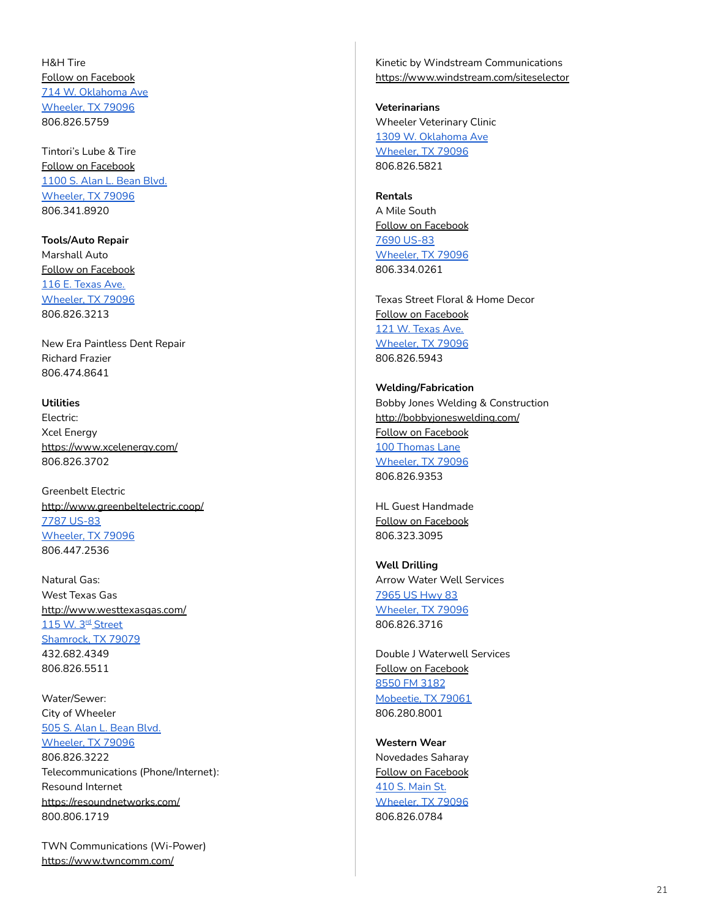H&H Tire Follow on [Facebook](https://www.facebook.com/HandHtireshop1/) 714 W. [Oklahoma](https://www.google.com/maps/place/714+W+Oklahoma+Ave,+Wheeler,+TX+79096/@35.4449097,-100.2861543,17z/data=!3m1!4b1!4m5!3m4!1s0x87aa1fbd12e9f5af:0x35f7a3e1ec09b53!8m2!3d35.4449097!4d-100.2839603) Ave [Wheeler,](https://www.google.com/maps/place/714+W+Oklahoma+Ave,+Wheeler,+TX+79096/@35.4449097,-100.2861543,17z/data=!3m1!4b1!4m5!3m4!1s0x87aa1fbd12e9f5af:0x35f7a3e1ec09b53!8m2!3d35.4449097!4d-100.2839603) TX 79096 806.826.5759

Tintori's Lube & Tire Follow on [Facebook](https://www.facebook.com/tintoris/) [1100](https://www.google.com/maps/place/1100+S+Alan+L+Bean+Blvd,+Wheeler,+TX+79096/@35.43753,-100.2721492,3a,75y,274.75h,90t/data=!3m6!1e1!3m4!1s0l1NOF--9kqxn2upBStqNQ!2e0!7i13312!8i6656!4m5!3m4!1s0x87aa1f9cbc2aec43:0x80e7d96a67dd6bbe!8m2!3d35.4375485!4d-100.2724786) S. Alan L. Bean Blvd. [Wheeler,](https://www.google.com/maps/place/1100+S+Alan+L+Bean+Blvd,+Wheeler,+TX+79096/@35.43753,-100.2721492,3a,75y,274.75h,90t/data=!3m6!1e1!3m4!1s0l1NOF--9kqxn2upBStqNQ!2e0!7i13312!8i6656!4m5!3m4!1s0x87aa1f9cbc2aec43:0x80e7d96a67dd6bbe!8m2!3d35.4375485!4d-100.2724786) TX 79096 806.341.8920

<span id="page-20-0"></span>**Tools/Auto Repair** Marshall Auto Follow on [Facebook](https://www.facebook.com/pages/Marshall-Discount-Auto/869781833074881) 116 E. [Texas](https://www.google.com/maps/place/116+E+Texas+Ave,+Wheeler,+TX+79096/@35.4438103,-100.2747602,17z/data=!3m1!4b1!4m5!3m4!1s0x87aa1f9aa1c94fad:0x8048e7709176c07e!8m2!3d35.4438103!4d-100.2725662) Ave. [Wheeler,](https://www.google.com/maps/place/116+E+Texas+Ave,+Wheeler,+TX+79096/@35.4438103,-100.2747602,17z/data=!3m1!4b1!4m5!3m4!1s0x87aa1f9aa1c94fad:0x8048e7709176c07e!8m2!3d35.4438103!4d-100.2725662) TX 79096 806.826.3213

New Era Paintless Dent Repair Richard Frazier 806.474.8641

## <span id="page-20-1"></span>**Utilities**

Electric: Xcel Energy <https://www.xcelenergy.com/> 806.826.3702

Greenbelt Electric <http://www.greenbeltelectric.coop/> 7787 [US-83](https://www.google.com/maps/place/7787+US-83,+Wheeler,+TX+79096/@35.4258558,-100.2729417,17z/data=!3m1!4b1!4m5!3m4!1s0x87aa1f7a7095bd59:0x95c65654eeee7671!8m2!3d35.4258558!4d-100.2707477) [Wheeler,](https://www.google.com/maps/place/7787+US-83,+Wheeler,+TX+79096/@35.4258558,-100.2729417,17z/data=!3m1!4b1!4m5!3m4!1s0x87aa1f7a7095bd59:0x95c65654eeee7671!8m2!3d35.4258558!4d-100.2707477) TX 79096 806.447.2536

Natural Gas: West Texas Gas <http://www.westtexasgas.com/> <u>115 W. 3<sup>rd</sup> [Street](https://www.google.com/maps/place/115+W+3rd+St,+Shamrock,+TX+79079/@35.2167902,-100.2515775,17z/data=!3m1!4b1!4m5!3m4!1s0x87aa3e07e9e62761:0x31ce2c1cced9bbc8!8m2!3d35.2167902!4d-100.2493835)</u> [Shamrock,](https://www.google.com/maps/place/115+W+3rd+St,+Shamrock,+TX+79079/@35.2167902,-100.2515775,17z/data=!3m1!4b1!4m5!3m4!1s0x87aa3e07e9e62761:0x31ce2c1cced9bbc8!8m2!3d35.2167902!4d-100.2493835) TX 79079 432.682.4349 806.826.5511

Water/Sewer: City of Wheeler 505 S. Alan L. [Bean](https://www.google.com/maps/place/505+S+Alan+L+Bean+Blvd,+Wheeler,+TX+79096/@35.4432966,-100.274081,17z/data=!3m1!4b1!4m5!3m4!1s0x87aa1f9ab009b0b7:0xd17a63f9e5ead90f!8m2!3d35.4432966!4d-100.271887) Blvd. [Wheeler,](https://www.google.com/maps/place/505+S+Alan+L+Bean+Blvd,+Wheeler,+TX+79096/@35.4432966,-100.274081,17z/data=!3m1!4b1!4m5!3m4!1s0x87aa1f9ab009b0b7:0xd17a63f9e5ead90f!8m2!3d35.4432966!4d-100.271887) TX 79096 806.826.3222 Telecommunications (Phone/Internet): Resound Internet <https://resoundnetworks.com/> 800.806.1719

TWN Communications (Wi-Power) <https://www.twncomm.com/>

Kinetic by Windstream Communications <https://www.windstream.com/siteselector>

<span id="page-20-2"></span>**Veterinarians** Wheeler Veterinary Clinic 1309 W. [Oklahoma](https://www.google.com/maps/place/1309+W+Oklahoma+Ave,+Wheeler,+TX+79096/@35.4444983,-100.2956432,17z/data=!3m1!4b1!4m5!3m4!1s0x87aa1fba83ea1595:0x55c3111d2684334b!8m2!3d35.4444983!4d-100.2934492) Ave [Wheeler,](https://www.google.com/maps/place/1309+W+Oklahoma+Ave,+Wheeler,+TX+79096/@35.4444983,-100.2956432,17z/data=!3m1!4b1!4m5!3m4!1s0x87aa1fba83ea1595:0x55c3111d2684334b!8m2!3d35.4444983!4d-100.2934492) TX 79096 806.826.5821

**Rentals** A Mile South Follow on [Facebook](https://www.facebook.com/AMileSouth/) 7690 [US-83](https://www.google.com/maps/place/7690+US-83,+Wheeler,+TX+79096/@35.4173812,-100.2627835,17z/data=!3m1!4b1!4m5!3m4!1s0x87aa1f61fa59891b:0x93ba32e0e8b2903c!8m2!3d35.4173812!4d-100.2605895) [Wheeler,](https://www.google.com/maps/place/7690+US-83,+Wheeler,+TX+79096/@35.4173812,-100.2627835,17z/data=!3m1!4b1!4m5!3m4!1s0x87aa1f61fa59891b:0x93ba32e0e8b2903c!8m2!3d35.4173812!4d-100.2605895) TX 79096 806.334.0261

Texas Street Floral & Home Decor Follow on [Facebook](https://www.facebook.com/TexasStreetFloral/) 121 W. [Texas](https://www.google.com/maps/place/121+W+Texas+Ave,+Wheeler,+TX+79096/@35.4438264,-100.2767979,17z/data=!3m1!4b1!4m5!3m4!1s0x87aa1f9081d4f51d:0x6ab0f1da093a0dd0!8m2!3d35.4438264!4d-100.2746039) Ave. [Wheeler,](https://www.google.com/maps/place/121+W+Texas+Ave,+Wheeler,+TX+79096/@35.4438264,-100.2767979,17z/data=!3m1!4b1!4m5!3m4!1s0x87aa1f9081d4f51d:0x6ab0f1da093a0dd0!8m2!3d35.4438264!4d-100.2746039) TX 79096 806.826.5943

<span id="page-20-3"></span>**Welding/Fabrication** Bobby Jones Welding & Construction <http://bobbyjoneswelding.com/> Follow on [Facebook](https://www.facebook.com/Bobby-Jones-Welding-And-Construction-1522966384590947/) 100 [Thomas](https://www.google.com/maps/place/100+Thomas+Ln,+Wheeler,+TX+79096/@35.4525592,-100.2767103,17z/data=!3m1!4b1!4m5!3m4!1s0x87aa1f9304d53905:0x2110265a07e0622f!8m2!3d35.4525592!4d-100.2745163) Lane [Wheeler,](https://www.google.com/maps/place/100+Thomas+Ln,+Wheeler,+TX+79096/@35.4525592,-100.2767103,17z/data=!3m1!4b1!4m5!3m4!1s0x87aa1f9304d53905:0x2110265a07e0622f!8m2!3d35.4525592!4d-100.2745163) TX 79096 806.826.9353

HL Guest Handmade Follow on [Facebook](https://www.facebook.com/hlguesthandmade/) 806.323.3095

<span id="page-20-4"></span>**Well Drilling** Arrow Water Well Services [7965](https://www.google.com/maps/search/7965+US+Hwy+83+Wheeler,+TX+79096/@35.4525592,-100.2767103,17z) US Hwy 83 [Wheeler,](https://www.google.com/maps/search/7965+US+Hwy+83+Wheeler,+TX+79096/@35.4525592,-100.2767103,17z) TX 79096 806.826.3716

Double J Waterwell Services Follow on [Facebook](https://www.facebook.com/DoubleJWaterwell/) [8550](https://www.google.com/maps/search/8550+FM+3182+Mobeetie,+TX+79061/@35.5211961,-100.4567814,14z/data=!3m1!4b1) FM 3182 [Mobeetie,](https://www.google.com/maps/search/8550+FM+3182+Mobeetie,+TX+79061/@35.5211961,-100.4567814,14z/data=!3m1!4b1) TX 79061 806.280.8001

<span id="page-20-5"></span>**Western Wear** Novedades Saharay Follow on [Facebook](https://www.facebook.com/Novedades-Saharay-309206589220811/) 410 S. [Main](https://www.google.com/maps/place/410+S+Main+St,+Wheeler,+TX+79096/@35.4446514,-100.276122,17z/data=!3m1!4b1!4m5!3m4!1s0x87aa1f9062f279b5:0xe0fb24d669eef9cc!8m2!3d35.444647!4d-100.2739333) St. [Wheeler,](https://www.google.com/maps/place/410+S+Main+St,+Wheeler,+TX+79096/@35.4446514,-100.276122,17z/data=!3m1!4b1!4m5!3m4!1s0x87aa1f9062f279b5:0xe0fb24d669eef9cc!8m2!3d35.444647!4d-100.2739333) TX 79096 806.826.0784